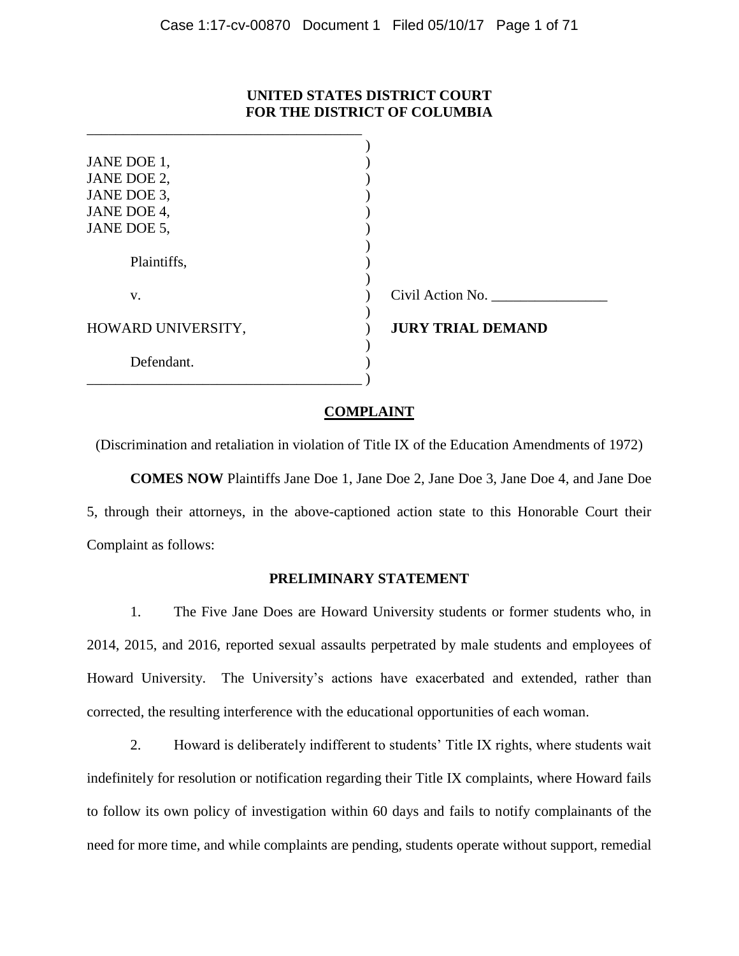## **UNITED STATES DISTRICT COURT FOR THE DISTRICT OF COLUMBIA**

| JANE DOE 1,        |                          |
|--------------------|--------------------------|
| JANE DOE 2,        |                          |
| JANE DOE 3,        |                          |
| JANE DOE 4,        |                          |
| JANE DOE 5,        |                          |
|                    |                          |
| Plaintiffs,        |                          |
|                    |                          |
| V.                 | Civil Action No.         |
|                    |                          |
| HOWARD UNIVERSITY, | <b>JURY TRIAL DEMAND</b> |
|                    |                          |
| Defendant.         |                          |
|                    |                          |

\_\_\_\_\_\_\_\_\_\_\_\_\_\_\_\_\_\_\_\_\_\_\_\_\_\_\_\_\_\_\_\_\_\_\_\_\_\_

## **COMPLAINT**

(Discrimination and retaliation in violation of Title IX of the Education Amendments of 1972)

**COMES NOW** Plaintiffs Jane Doe 1, Jane Doe 2, Jane Doe 3, Jane Doe 4, and Jane Doe 5, through their attorneys, in the above-captioned action state to this Honorable Court their Complaint as follows:

### **PRELIMINARY STATEMENT**

1. The Five Jane Does are Howard University students or former students who, in 2014, 2015, and 2016, reported sexual assaults perpetrated by male students and employees of Howard University. The University's actions have exacerbated and extended, rather than corrected, the resulting interference with the educational opportunities of each woman.

2. Howard is deliberately indifferent to students' Title IX rights, where students wait indefinitely for resolution or notification regarding their Title IX complaints, where Howard fails to follow its own policy of investigation within 60 days and fails to notify complainants of the need for more time, and while complaints are pending, students operate without support, remedial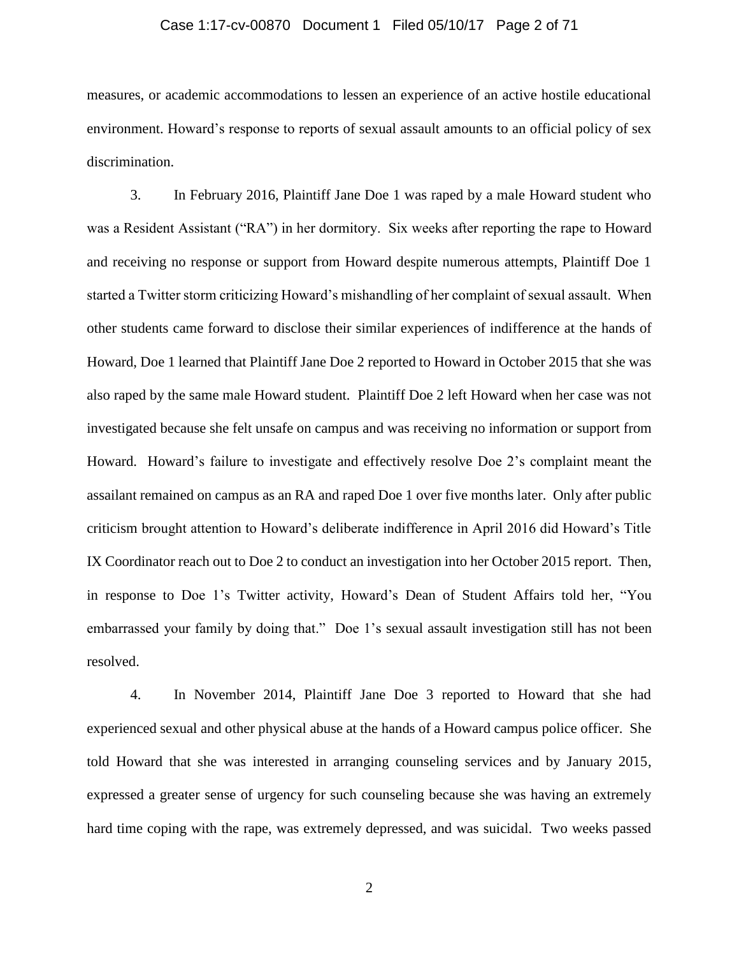#### Case 1:17-cv-00870 Document 1 Filed 05/10/17 Page 2 of 71

measures, or academic accommodations to lessen an experience of an active hostile educational environment. Howard's response to reports of sexual assault amounts to an official policy of sex discrimination.

3. In February 2016, Plaintiff Jane Doe 1 was raped by a male Howard student who was a Resident Assistant ("RA") in her dormitory. Six weeks after reporting the rape to Howard and receiving no response or support from Howard despite numerous attempts, Plaintiff Doe 1 started a Twitter storm criticizing Howard's mishandling of her complaint of sexual assault. When other students came forward to disclose their similar experiences of indifference at the hands of Howard, Doe 1 learned that Plaintiff Jane Doe 2 reported to Howard in October 2015 that she was also raped by the same male Howard student. Plaintiff Doe 2 left Howard when her case was not investigated because she felt unsafe on campus and was receiving no information or support from Howard. Howard's failure to investigate and effectively resolve Doe 2's complaint meant the assailant remained on campus as an RA and raped Doe 1 over five months later. Only after public criticism brought attention to Howard's deliberate indifference in April 2016 did Howard's Title IX Coordinator reach out to Doe 2 to conduct an investigation into her October 2015 report. Then, in response to Doe 1's Twitter activity, Howard's Dean of Student Affairs told her, "You embarrassed your family by doing that." Doe 1's sexual assault investigation still has not been resolved.

4. In November 2014, Plaintiff Jane Doe 3 reported to Howard that she had experienced sexual and other physical abuse at the hands of a Howard campus police officer. She told Howard that she was interested in arranging counseling services and by January 2015, expressed a greater sense of urgency for such counseling because she was having an extremely hard time coping with the rape, was extremely depressed, and was suicidal. Two weeks passed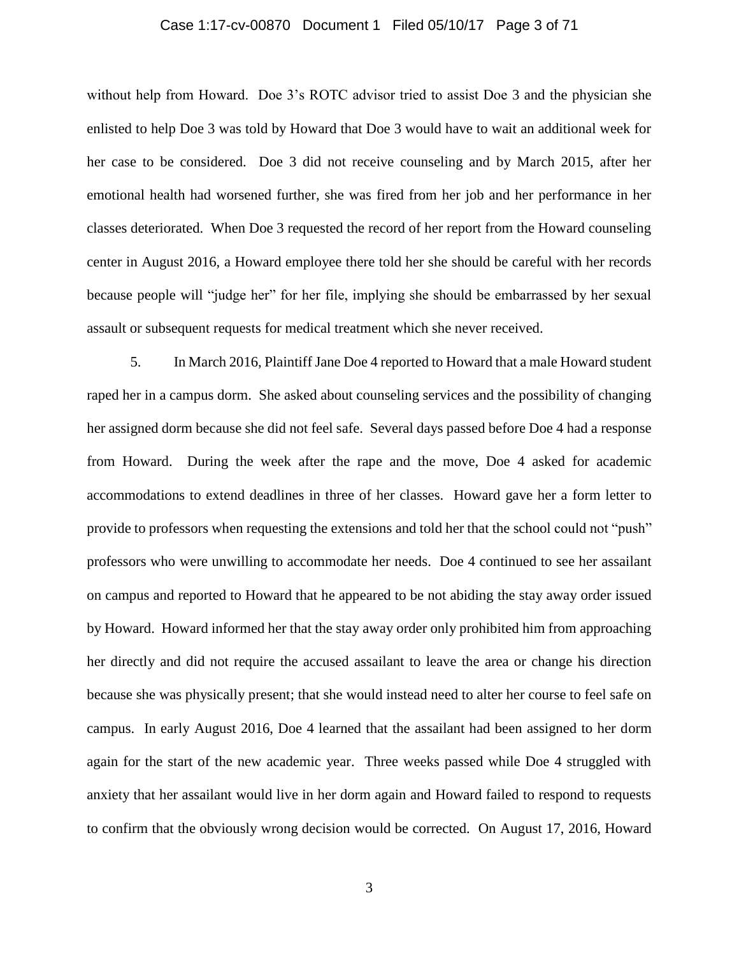#### Case 1:17-cv-00870 Document 1 Filed 05/10/17 Page 3 of 71

without help from Howard. Doe 3's ROTC advisor tried to assist Doe 3 and the physician she enlisted to help Doe 3 was told by Howard that Doe 3 would have to wait an additional week for her case to be considered. Doe 3 did not receive counseling and by March 2015, after her emotional health had worsened further, she was fired from her job and her performance in her classes deteriorated. When Doe 3 requested the record of her report from the Howard counseling center in August 2016, a Howard employee there told her she should be careful with her records because people will "judge her" for her file, implying she should be embarrassed by her sexual assault or subsequent requests for medical treatment which she never received.

5. In March 2016, Plaintiff Jane Doe 4 reported to Howard that a male Howard student raped her in a campus dorm. She asked about counseling services and the possibility of changing her assigned dorm because she did not feel safe. Several days passed before Doe 4 had a response from Howard. During the week after the rape and the move, Doe 4 asked for academic accommodations to extend deadlines in three of her classes. Howard gave her a form letter to provide to professors when requesting the extensions and told her that the school could not "push" professors who were unwilling to accommodate her needs. Doe 4 continued to see her assailant on campus and reported to Howard that he appeared to be not abiding the stay away order issued by Howard. Howard informed her that the stay away order only prohibited him from approaching her directly and did not require the accused assailant to leave the area or change his direction because she was physically present; that she would instead need to alter her course to feel safe on campus. In early August 2016, Doe 4 learned that the assailant had been assigned to her dorm again for the start of the new academic year. Three weeks passed while Doe 4 struggled with anxiety that her assailant would live in her dorm again and Howard failed to respond to requests to confirm that the obviously wrong decision would be corrected. On August 17, 2016, Howard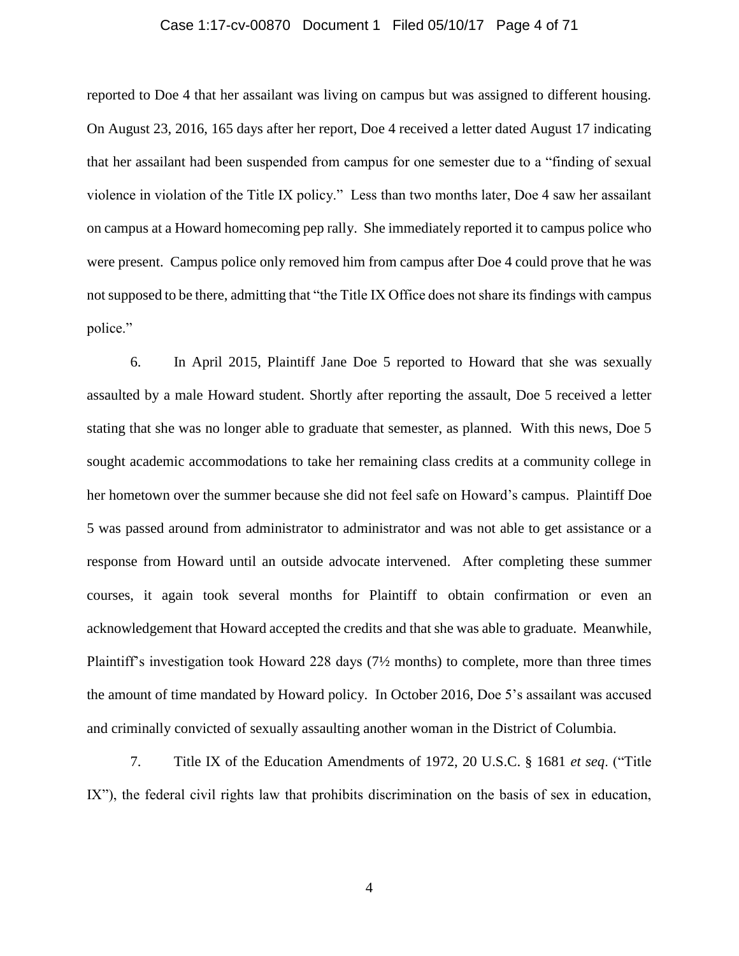#### Case 1:17-cv-00870 Document 1 Filed 05/10/17 Page 4 of 71

reported to Doe 4 that her assailant was living on campus but was assigned to different housing. On August 23, 2016, 165 days after her report, Doe 4 received a letter dated August 17 indicating that her assailant had been suspended from campus for one semester due to a "finding of sexual violence in violation of the Title IX policy." Less than two months later, Doe 4 saw her assailant on campus at a Howard homecoming pep rally. She immediately reported it to campus police who were present. Campus police only removed him from campus after Doe 4 could prove that he was not supposed to be there, admitting that "the Title IX Office does not share its findings with campus police."

6. In April 2015, Plaintiff Jane Doe 5 reported to Howard that she was sexually assaulted by a male Howard student. Shortly after reporting the assault, Doe 5 received a letter stating that she was no longer able to graduate that semester, as planned. With this news, Doe 5 sought academic accommodations to take her remaining class credits at a community college in her hometown over the summer because she did not feel safe on Howard's campus. Plaintiff Doe 5 was passed around from administrator to administrator and was not able to get assistance or a response from Howard until an outside advocate intervened. After completing these summer courses, it again took several months for Plaintiff to obtain confirmation or even an acknowledgement that Howard accepted the credits and that she was able to graduate. Meanwhile, Plaintiff's investigation took Howard 228 days (7<sup>1</sup>/<sub>2</sub> months) to complete, more than three times the amount of time mandated by Howard policy. In October 2016, Doe 5's assailant was accused and criminally convicted of sexually assaulting another woman in the District of Columbia.

7. Title IX of the Education Amendments of 1972, 20 U.S.C. § 1681 *et seq*. ("Title IX"), the federal civil rights law that prohibits discrimination on the basis of sex in education,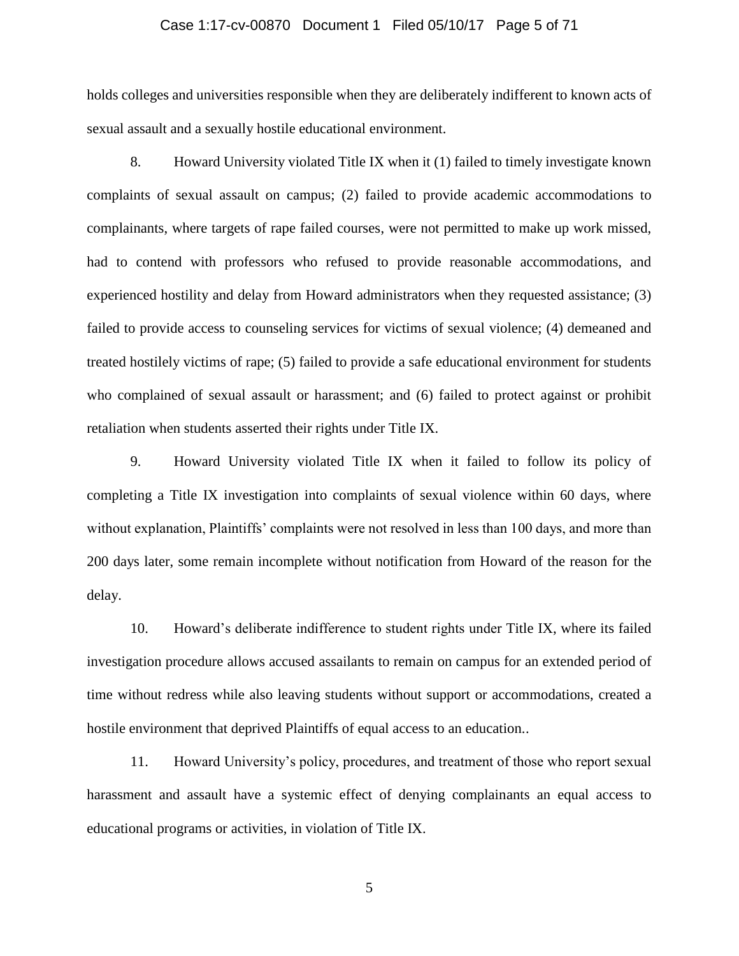#### Case 1:17-cv-00870 Document 1 Filed 05/10/17 Page 5 of 71

holds colleges and universities responsible when they are deliberately indifferent to known acts of sexual assault and a sexually hostile educational environment.

8. Howard University violated Title IX when it (1) failed to timely investigate known complaints of sexual assault on campus; (2) failed to provide academic accommodations to complainants, where targets of rape failed courses, were not permitted to make up work missed, had to contend with professors who refused to provide reasonable accommodations, and experienced hostility and delay from Howard administrators when they requested assistance; (3) failed to provide access to counseling services for victims of sexual violence; (4) demeaned and treated hostilely victims of rape; (5) failed to provide a safe educational environment for students who complained of sexual assault or harassment; and (6) failed to protect against or prohibit retaliation when students asserted their rights under Title IX.

9. Howard University violated Title IX when it failed to follow its policy of completing a Title IX investigation into complaints of sexual violence within 60 days, where without explanation, Plaintiffs' complaints were not resolved in less than 100 days, and more than 200 days later, some remain incomplete without notification from Howard of the reason for the delay.

10. Howard's deliberate indifference to student rights under Title IX, where its failed investigation procedure allows accused assailants to remain on campus for an extended period of time without redress while also leaving students without support or accommodations, created a hostile environment that deprived Plaintiffs of equal access to an education..

11. Howard University's policy, procedures, and treatment of those who report sexual harassment and assault have a systemic effect of denying complainants an equal access to educational programs or activities, in violation of Title IX.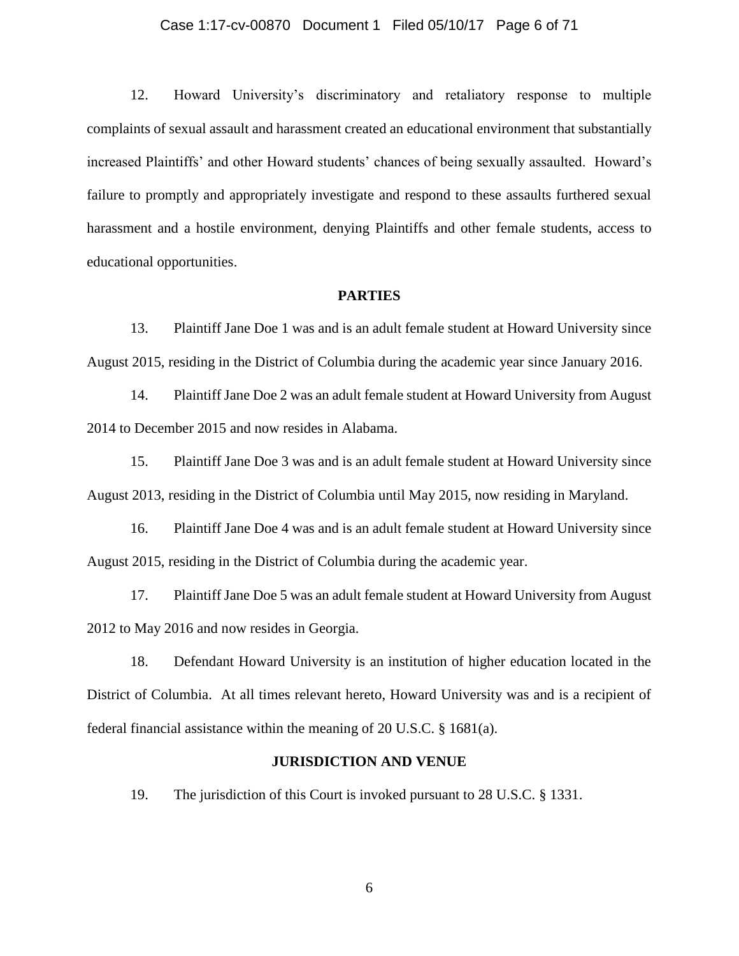#### Case 1:17-cv-00870 Document 1 Filed 05/10/17 Page 6 of 71

12. Howard University's discriminatory and retaliatory response to multiple complaints of sexual assault and harassment created an educational environment that substantially increased Plaintiffs' and other Howard students' chances of being sexually assaulted. Howard's failure to promptly and appropriately investigate and respond to these assaults furthered sexual harassment and a hostile environment, denying Plaintiffs and other female students, access to educational opportunities.

#### **PARTIES**

13. Plaintiff Jane Doe 1 was and is an adult female student at Howard University since August 2015, residing in the District of Columbia during the academic year since January 2016.

14. Plaintiff Jane Doe 2 was an adult female student at Howard University from August 2014 to December 2015 and now resides in Alabama.

15. Plaintiff Jane Doe 3 was and is an adult female student at Howard University since August 2013, residing in the District of Columbia until May 2015, now residing in Maryland.

16. Plaintiff Jane Doe 4 was and is an adult female student at Howard University since August 2015, residing in the District of Columbia during the academic year.

17. Plaintiff Jane Doe 5 was an adult female student at Howard University from August 2012 to May 2016 and now resides in Georgia.

18. Defendant Howard University is an institution of higher education located in the District of Columbia. At all times relevant hereto, Howard University was and is a recipient of federal financial assistance within the meaning of 20 U.S.C. § 1681(a).

#### **JURISDICTION AND VENUE**

19. The jurisdiction of this Court is invoked pursuant to 28 U.S.C. § 1331.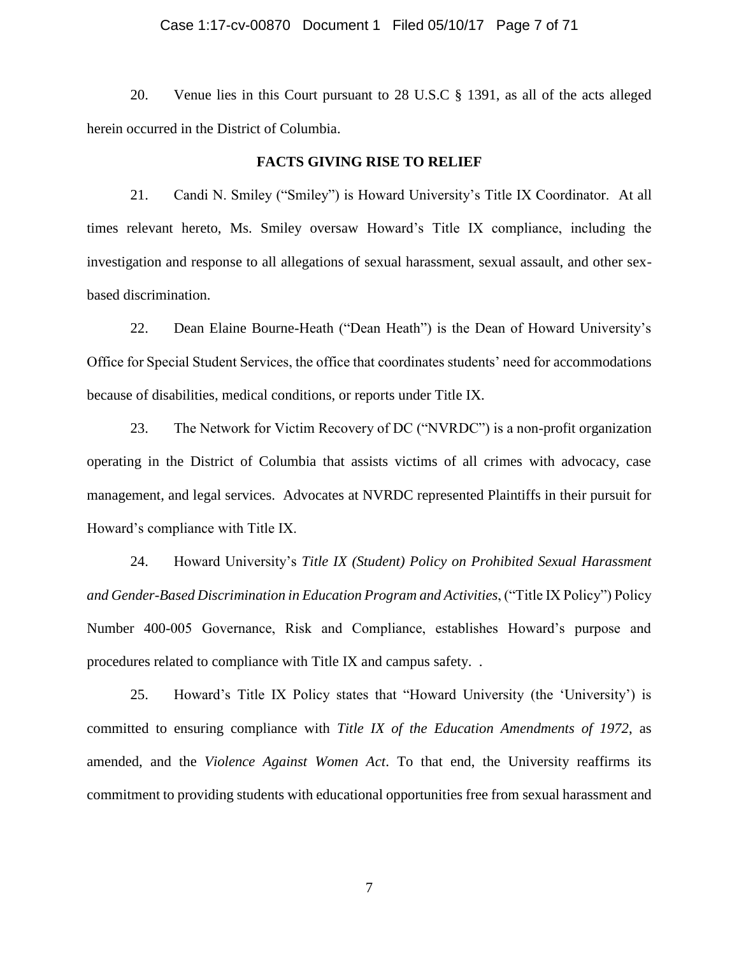#### Case 1:17-cv-00870 Document 1 Filed 05/10/17 Page 7 of 71

20. Venue lies in this Court pursuant to 28 U.S.C § 1391, as all of the acts alleged herein occurred in the District of Columbia.

#### **FACTS GIVING RISE TO RELIEF**

21. Candi N. Smiley ("Smiley") is Howard University's Title IX Coordinator. At all times relevant hereto, Ms. Smiley oversaw Howard's Title IX compliance, including the investigation and response to all allegations of sexual harassment, sexual assault, and other sexbased discrimination.

22. Dean Elaine Bourne-Heath ("Dean Heath") is the Dean of Howard University's Office for Special Student Services, the office that coordinates students' need for accommodations because of disabilities, medical conditions, or reports under Title IX.

23. The Network for Victim Recovery of DC ("NVRDC") is a non-profit organization operating in the District of Columbia that assists victims of all crimes with advocacy, case management, and legal services. Advocates at NVRDC represented Plaintiffs in their pursuit for Howard's compliance with Title IX.

24. Howard University's *Title IX (Student) Policy on Prohibited Sexual Harassment and Gender-Based Discrimination in Education Program and Activities*, ("Title IX Policy") Policy Number 400-005 Governance, Risk and Compliance, establishes Howard's purpose and procedures related to compliance with Title IX and campus safety. .

25. Howard's Title IX Policy states that "Howard University (the 'University') is committed to ensuring compliance with *Title IX of the Education Amendments of 1972*, as amended, and the *Violence Against Women Act*. To that end, the University reaffirms its commitment to providing students with educational opportunities free from sexual harassment and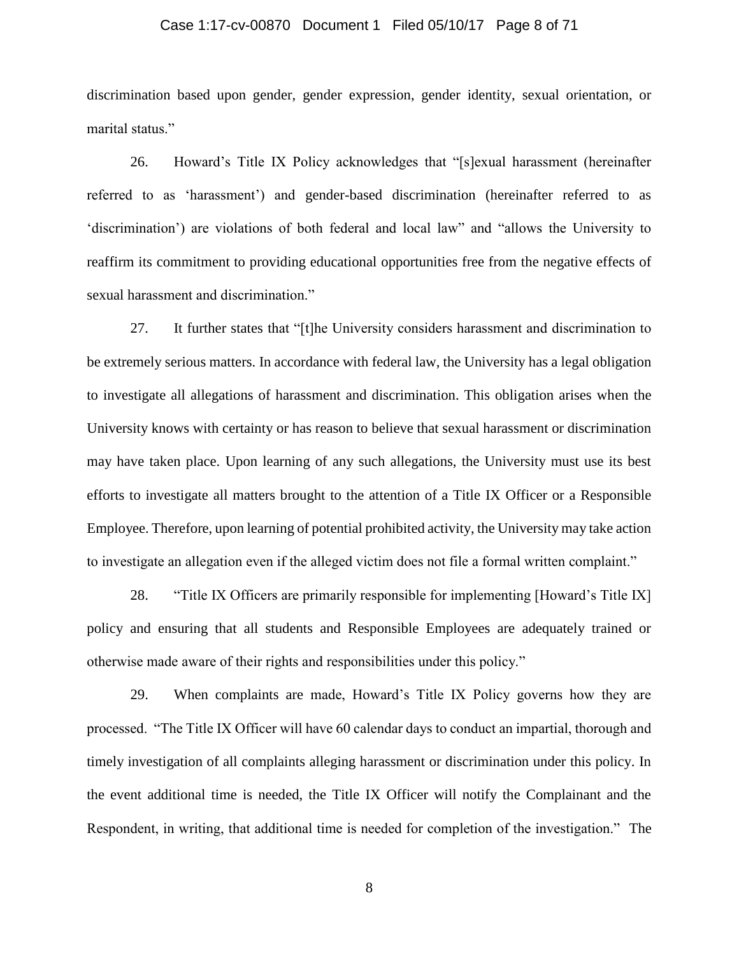#### Case 1:17-cv-00870 Document 1 Filed 05/10/17 Page 8 of 71

discrimination based upon gender, gender expression, gender identity, sexual orientation, or marital status."

26. Howard's Title IX Policy acknowledges that "[s]exual harassment (hereinafter referred to as 'harassment') and gender-based discrimination (hereinafter referred to as 'discrimination') are violations of both federal and local law" and "allows the University to reaffirm its commitment to providing educational opportunities free from the negative effects of sexual harassment and discrimination."

27. It further states that "[t]he University considers harassment and discrimination to be extremely serious matters. In accordance with federal law, the University has a legal obligation to investigate all allegations of harassment and discrimination. This obligation arises when the University knows with certainty or has reason to believe that sexual harassment or discrimination may have taken place. Upon learning of any such allegations, the University must use its best efforts to investigate all matters brought to the attention of a Title IX Officer or a Responsible Employee. Therefore, upon learning of potential prohibited activity, the University may take action to investigate an allegation even if the alleged victim does not file a formal written complaint."

28. "Title IX Officers are primarily responsible for implementing [Howard's Title IX] policy and ensuring that all students and Responsible Employees are adequately trained or otherwise made aware of their rights and responsibilities under this policy."

29. When complaints are made, Howard's Title IX Policy governs how they are processed. "The Title IX Officer will have 60 calendar days to conduct an impartial, thorough and timely investigation of all complaints alleging harassment or discrimination under this policy. In the event additional time is needed, the Title IX Officer will notify the Complainant and the Respondent, in writing, that additional time is needed for completion of the investigation." The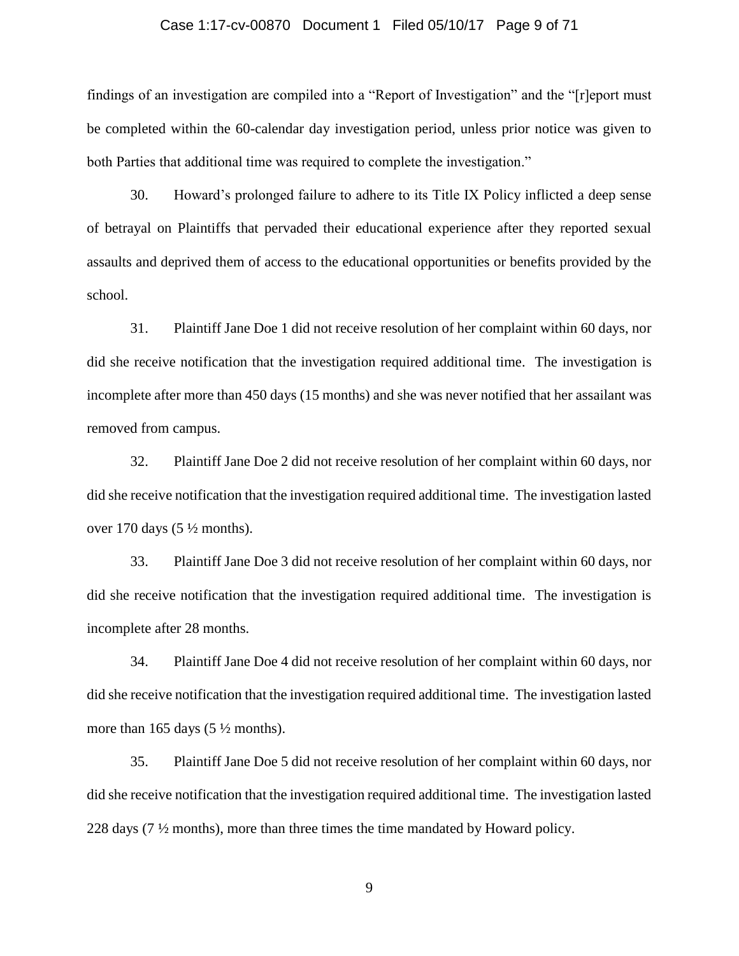#### Case 1:17-cv-00870 Document 1 Filed 05/10/17 Page 9 of 71

findings of an investigation are compiled into a "Report of Investigation" and the "[r]eport must be completed within the 60-calendar day investigation period, unless prior notice was given to both Parties that additional time was required to complete the investigation."

30. Howard's prolonged failure to adhere to its Title IX Policy inflicted a deep sense of betrayal on Plaintiffs that pervaded their educational experience after they reported sexual assaults and deprived them of access to the educational opportunities or benefits provided by the school.

31. Plaintiff Jane Doe 1 did not receive resolution of her complaint within 60 days, nor did she receive notification that the investigation required additional time. The investigation is incomplete after more than 450 days (15 months) and she was never notified that her assailant was removed from campus.

32. Plaintiff Jane Doe 2 did not receive resolution of her complaint within 60 days, nor did she receive notification that the investigation required additional time. The investigation lasted over 170 days  $(5 \frac{1}{2}$  months).

33. Plaintiff Jane Doe 3 did not receive resolution of her complaint within 60 days, nor did she receive notification that the investigation required additional time. The investigation is incomplete after 28 months.

34. Plaintiff Jane Doe 4 did not receive resolution of her complaint within 60 days, nor did she receive notification that the investigation required additional time. The investigation lasted more than 165 days  $(5 \frac{1}{2}$  months).

35. Plaintiff Jane Doe 5 did not receive resolution of her complaint within 60 days, nor did she receive notification that the investigation required additional time. The investigation lasted 228 days (7 ½ months), more than three times the time mandated by Howard policy.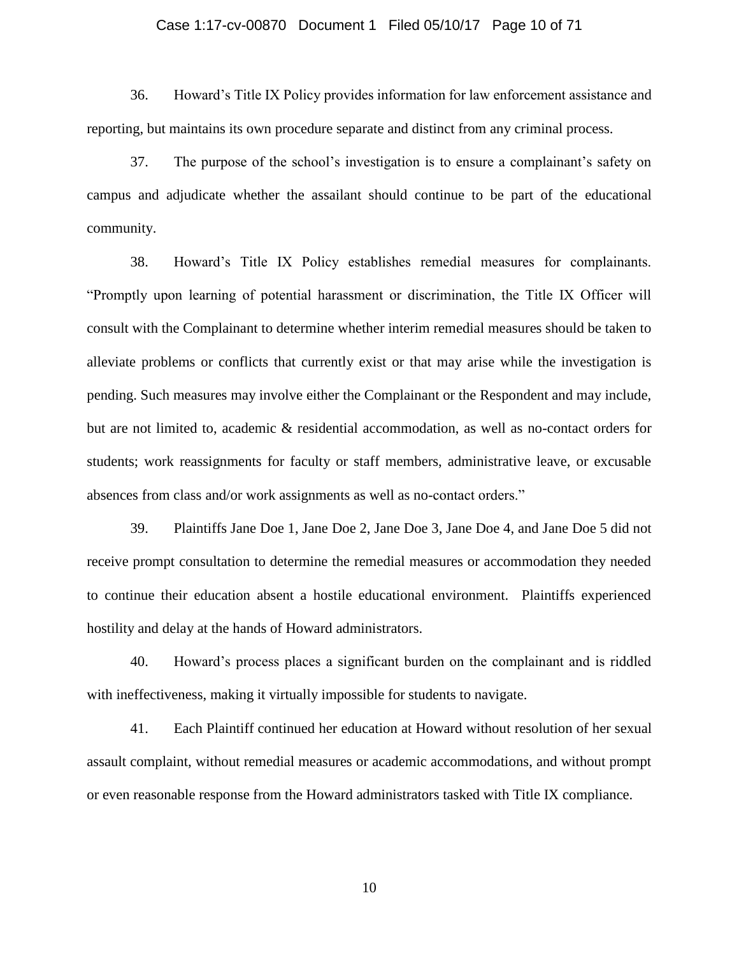#### Case 1:17-cv-00870 Document 1 Filed 05/10/17 Page 10 of 71

36. Howard's Title IX Policy provides information for law enforcement assistance and reporting, but maintains its own procedure separate and distinct from any criminal process.

37. The purpose of the school's investigation is to ensure a complainant's safety on campus and adjudicate whether the assailant should continue to be part of the educational community.

38. Howard's Title IX Policy establishes remedial measures for complainants. "Promptly upon learning of potential harassment or discrimination, the Title IX Officer will consult with the Complainant to determine whether interim remedial measures should be taken to alleviate problems or conflicts that currently exist or that may arise while the investigation is pending. Such measures may involve either the Complainant or the Respondent and may include, but are not limited to, academic & residential accommodation, as well as no-contact orders for students; work reassignments for faculty or staff members, administrative leave, or excusable absences from class and/or work assignments as well as no-contact orders."

39. Plaintiffs Jane Doe 1, Jane Doe 2, Jane Doe 3, Jane Doe 4, and Jane Doe 5 did not receive prompt consultation to determine the remedial measures or accommodation they needed to continue their education absent a hostile educational environment. Plaintiffs experienced hostility and delay at the hands of Howard administrators.

40. Howard's process places a significant burden on the complainant and is riddled with ineffectiveness, making it virtually impossible for students to navigate.

41. Each Plaintiff continued her education at Howard without resolution of her sexual assault complaint, without remedial measures or academic accommodations, and without prompt or even reasonable response from the Howard administrators tasked with Title IX compliance.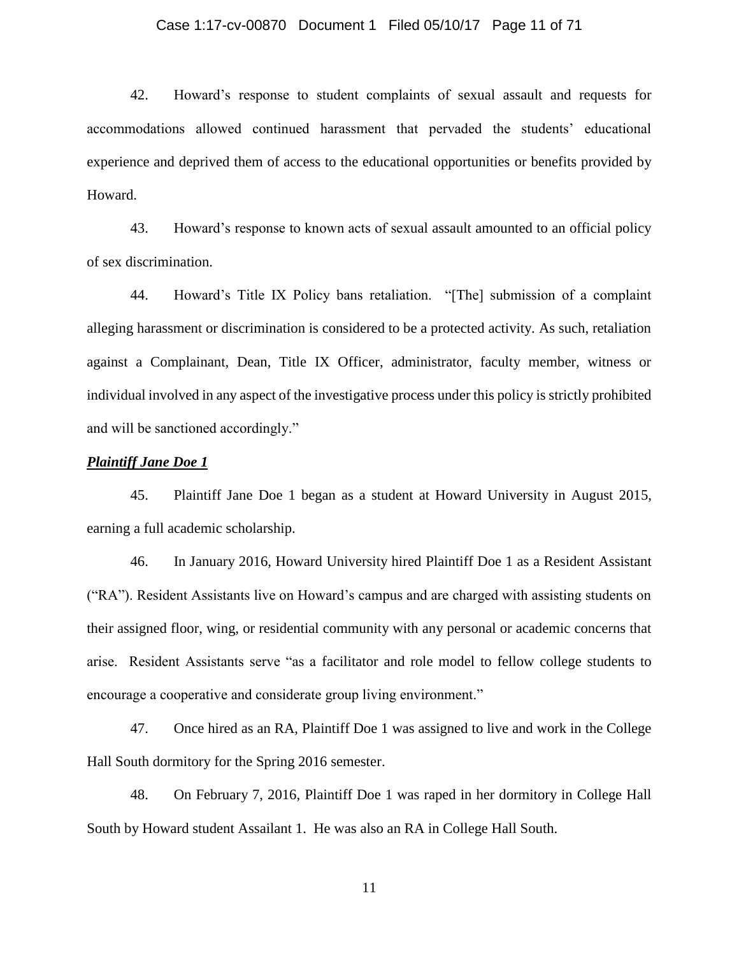#### Case 1:17-cv-00870 Document 1 Filed 05/10/17 Page 11 of 71

42. Howard's response to student complaints of sexual assault and requests for accommodations allowed continued harassment that pervaded the students' educational experience and deprived them of access to the educational opportunities or benefits provided by Howard.

43. Howard's response to known acts of sexual assault amounted to an official policy of sex discrimination.

44. Howard's Title IX Policy bans retaliation. "[The] submission of a complaint alleging harassment or discrimination is considered to be a protected activity. As such, retaliation against a Complainant, Dean, Title IX Officer, administrator, faculty member, witness or individual involved in any aspect of the investigative process under this policy is strictly prohibited and will be sanctioned accordingly."

### *Plaintiff Jane Doe 1*

45. Plaintiff Jane Doe 1 began as a student at Howard University in August 2015, earning a full academic scholarship.

46. In January 2016, Howard University hired Plaintiff Doe 1 as a Resident Assistant ("RA"). Resident Assistants live on Howard's campus and are charged with assisting students on their assigned floor, wing, or residential community with any personal or academic concerns that arise. Resident Assistants serve "as a facilitator and role model to fellow college students to encourage a cooperative and considerate group living environment."

47. Once hired as an RA, Plaintiff Doe 1 was assigned to live and work in the College Hall South dormitory for the Spring 2016 semester.

48. On February 7, 2016, Plaintiff Doe 1 was raped in her dormitory in College Hall South by Howard student Assailant 1. He was also an RA in College Hall South.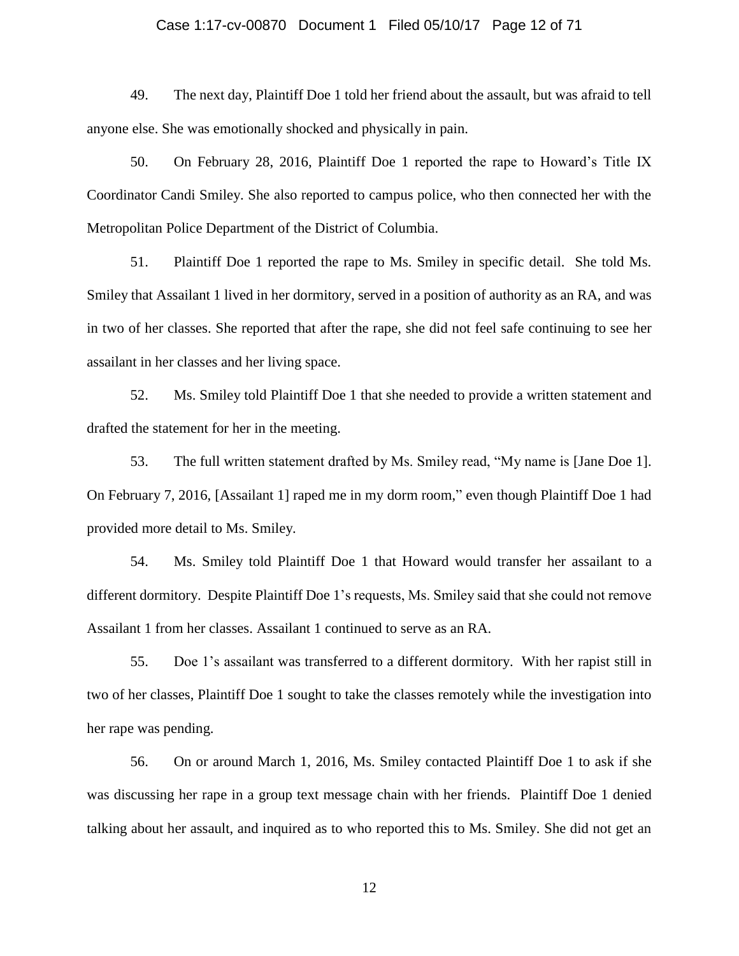#### Case 1:17-cv-00870 Document 1 Filed 05/10/17 Page 12 of 71

49. The next day, Plaintiff Doe 1 told her friend about the assault, but was afraid to tell anyone else. She was emotionally shocked and physically in pain.

50. On February 28, 2016, Plaintiff Doe 1 reported the rape to Howard's Title IX Coordinator Candi Smiley. She also reported to campus police, who then connected her with the Metropolitan Police Department of the District of Columbia.

51. Plaintiff Doe 1 reported the rape to Ms. Smiley in specific detail. She told Ms. Smiley that Assailant 1 lived in her dormitory, served in a position of authority as an RA, and was in two of her classes. She reported that after the rape, she did not feel safe continuing to see her assailant in her classes and her living space.

52. Ms. Smiley told Plaintiff Doe 1 that she needed to provide a written statement and drafted the statement for her in the meeting.

53. The full written statement drafted by Ms. Smiley read, "My name is [Jane Doe 1]. On February 7, 2016, [Assailant 1] raped me in my dorm room," even though Plaintiff Doe 1 had provided more detail to Ms. Smiley.

54. Ms. Smiley told Plaintiff Doe 1 that Howard would transfer her assailant to a different dormitory. Despite Plaintiff Doe 1's requests, Ms. Smiley said that she could not remove Assailant 1 from her classes. Assailant 1 continued to serve as an RA.

55. Doe 1's assailant was transferred to a different dormitory. With her rapist still in two of her classes, Plaintiff Doe 1 sought to take the classes remotely while the investigation into her rape was pending.

56. On or around March 1, 2016, Ms. Smiley contacted Plaintiff Doe 1 to ask if she was discussing her rape in a group text message chain with her friends. Plaintiff Doe 1 denied talking about her assault, and inquired as to who reported this to Ms. Smiley. She did not get an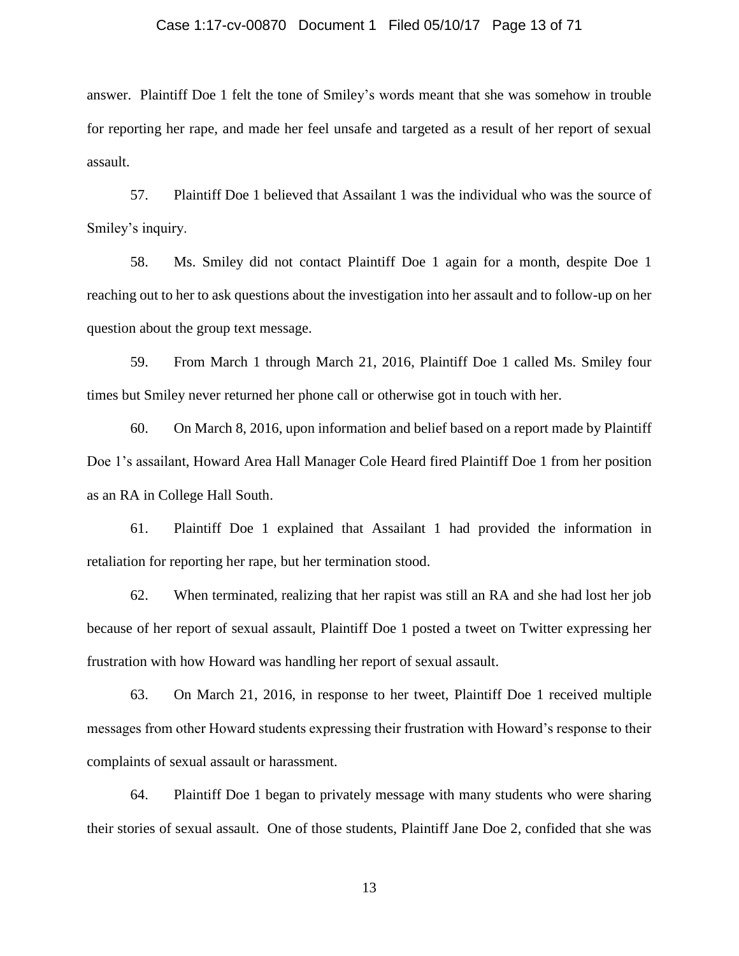#### Case 1:17-cv-00870 Document 1 Filed 05/10/17 Page 13 of 71

answer. Plaintiff Doe 1 felt the tone of Smiley's words meant that she was somehow in trouble for reporting her rape, and made her feel unsafe and targeted as a result of her report of sexual assault.

57. Plaintiff Doe 1 believed that Assailant 1 was the individual who was the source of Smiley's inquiry.

58. Ms. Smiley did not contact Plaintiff Doe 1 again for a month, despite Doe 1 reaching out to her to ask questions about the investigation into her assault and to follow-up on her question about the group text message.

59. From March 1 through March 21, 2016, Plaintiff Doe 1 called Ms. Smiley four times but Smiley never returned her phone call or otherwise got in touch with her.

60. On March 8, 2016, upon information and belief based on a report made by Plaintiff Doe 1's assailant, Howard Area Hall Manager Cole Heard fired Plaintiff Doe 1 from her position as an RA in College Hall South.

61. Plaintiff Doe 1 explained that Assailant 1 had provided the information in retaliation for reporting her rape, but her termination stood.

62. When terminated, realizing that her rapist was still an RA and she had lost her job because of her report of sexual assault, Plaintiff Doe 1 posted a tweet on Twitter expressing her frustration with how Howard was handling her report of sexual assault.

63. On March 21, 2016, in response to her tweet, Plaintiff Doe 1 received multiple messages from other Howard students expressing their frustration with Howard's response to their complaints of sexual assault or harassment.

64. Plaintiff Doe 1 began to privately message with many students who were sharing their stories of sexual assault. One of those students, Plaintiff Jane Doe 2, confided that she was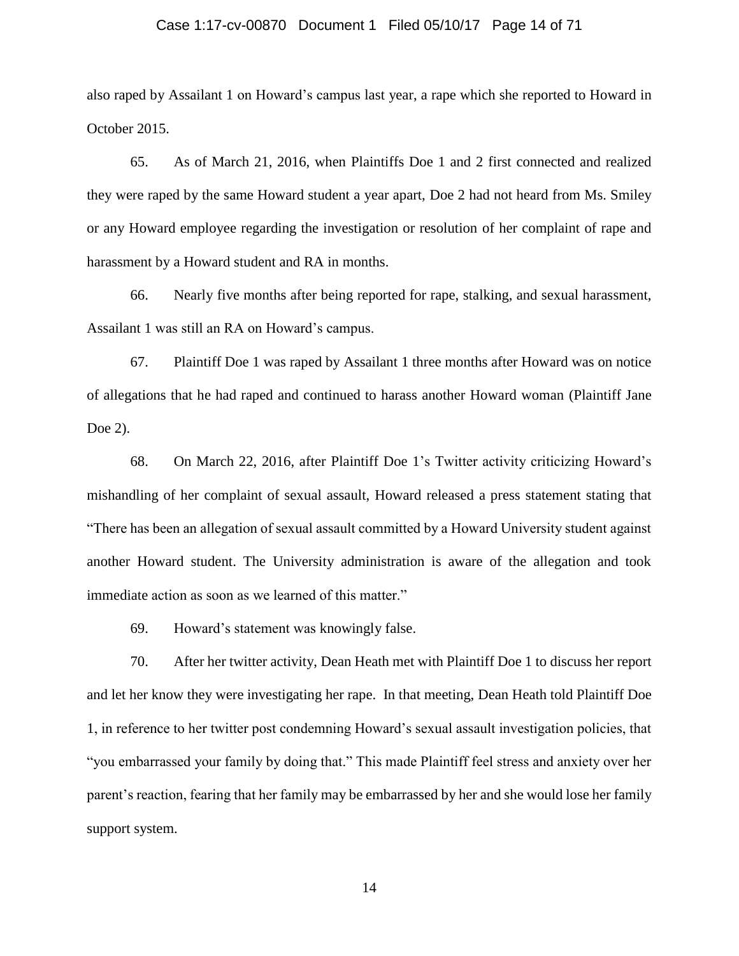#### Case 1:17-cv-00870 Document 1 Filed 05/10/17 Page 14 of 71

also raped by Assailant 1 on Howard's campus last year, a rape which she reported to Howard in October 2015.

65. As of March 21, 2016, when Plaintiffs Doe 1 and 2 first connected and realized they were raped by the same Howard student a year apart, Doe 2 had not heard from Ms. Smiley or any Howard employee regarding the investigation or resolution of her complaint of rape and harassment by a Howard student and RA in months.

66. Nearly five months after being reported for rape, stalking, and sexual harassment, Assailant 1 was still an RA on Howard's campus.

67. Plaintiff Doe 1 was raped by Assailant 1 three months after Howard was on notice of allegations that he had raped and continued to harass another Howard woman (Plaintiff Jane Doe 2).

68. On March 22, 2016, after Plaintiff Doe 1's Twitter activity criticizing Howard's mishandling of her complaint of sexual assault, Howard released a press statement stating that "There has been an allegation of sexual assault committed by a Howard University student against another Howard student. The University administration is aware of the allegation and took immediate action as soon as we learned of this matter."

69. Howard's statement was knowingly false.

70. After her twitter activity, Dean Heath met with Plaintiff Doe 1 to discuss her report and let her know they were investigating her rape. In that meeting, Dean Heath told Plaintiff Doe 1, in reference to her twitter post condemning Howard's sexual assault investigation policies, that "you embarrassed your family by doing that." This made Plaintiff feel stress and anxiety over her parent's reaction, fearing that her family may be embarrassed by her and she would lose her family support system.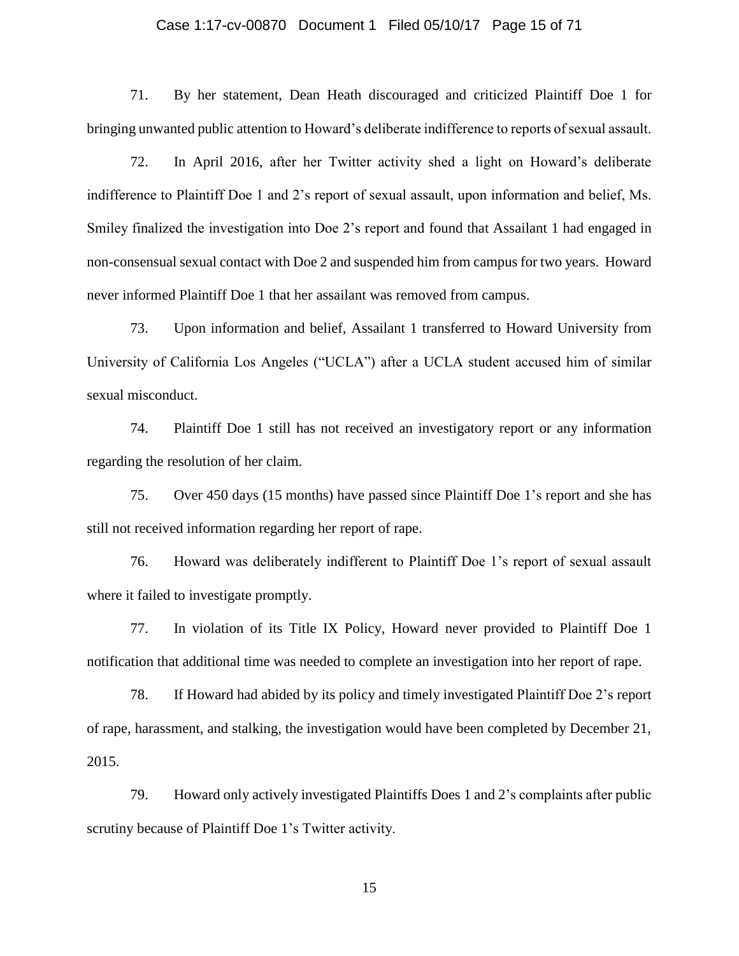#### Case 1:17-cv-00870 Document 1 Filed 05/10/17 Page 15 of 71

71. By her statement, Dean Heath discouraged and criticized Plaintiff Doe 1 for bringing unwanted public attention to Howard's deliberate indifference to reports of sexual assault.

72. In April 2016, after her Twitter activity shed a light on Howard's deliberate indifference to Plaintiff Doe 1 and 2's report of sexual assault, upon information and belief, Ms. Smiley finalized the investigation into Doe 2's report and found that Assailant 1 had engaged in non-consensual sexual contact with Doe 2 and suspended him from campus for two years. Howard never informed Plaintiff Doe 1 that her assailant was removed from campus.

73. Upon information and belief, Assailant 1 transferred to Howard University from University of California Los Angeles ("UCLA") after a UCLA student accused him of similar sexual misconduct.

74. Plaintiff Doe 1 still has not received an investigatory report or any information regarding the resolution of her claim.

75. Over 450 days (15 months) have passed since Plaintiff Doe 1's report and she has still not received information regarding her report of rape.

76. Howard was deliberately indifferent to Plaintiff Doe 1's report of sexual assault where it failed to investigate promptly.

77. In violation of its Title IX Policy, Howard never provided to Plaintiff Doe 1 notification that additional time was needed to complete an investigation into her report of rape.

78. If Howard had abided by its policy and timely investigated Plaintiff Doe 2's report of rape, harassment, and stalking, the investigation would have been completed by December 21, 2015.

79. Howard only actively investigated Plaintiffs Does 1 and 2's complaints after public scrutiny because of Plaintiff Doe 1's Twitter activity.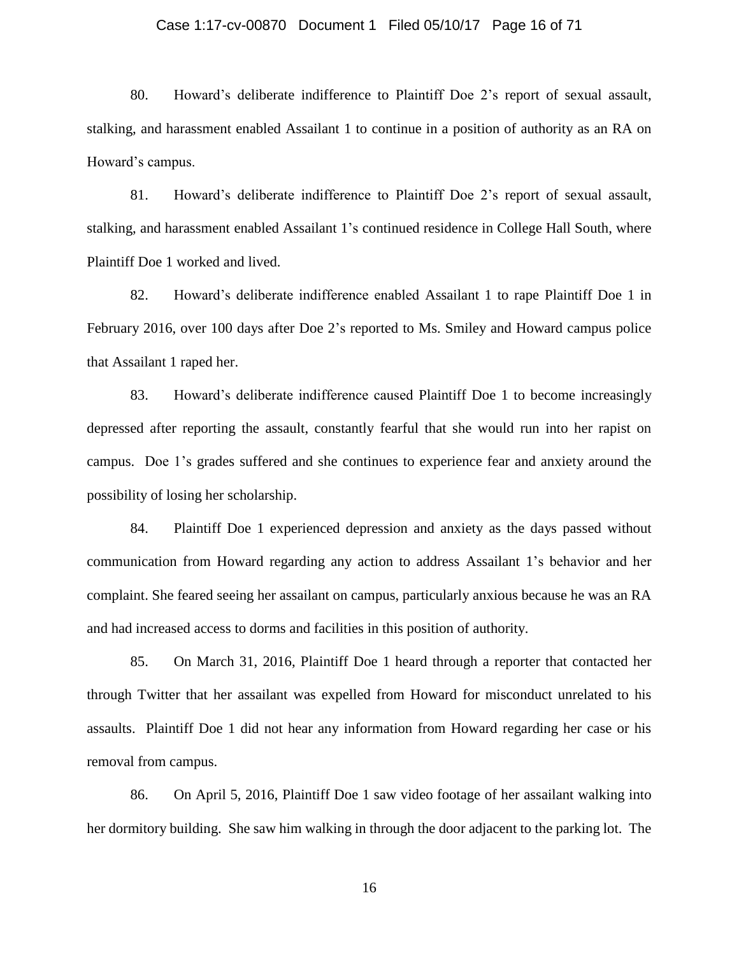#### Case 1:17-cv-00870 Document 1 Filed 05/10/17 Page 16 of 71

80. Howard's deliberate indifference to Plaintiff Doe 2's report of sexual assault, stalking, and harassment enabled Assailant 1 to continue in a position of authority as an RA on Howard's campus.

81. Howard's deliberate indifference to Plaintiff Doe 2's report of sexual assault, stalking, and harassment enabled Assailant 1's continued residence in College Hall South, where Plaintiff Doe 1 worked and lived.

82. Howard's deliberate indifference enabled Assailant 1 to rape Plaintiff Doe 1 in February 2016, over 100 days after Doe 2's reported to Ms. Smiley and Howard campus police that Assailant 1 raped her.

83. Howard's deliberate indifference caused Plaintiff Doe 1 to become increasingly depressed after reporting the assault, constantly fearful that she would run into her rapist on campus. Doe 1's grades suffered and she continues to experience fear and anxiety around the possibility of losing her scholarship.

84. Plaintiff Doe 1 experienced depression and anxiety as the days passed without communication from Howard regarding any action to address Assailant 1's behavior and her complaint. She feared seeing her assailant on campus, particularly anxious because he was an RA and had increased access to dorms and facilities in this position of authority.

85. On March 31, 2016, Plaintiff Doe 1 heard through a reporter that contacted her through Twitter that her assailant was expelled from Howard for misconduct unrelated to his assaults. Plaintiff Doe 1 did not hear any information from Howard regarding her case or his removal from campus.

86. On April 5, 2016, Plaintiff Doe 1 saw video footage of her assailant walking into her dormitory building. She saw him walking in through the door adjacent to the parking lot. The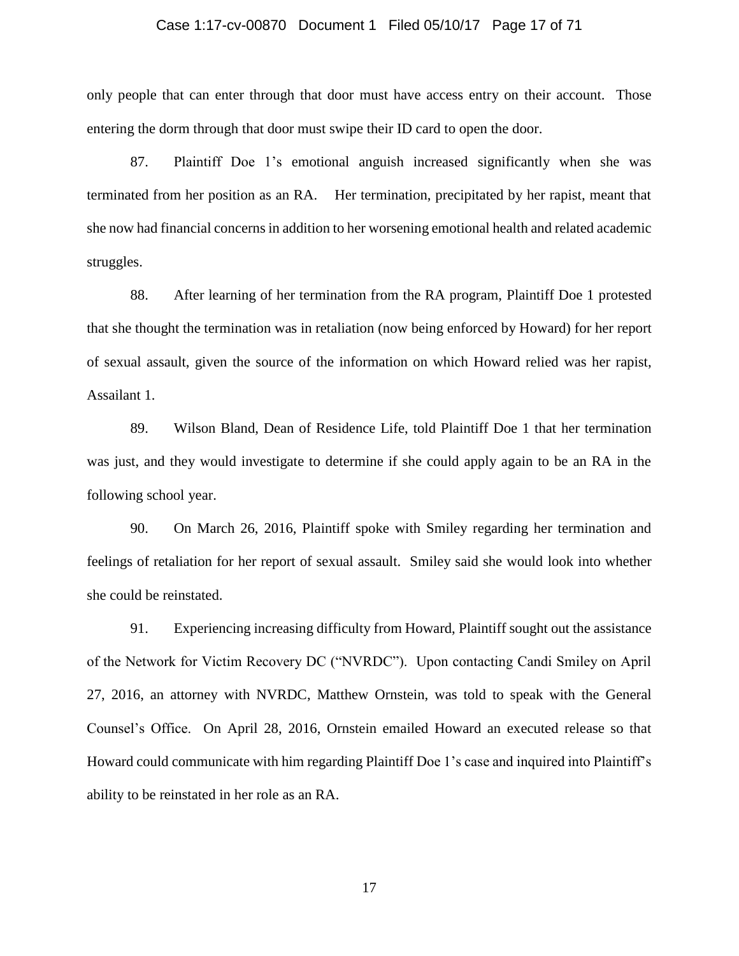#### Case 1:17-cv-00870 Document 1 Filed 05/10/17 Page 17 of 71

only people that can enter through that door must have access entry on their account. Those entering the dorm through that door must swipe their ID card to open the door.

87. Plaintiff Doe 1's emotional anguish increased significantly when she was terminated from her position as an RA. Her termination, precipitated by her rapist, meant that she now had financial concerns in addition to her worsening emotional health and related academic struggles.

88. After learning of her termination from the RA program, Plaintiff Doe 1 protested that she thought the termination was in retaliation (now being enforced by Howard) for her report of sexual assault, given the source of the information on which Howard relied was her rapist, Assailant 1.

89. Wilson Bland, Dean of Residence Life, told Plaintiff Doe 1 that her termination was just, and they would investigate to determine if she could apply again to be an RA in the following school year.

90. On March 26, 2016, Plaintiff spoke with Smiley regarding her termination and feelings of retaliation for her report of sexual assault. Smiley said she would look into whether she could be reinstated.

91. Experiencing increasing difficulty from Howard, Plaintiff sought out the assistance of the Network for Victim Recovery DC ("NVRDC"). Upon contacting Candi Smiley on April 27, 2016, an attorney with NVRDC, Matthew Ornstein, was told to speak with the General Counsel's Office. On April 28, 2016, Ornstein emailed Howard an executed release so that Howard could communicate with him regarding Plaintiff Doe 1's case and inquired into Plaintiff's ability to be reinstated in her role as an RA.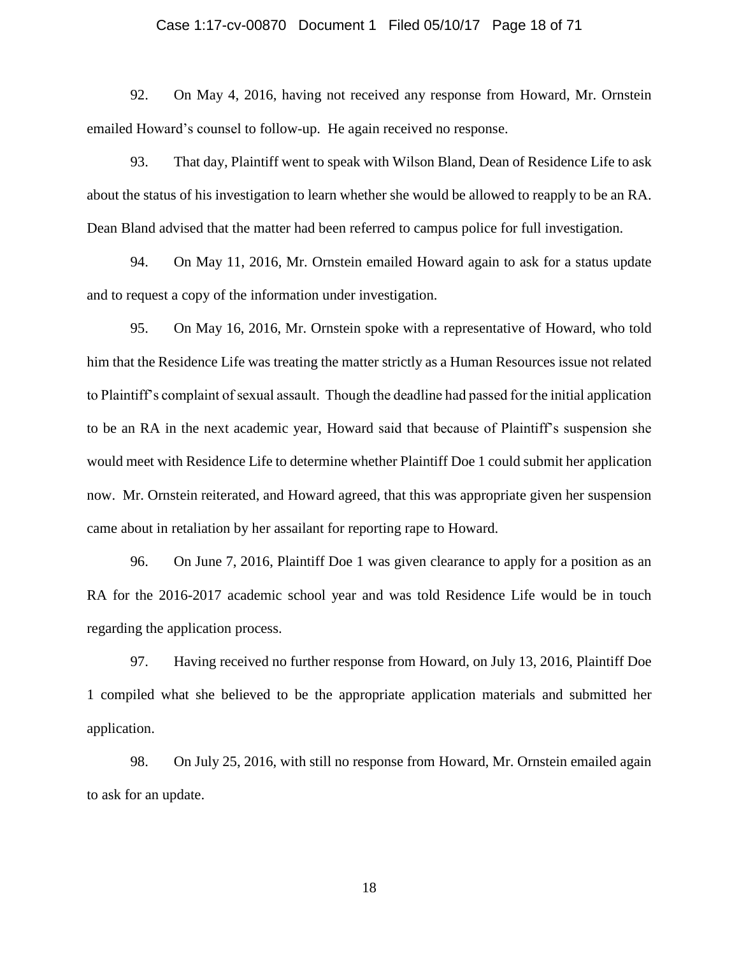#### Case 1:17-cv-00870 Document 1 Filed 05/10/17 Page 18 of 71

92. On May 4, 2016, having not received any response from Howard, Mr. Ornstein emailed Howard's counsel to follow-up. He again received no response.

93. That day, Plaintiff went to speak with Wilson Bland, Dean of Residence Life to ask about the status of his investigation to learn whether she would be allowed to reapply to be an RA. Dean Bland advised that the matter had been referred to campus police for full investigation.

94. On May 11, 2016, Mr. Ornstein emailed Howard again to ask for a status update and to request a copy of the information under investigation.

95. On May 16, 2016, Mr. Ornstein spoke with a representative of Howard, who told him that the Residence Life was treating the matter strictly as a Human Resources issue not related to Plaintiff's complaint of sexual assault. Though the deadline had passed for the initial application to be an RA in the next academic year, Howard said that because of Plaintiff's suspension she would meet with Residence Life to determine whether Plaintiff Doe 1 could submit her application now. Mr. Ornstein reiterated, and Howard agreed, that this was appropriate given her suspension came about in retaliation by her assailant for reporting rape to Howard.

96. On June 7, 2016, Plaintiff Doe 1 was given clearance to apply for a position as an RA for the 2016-2017 academic school year and was told Residence Life would be in touch regarding the application process.

97. Having received no further response from Howard, on July 13, 2016, Plaintiff Doe 1 compiled what she believed to be the appropriate application materials and submitted her application.

98. On July 25, 2016, with still no response from Howard, Mr. Ornstein emailed again to ask for an update.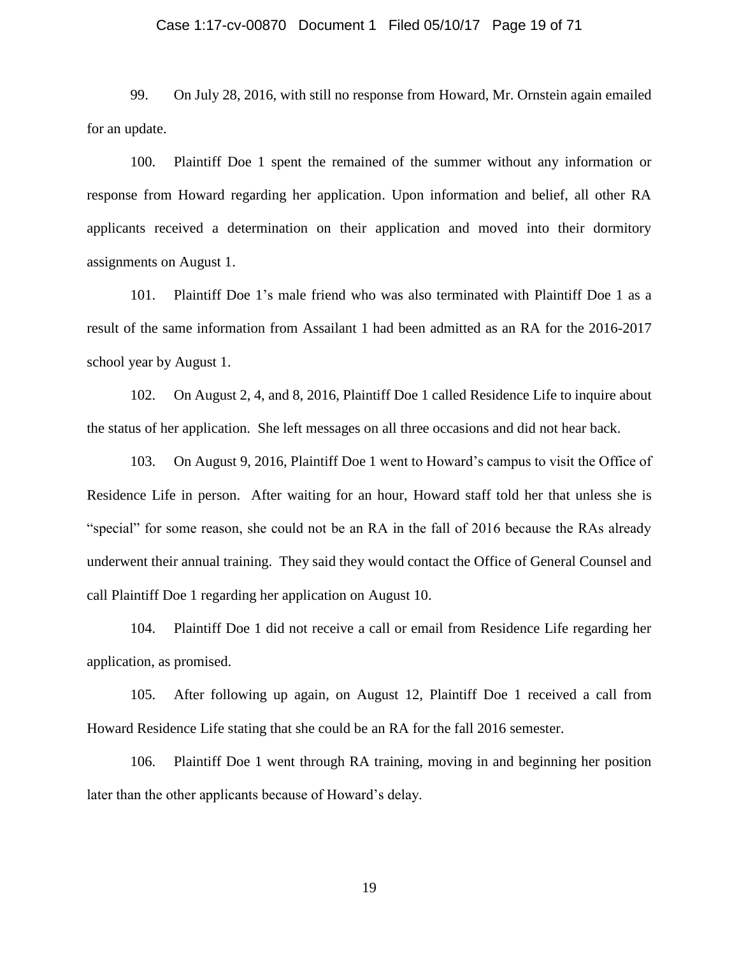#### Case 1:17-cv-00870 Document 1 Filed 05/10/17 Page 19 of 71

99. On July 28, 2016, with still no response from Howard, Mr. Ornstein again emailed for an update.

100. Plaintiff Doe 1 spent the remained of the summer without any information or response from Howard regarding her application. Upon information and belief, all other RA applicants received a determination on their application and moved into their dormitory assignments on August 1.

101. Plaintiff Doe 1's male friend who was also terminated with Plaintiff Doe 1 as a result of the same information from Assailant 1 had been admitted as an RA for the 2016-2017 school year by August 1.

102. On August 2, 4, and 8, 2016, Plaintiff Doe 1 called Residence Life to inquire about the status of her application. She left messages on all three occasions and did not hear back.

103. On August 9, 2016, Plaintiff Doe 1 went to Howard's campus to visit the Office of Residence Life in person. After waiting for an hour, Howard staff told her that unless she is "special" for some reason, she could not be an RA in the fall of 2016 because the RAs already underwent their annual training. They said they would contact the Office of General Counsel and call Plaintiff Doe 1 regarding her application on August 10.

104. Plaintiff Doe 1 did not receive a call or email from Residence Life regarding her application, as promised.

105. After following up again, on August 12, Plaintiff Doe 1 received a call from Howard Residence Life stating that she could be an RA for the fall 2016 semester.

106. Plaintiff Doe 1 went through RA training, moving in and beginning her position later than the other applicants because of Howard's delay.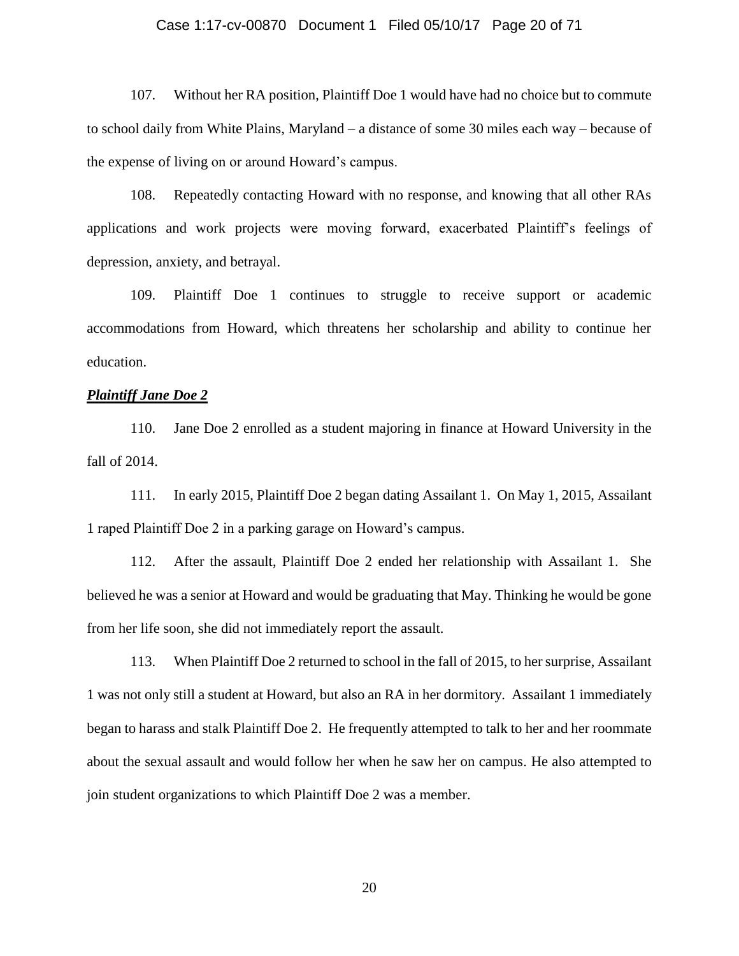#### Case 1:17-cv-00870 Document 1 Filed 05/10/17 Page 20 of 71

107. Without her RA position, Plaintiff Doe 1 would have had no choice but to commute to school daily from White Plains, Maryland – a distance of some 30 miles each way – because of the expense of living on or around Howard's campus.

108. Repeatedly contacting Howard with no response, and knowing that all other RAs applications and work projects were moving forward, exacerbated Plaintiff's feelings of depression, anxiety, and betrayal.

109. Plaintiff Doe 1 continues to struggle to receive support or academic accommodations from Howard, which threatens her scholarship and ability to continue her education.

### *Plaintiff Jane Doe 2*

110. Jane Doe 2 enrolled as a student majoring in finance at Howard University in the fall of 2014.

111. In early 2015, Plaintiff Doe 2 began dating Assailant 1. On May 1, 2015, Assailant 1 raped Plaintiff Doe 2 in a parking garage on Howard's campus.

112. After the assault, Plaintiff Doe 2 ended her relationship with Assailant 1. She believed he was a senior at Howard and would be graduating that May. Thinking he would be gone from her life soon, she did not immediately report the assault.

113. When Plaintiff Doe 2 returned to school in the fall of 2015, to her surprise, Assailant 1 was not only still a student at Howard, but also an RA in her dormitory. Assailant 1 immediately began to harass and stalk Plaintiff Doe 2. He frequently attempted to talk to her and her roommate about the sexual assault and would follow her when he saw her on campus. He also attempted to join student organizations to which Plaintiff Doe 2 was a member.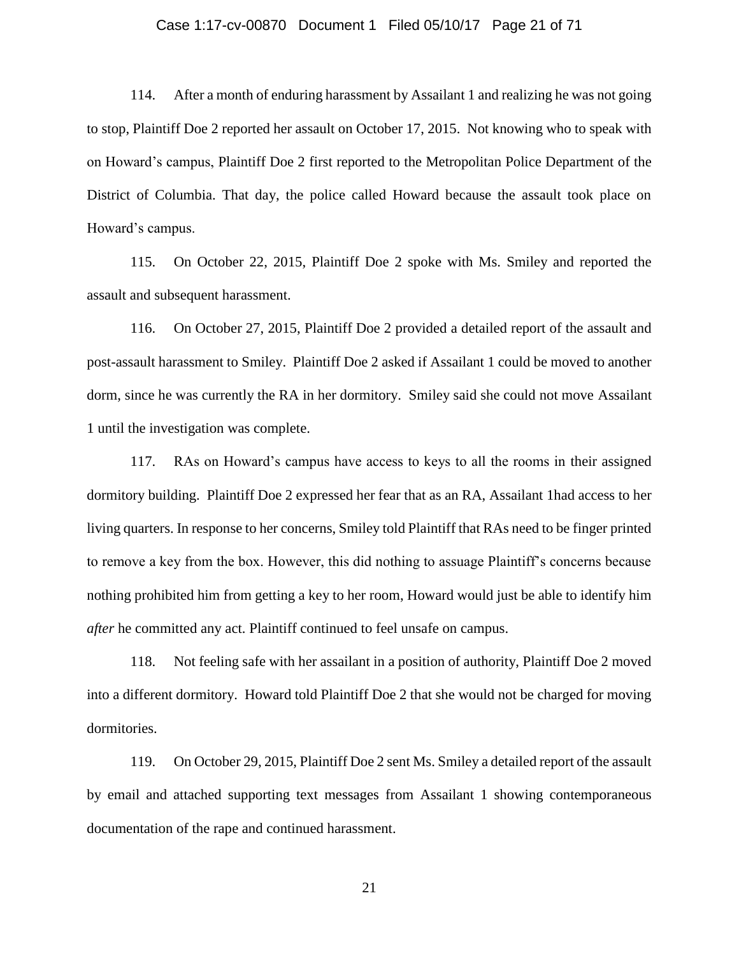#### Case 1:17-cv-00870 Document 1 Filed 05/10/17 Page 21 of 71

114. After a month of enduring harassment by Assailant 1 and realizing he was not going to stop, Plaintiff Doe 2 reported her assault on October 17, 2015. Not knowing who to speak with on Howard's campus, Plaintiff Doe 2 first reported to the Metropolitan Police Department of the District of Columbia. That day, the police called Howard because the assault took place on Howard's campus.

115. On October 22, 2015, Plaintiff Doe 2 spoke with Ms. Smiley and reported the assault and subsequent harassment.

116. On October 27, 2015, Plaintiff Doe 2 provided a detailed report of the assault and post-assault harassment to Smiley. Plaintiff Doe 2 asked if Assailant 1 could be moved to another dorm, since he was currently the RA in her dormitory. Smiley said she could not move Assailant 1 until the investigation was complete.

117. RAs on Howard's campus have access to keys to all the rooms in their assigned dormitory building. Plaintiff Doe 2 expressed her fear that as an RA, Assailant 1had access to her living quarters. In response to her concerns, Smiley told Plaintiff that RAs need to be finger printed to remove a key from the box. However, this did nothing to assuage Plaintiff's concerns because nothing prohibited him from getting a key to her room, Howard would just be able to identify him *after* he committed any act. Plaintiff continued to feel unsafe on campus.

118. Not feeling safe with her assailant in a position of authority, Plaintiff Doe 2 moved into a different dormitory. Howard told Plaintiff Doe 2 that she would not be charged for moving dormitories.

119. On October 29, 2015, Plaintiff Doe 2 sent Ms. Smiley a detailed report of the assault by email and attached supporting text messages from Assailant 1 showing contemporaneous documentation of the rape and continued harassment.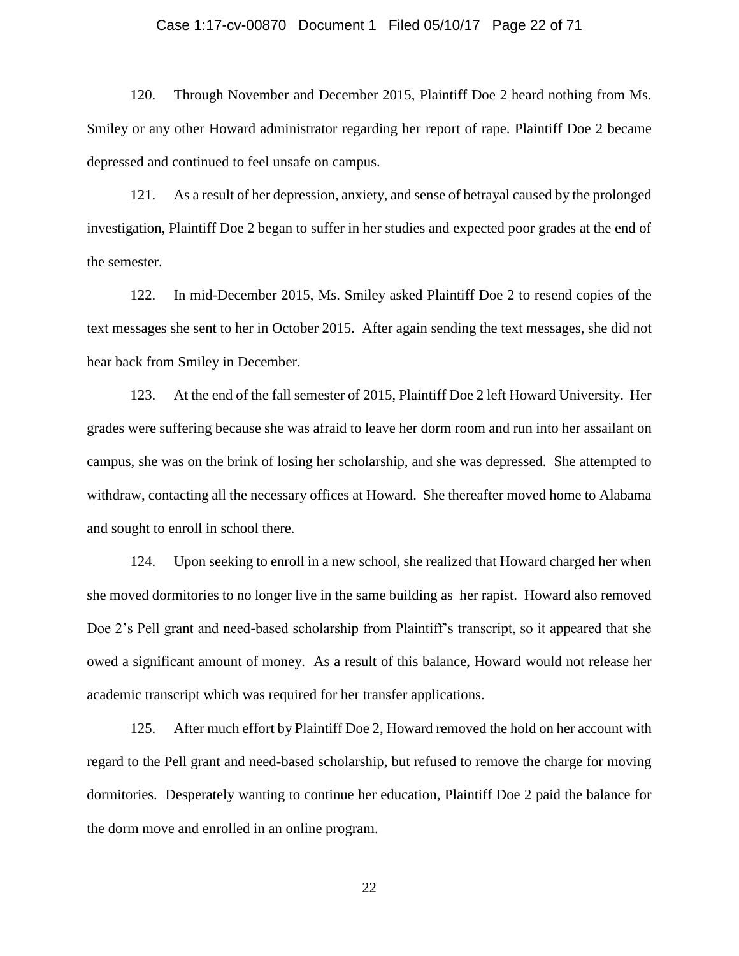#### Case 1:17-cv-00870 Document 1 Filed 05/10/17 Page 22 of 71

120. Through November and December 2015, Plaintiff Doe 2 heard nothing from Ms. Smiley or any other Howard administrator regarding her report of rape. Plaintiff Doe 2 became depressed and continued to feel unsafe on campus.

121. As a result of her depression, anxiety, and sense of betrayal caused by the prolonged investigation, Plaintiff Doe 2 began to suffer in her studies and expected poor grades at the end of the semester.

122. In mid-December 2015, Ms. Smiley asked Plaintiff Doe 2 to resend copies of the text messages she sent to her in October 2015. After again sending the text messages, she did not hear back from Smiley in December.

123. At the end of the fall semester of 2015, Plaintiff Doe 2 left Howard University. Her grades were suffering because she was afraid to leave her dorm room and run into her assailant on campus, she was on the brink of losing her scholarship, and she was depressed. She attempted to withdraw, contacting all the necessary offices at Howard. She thereafter moved home to Alabama and sought to enroll in school there.

124. Upon seeking to enroll in a new school, she realized that Howard charged her when she moved dormitories to no longer live in the same building as her rapist. Howard also removed Doe 2's Pell grant and need-based scholarship from Plaintiff's transcript, so it appeared that she owed a significant amount of money. As a result of this balance, Howard would not release her academic transcript which was required for her transfer applications.

125. After much effort by Plaintiff Doe 2, Howard removed the hold on her account with regard to the Pell grant and need-based scholarship, but refused to remove the charge for moving dormitories. Desperately wanting to continue her education, Plaintiff Doe 2 paid the balance for the dorm move and enrolled in an online program.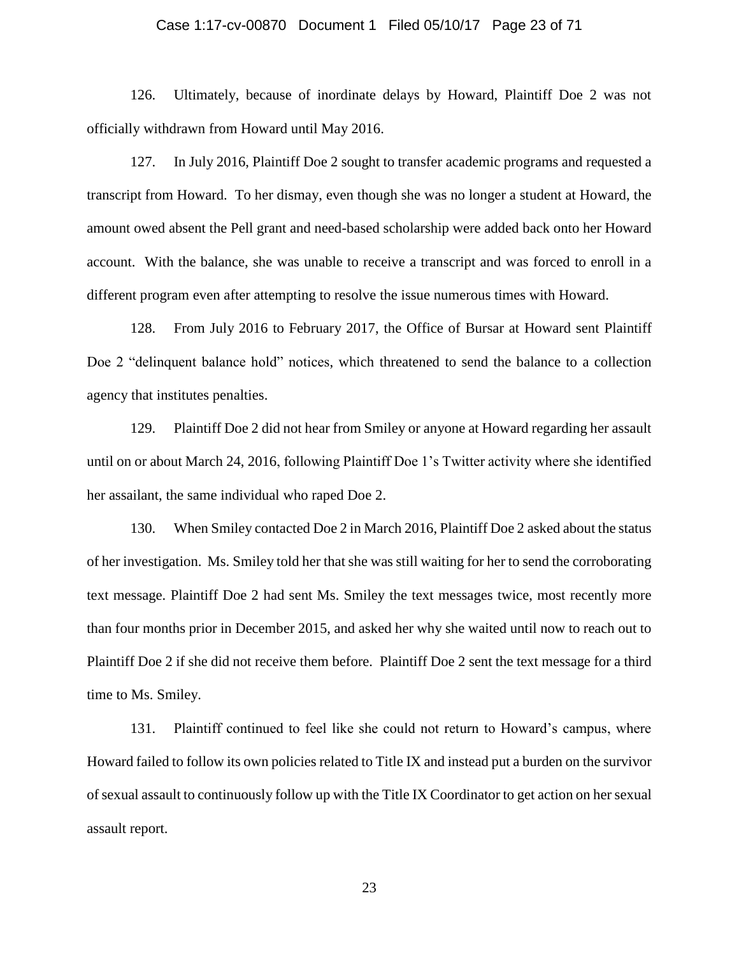#### Case 1:17-cv-00870 Document 1 Filed 05/10/17 Page 23 of 71

126. Ultimately, because of inordinate delays by Howard, Plaintiff Doe 2 was not officially withdrawn from Howard until May 2016.

127. In July 2016, Plaintiff Doe 2 sought to transfer academic programs and requested a transcript from Howard. To her dismay, even though she was no longer a student at Howard, the amount owed absent the Pell grant and need-based scholarship were added back onto her Howard account. With the balance, she was unable to receive a transcript and was forced to enroll in a different program even after attempting to resolve the issue numerous times with Howard.

128. From July 2016 to February 2017, the Office of Bursar at Howard sent Plaintiff Doe 2 "delinquent balance hold" notices, which threatened to send the balance to a collection agency that institutes penalties.

129. Plaintiff Doe 2 did not hear from Smiley or anyone at Howard regarding her assault until on or about March 24, 2016, following Plaintiff Doe 1's Twitter activity where she identified her assailant, the same individual who raped Doe 2.

130. When Smiley contacted Doe 2 in March 2016, Plaintiff Doe 2 asked about the status of her investigation. Ms. Smiley told her that she was still waiting for her to send the corroborating text message. Plaintiff Doe 2 had sent Ms. Smiley the text messages twice, most recently more than four months prior in December 2015, and asked her why she waited until now to reach out to Plaintiff Doe 2 if she did not receive them before. Plaintiff Doe 2 sent the text message for a third time to Ms. Smiley.

131. Plaintiff continued to feel like she could not return to Howard's campus, where Howard failed to follow its own policies related to Title IX and instead put a burden on the survivor of sexual assault to continuously follow up with the Title IX Coordinator to get action on her sexual assault report.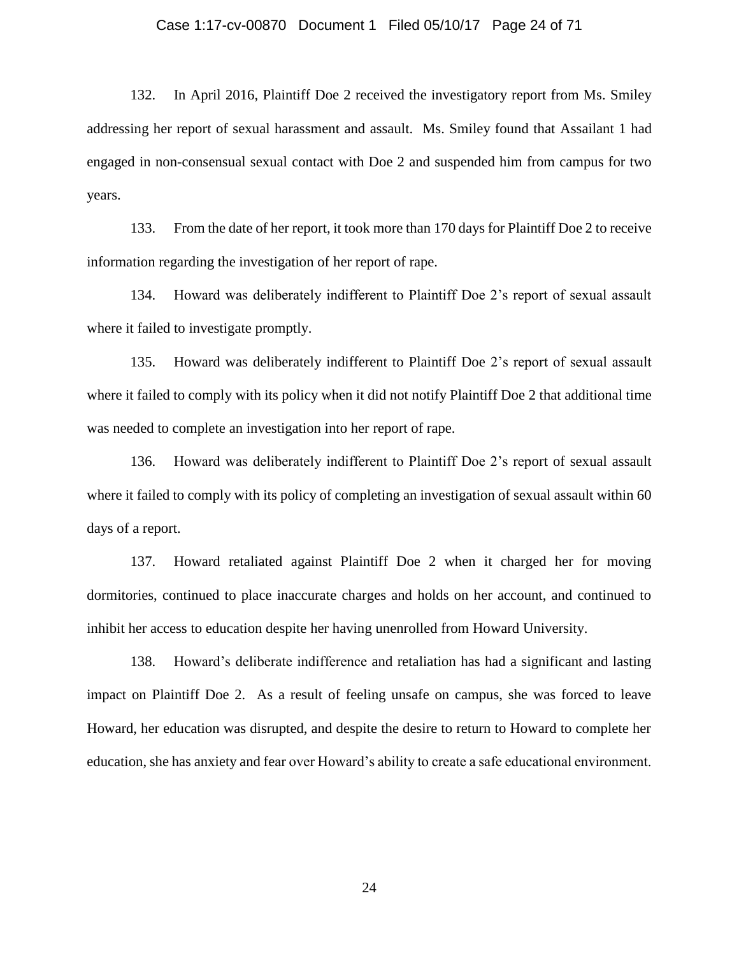#### Case 1:17-cv-00870 Document 1 Filed 05/10/17 Page 24 of 71

132. In April 2016, Plaintiff Doe 2 received the investigatory report from Ms. Smiley addressing her report of sexual harassment and assault. Ms. Smiley found that Assailant 1 had engaged in non-consensual sexual contact with Doe 2 and suspended him from campus for two years.

133. From the date of her report, it took more than 170 days for Plaintiff Doe 2 to receive information regarding the investigation of her report of rape.

134. Howard was deliberately indifferent to Plaintiff Doe 2's report of sexual assault where it failed to investigate promptly.

135. Howard was deliberately indifferent to Plaintiff Doe 2's report of sexual assault where it failed to comply with its policy when it did not notify Plaintiff Doe 2 that additional time was needed to complete an investigation into her report of rape.

136. Howard was deliberately indifferent to Plaintiff Doe 2's report of sexual assault where it failed to comply with its policy of completing an investigation of sexual assault within 60 days of a report.

137. Howard retaliated against Plaintiff Doe 2 when it charged her for moving dormitories, continued to place inaccurate charges and holds on her account, and continued to inhibit her access to education despite her having unenrolled from Howard University.

138. Howard's deliberate indifference and retaliation has had a significant and lasting impact on Plaintiff Doe 2. As a result of feeling unsafe on campus, she was forced to leave Howard, her education was disrupted, and despite the desire to return to Howard to complete her education, she has anxiety and fear over Howard's ability to create a safe educational environment.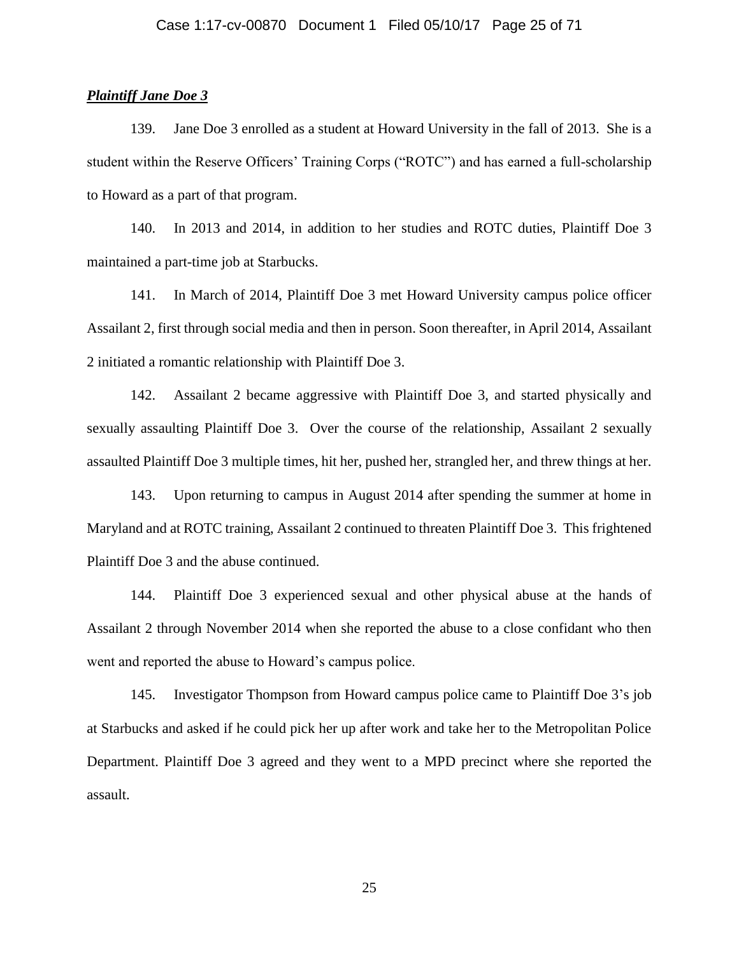### *Plaintiff Jane Doe 3*

139. Jane Doe 3 enrolled as a student at Howard University in the fall of 2013. She is a student within the Reserve Officers' Training Corps ("ROTC") and has earned a full-scholarship to Howard as a part of that program.

140. In 2013 and 2014, in addition to her studies and ROTC duties, Plaintiff Doe 3 maintained a part-time job at Starbucks.

141. In March of 2014, Plaintiff Doe 3 met Howard University campus police officer Assailant 2, first through social media and then in person. Soon thereafter, in April 2014, Assailant 2 initiated a romantic relationship with Plaintiff Doe 3.

142. Assailant 2 became aggressive with Plaintiff Doe 3, and started physically and sexually assaulting Plaintiff Doe 3. Over the course of the relationship, Assailant 2 sexually assaulted Plaintiff Doe 3 multiple times, hit her, pushed her, strangled her, and threw things at her.

143. Upon returning to campus in August 2014 after spending the summer at home in Maryland and at ROTC training, Assailant 2 continued to threaten Plaintiff Doe 3. This frightened Plaintiff Doe 3 and the abuse continued.

144. Plaintiff Doe 3 experienced sexual and other physical abuse at the hands of Assailant 2 through November 2014 when she reported the abuse to a close confidant who then went and reported the abuse to Howard's campus police.

145. Investigator Thompson from Howard campus police came to Plaintiff Doe 3's job at Starbucks and asked if he could pick her up after work and take her to the Metropolitan Police Department. Plaintiff Doe 3 agreed and they went to a MPD precinct where she reported the assault.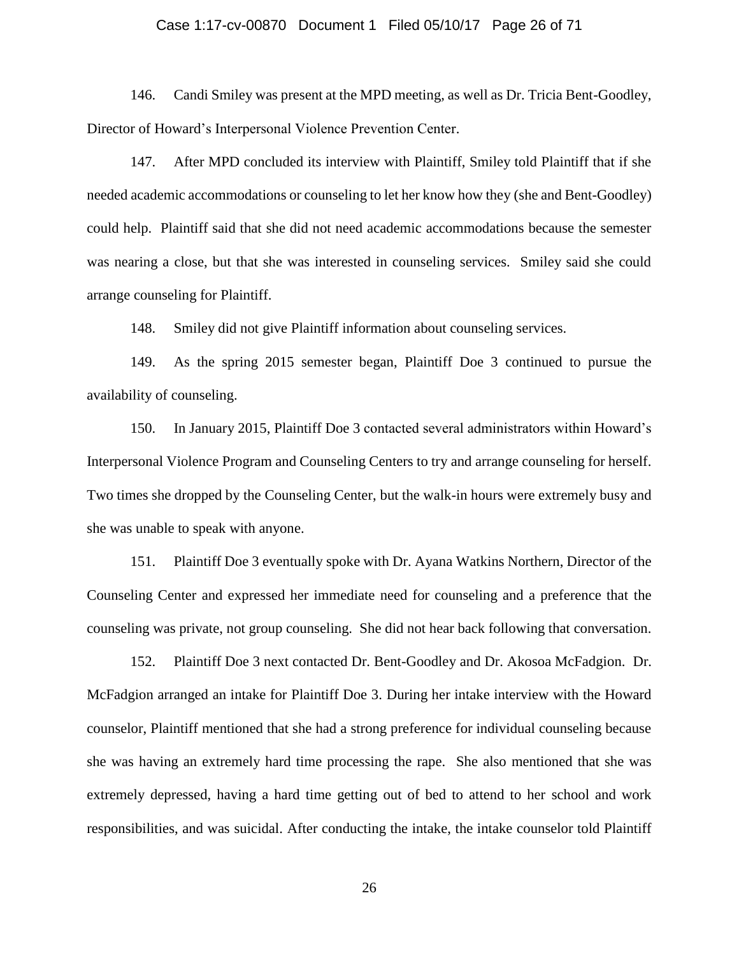#### Case 1:17-cv-00870 Document 1 Filed 05/10/17 Page 26 of 71

146. Candi Smiley was present at the MPD meeting, as well as Dr. Tricia Bent-Goodley, Director of Howard's Interpersonal Violence Prevention Center.

147. After MPD concluded its interview with Plaintiff, Smiley told Plaintiff that if she needed academic accommodations or counseling to let her know how they (she and Bent-Goodley) could help. Plaintiff said that she did not need academic accommodations because the semester was nearing a close, but that she was interested in counseling services. Smiley said she could arrange counseling for Plaintiff.

148. Smiley did not give Plaintiff information about counseling services.

149. As the spring 2015 semester began, Plaintiff Doe 3 continued to pursue the availability of counseling.

150. In January 2015, Plaintiff Doe 3 contacted several administrators within Howard's Interpersonal Violence Program and Counseling Centers to try and arrange counseling for herself. Two times she dropped by the Counseling Center, but the walk-in hours were extremely busy and she was unable to speak with anyone.

151. Plaintiff Doe 3 eventually spoke with Dr. Ayana Watkins Northern, Director of the Counseling Center and expressed her immediate need for counseling and a preference that the counseling was private, not group counseling. She did not hear back following that conversation.

152. Plaintiff Doe 3 next contacted Dr. Bent-Goodley and Dr. Akosoa McFadgion. Dr. McFadgion arranged an intake for Plaintiff Doe 3. During her intake interview with the Howard counselor, Plaintiff mentioned that she had a strong preference for individual counseling because she was having an extremely hard time processing the rape. She also mentioned that she was extremely depressed, having a hard time getting out of bed to attend to her school and work responsibilities, and was suicidal. After conducting the intake, the intake counselor told Plaintiff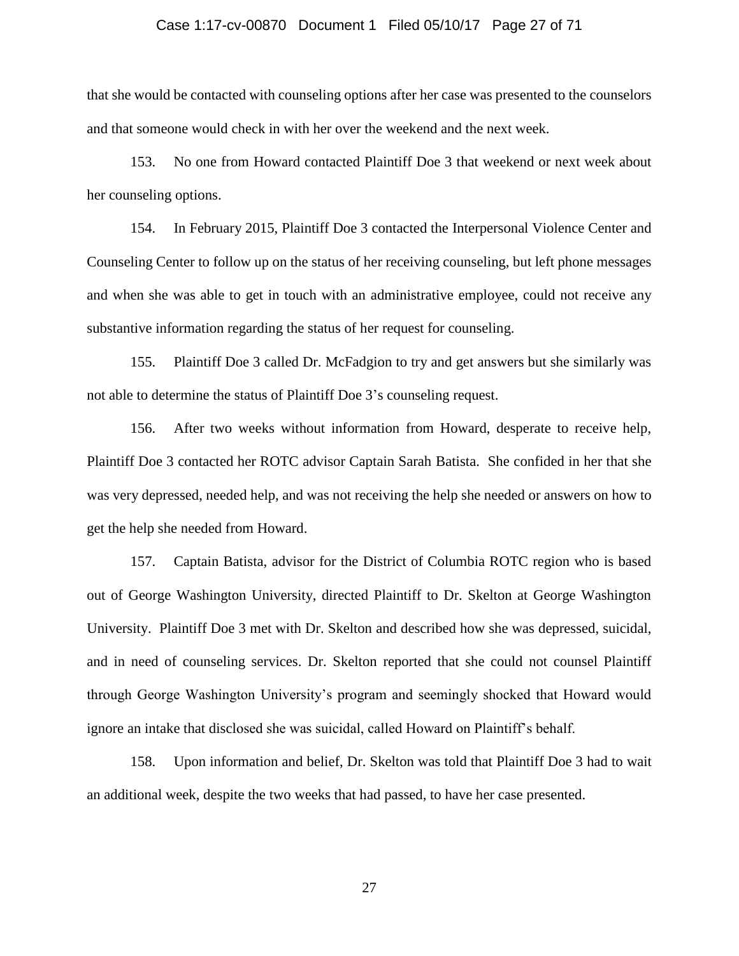#### Case 1:17-cv-00870 Document 1 Filed 05/10/17 Page 27 of 71

that she would be contacted with counseling options after her case was presented to the counselors and that someone would check in with her over the weekend and the next week.

153. No one from Howard contacted Plaintiff Doe 3 that weekend or next week about her counseling options.

154. In February 2015, Plaintiff Doe 3 contacted the Interpersonal Violence Center and Counseling Center to follow up on the status of her receiving counseling, but left phone messages and when she was able to get in touch with an administrative employee, could not receive any substantive information regarding the status of her request for counseling.

155. Plaintiff Doe 3 called Dr. McFadgion to try and get answers but she similarly was not able to determine the status of Plaintiff Doe 3's counseling request.

156. After two weeks without information from Howard, desperate to receive help, Plaintiff Doe 3 contacted her ROTC advisor Captain Sarah Batista. She confided in her that she was very depressed, needed help, and was not receiving the help she needed or answers on how to get the help she needed from Howard.

157. Captain Batista, advisor for the District of Columbia ROTC region who is based out of George Washington University, directed Plaintiff to Dr. Skelton at George Washington University. Plaintiff Doe 3 met with Dr. Skelton and described how she was depressed, suicidal, and in need of counseling services. Dr. Skelton reported that she could not counsel Plaintiff through George Washington University's program and seemingly shocked that Howard would ignore an intake that disclosed she was suicidal, called Howard on Plaintiff's behalf.

158. Upon information and belief, Dr. Skelton was told that Plaintiff Doe 3 had to wait an additional week, despite the two weeks that had passed, to have her case presented.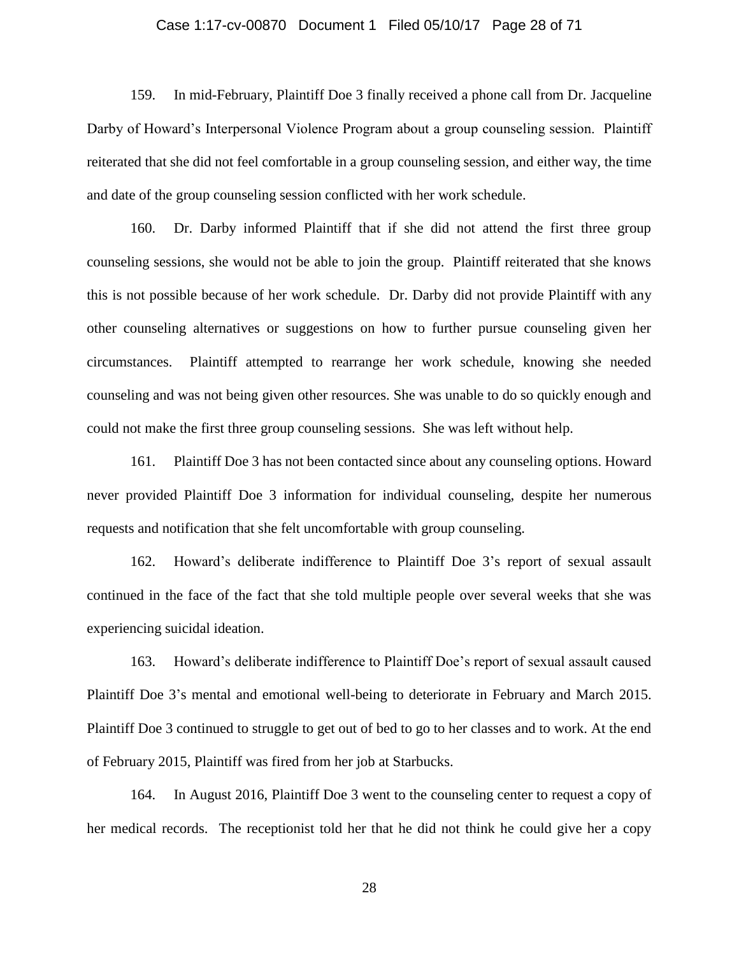#### Case 1:17-cv-00870 Document 1 Filed 05/10/17 Page 28 of 71

159. In mid-February, Plaintiff Doe 3 finally received a phone call from Dr. Jacqueline Darby of Howard's Interpersonal Violence Program about a group counseling session. Plaintiff reiterated that she did not feel comfortable in a group counseling session, and either way, the time and date of the group counseling session conflicted with her work schedule.

160. Dr. Darby informed Plaintiff that if she did not attend the first three group counseling sessions, she would not be able to join the group. Plaintiff reiterated that she knows this is not possible because of her work schedule. Dr. Darby did not provide Plaintiff with any other counseling alternatives or suggestions on how to further pursue counseling given her circumstances. Plaintiff attempted to rearrange her work schedule, knowing she needed counseling and was not being given other resources. She was unable to do so quickly enough and could not make the first three group counseling sessions. She was left without help.

161. Plaintiff Doe 3 has not been contacted since about any counseling options. Howard never provided Plaintiff Doe 3 information for individual counseling, despite her numerous requests and notification that she felt uncomfortable with group counseling.

162. Howard's deliberate indifference to Plaintiff Doe 3's report of sexual assault continued in the face of the fact that she told multiple people over several weeks that she was experiencing suicidal ideation.

163. Howard's deliberate indifference to Plaintiff Doe's report of sexual assault caused Plaintiff Doe 3's mental and emotional well-being to deteriorate in February and March 2015. Plaintiff Doe 3 continued to struggle to get out of bed to go to her classes and to work. At the end of February 2015, Plaintiff was fired from her job at Starbucks.

164. In August 2016, Plaintiff Doe 3 went to the counseling center to request a copy of her medical records. The receptionist told her that he did not think he could give her a copy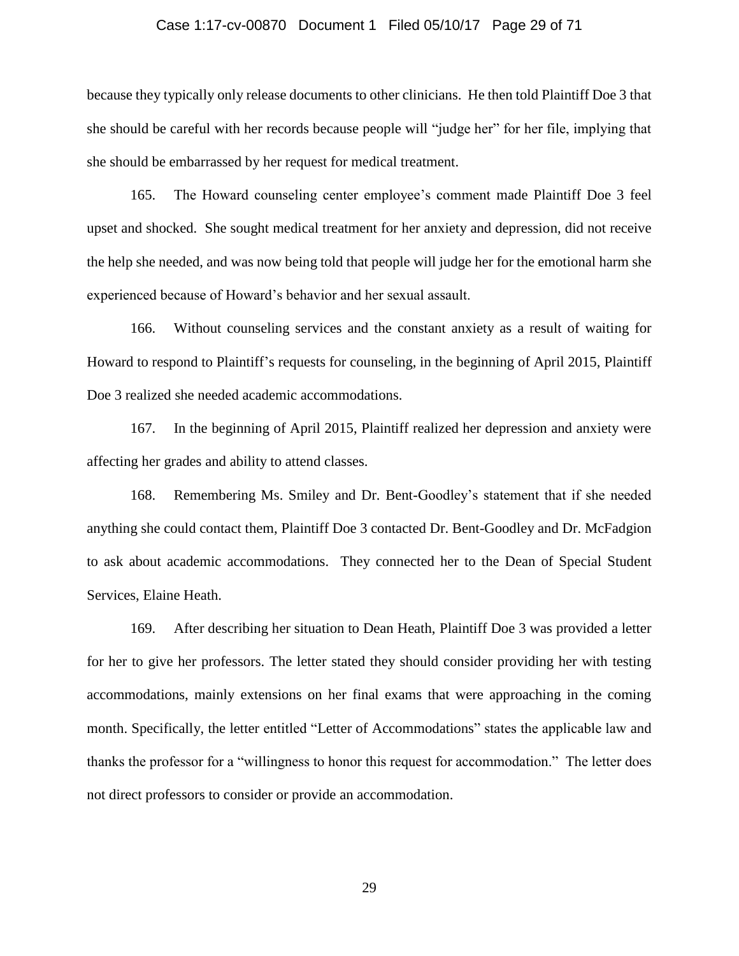#### Case 1:17-cv-00870 Document 1 Filed 05/10/17 Page 29 of 71

because they typically only release documents to other clinicians. He then told Plaintiff Doe 3 that she should be careful with her records because people will "judge her" for her file, implying that she should be embarrassed by her request for medical treatment.

165. The Howard counseling center employee's comment made Plaintiff Doe 3 feel upset and shocked. She sought medical treatment for her anxiety and depression, did not receive the help she needed, and was now being told that people will judge her for the emotional harm she experienced because of Howard's behavior and her sexual assault.

166. Without counseling services and the constant anxiety as a result of waiting for Howard to respond to Plaintiff's requests for counseling, in the beginning of April 2015, Plaintiff Doe 3 realized she needed academic accommodations.

167. In the beginning of April 2015, Plaintiff realized her depression and anxiety were affecting her grades and ability to attend classes.

168. Remembering Ms. Smiley and Dr. Bent-Goodley's statement that if she needed anything she could contact them, Plaintiff Doe 3 contacted Dr. Bent-Goodley and Dr. McFadgion to ask about academic accommodations. They connected her to the Dean of Special Student Services, Elaine Heath.

169. After describing her situation to Dean Heath, Plaintiff Doe 3 was provided a letter for her to give her professors. The letter stated they should consider providing her with testing accommodations, mainly extensions on her final exams that were approaching in the coming month. Specifically, the letter entitled "Letter of Accommodations" states the applicable law and thanks the professor for a "willingness to honor this request for accommodation." The letter does not direct professors to consider or provide an accommodation.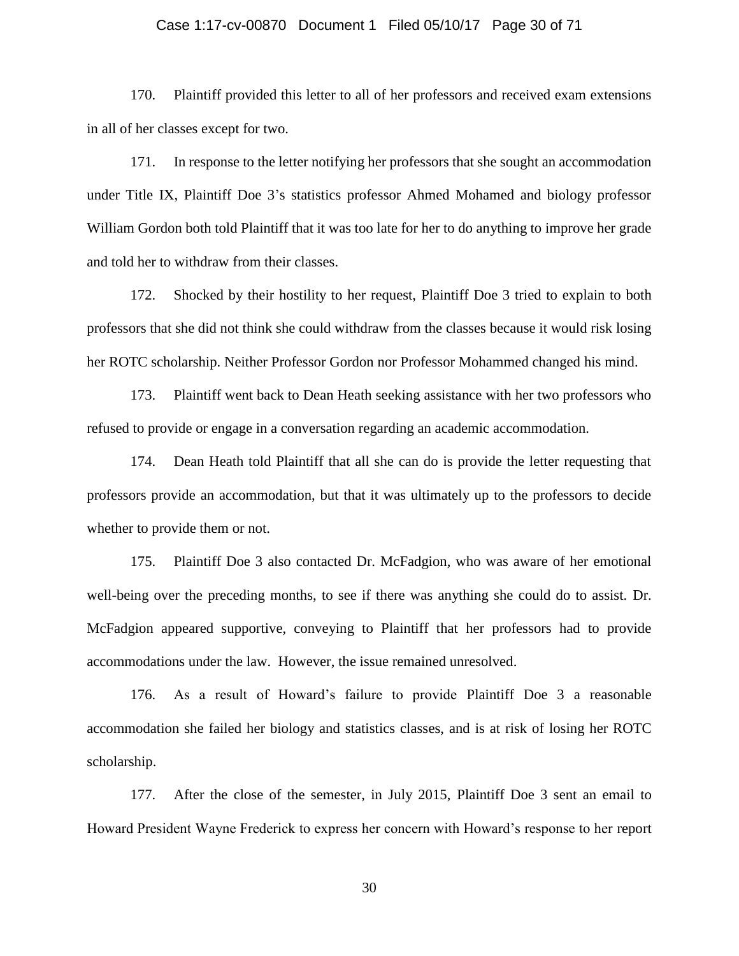#### Case 1:17-cv-00870 Document 1 Filed 05/10/17 Page 30 of 71

170. Plaintiff provided this letter to all of her professors and received exam extensions in all of her classes except for two.

171. In response to the letter notifying her professors that she sought an accommodation under Title IX, Plaintiff Doe 3's statistics professor Ahmed Mohamed and biology professor William Gordon both told Plaintiff that it was too late for her to do anything to improve her grade and told her to withdraw from their classes.

172. Shocked by their hostility to her request, Plaintiff Doe 3 tried to explain to both professors that she did not think she could withdraw from the classes because it would risk losing her ROTC scholarship. Neither Professor Gordon nor Professor Mohammed changed his mind.

173. Plaintiff went back to Dean Heath seeking assistance with her two professors who refused to provide or engage in a conversation regarding an academic accommodation.

174. Dean Heath told Plaintiff that all she can do is provide the letter requesting that professors provide an accommodation, but that it was ultimately up to the professors to decide whether to provide them or not.

175. Plaintiff Doe 3 also contacted Dr. McFadgion, who was aware of her emotional well-being over the preceding months, to see if there was anything she could do to assist. Dr. McFadgion appeared supportive, conveying to Plaintiff that her professors had to provide accommodations under the law. However, the issue remained unresolved.

176. As a result of Howard's failure to provide Plaintiff Doe 3 a reasonable accommodation she failed her biology and statistics classes, and is at risk of losing her ROTC scholarship.

177. After the close of the semester, in July 2015, Plaintiff Doe 3 sent an email to Howard President Wayne Frederick to express her concern with Howard's response to her report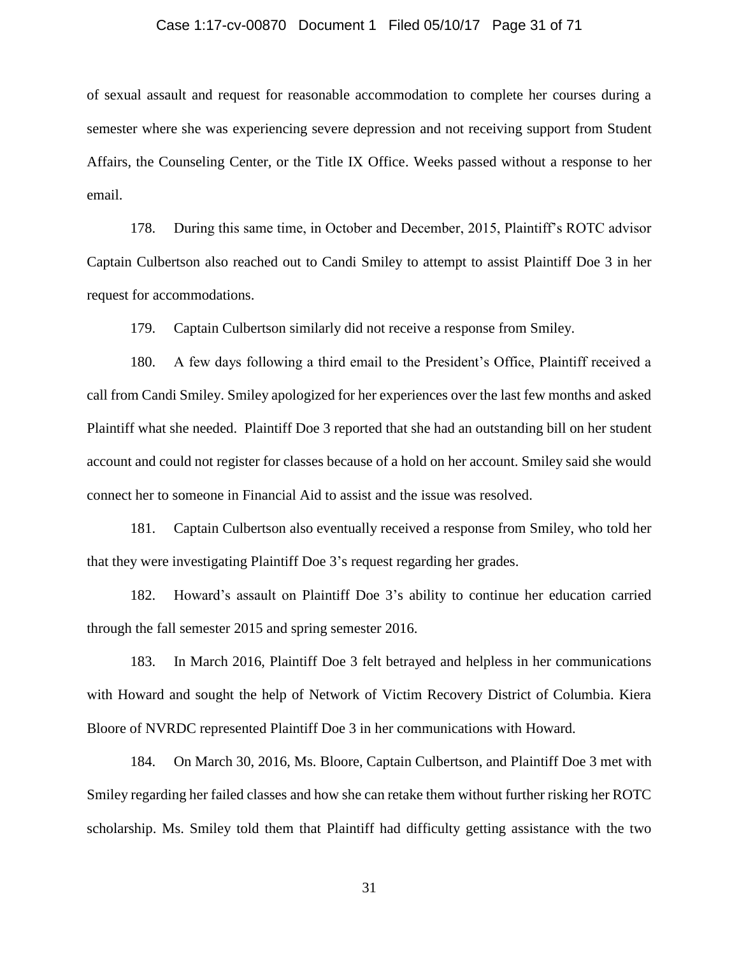#### Case 1:17-cv-00870 Document 1 Filed 05/10/17 Page 31 of 71

of sexual assault and request for reasonable accommodation to complete her courses during a semester where she was experiencing severe depression and not receiving support from Student Affairs, the Counseling Center, or the Title IX Office. Weeks passed without a response to her email.

178. During this same time, in October and December, 2015, Plaintiff's ROTC advisor Captain Culbertson also reached out to Candi Smiley to attempt to assist Plaintiff Doe 3 in her request for accommodations.

179. Captain Culbertson similarly did not receive a response from Smiley.

180. A few days following a third email to the President's Office, Plaintiff received a call from Candi Smiley. Smiley apologized for her experiences over the last few months and asked Plaintiff what she needed. Plaintiff Doe 3 reported that she had an outstanding bill on her student account and could not register for classes because of a hold on her account. Smiley said she would connect her to someone in Financial Aid to assist and the issue was resolved.

181. Captain Culbertson also eventually received a response from Smiley, who told her that they were investigating Plaintiff Doe 3's request regarding her grades.

182. Howard's assault on Plaintiff Doe 3's ability to continue her education carried through the fall semester 2015 and spring semester 2016.

183. In March 2016, Plaintiff Doe 3 felt betrayed and helpless in her communications with Howard and sought the help of Network of Victim Recovery District of Columbia. Kiera Bloore of NVRDC represented Plaintiff Doe 3 in her communications with Howard.

184. On March 30, 2016, Ms. Bloore, Captain Culbertson, and Plaintiff Doe 3 met with Smiley regarding her failed classes and how she can retake them without further risking her ROTC scholarship. Ms. Smiley told them that Plaintiff had difficulty getting assistance with the two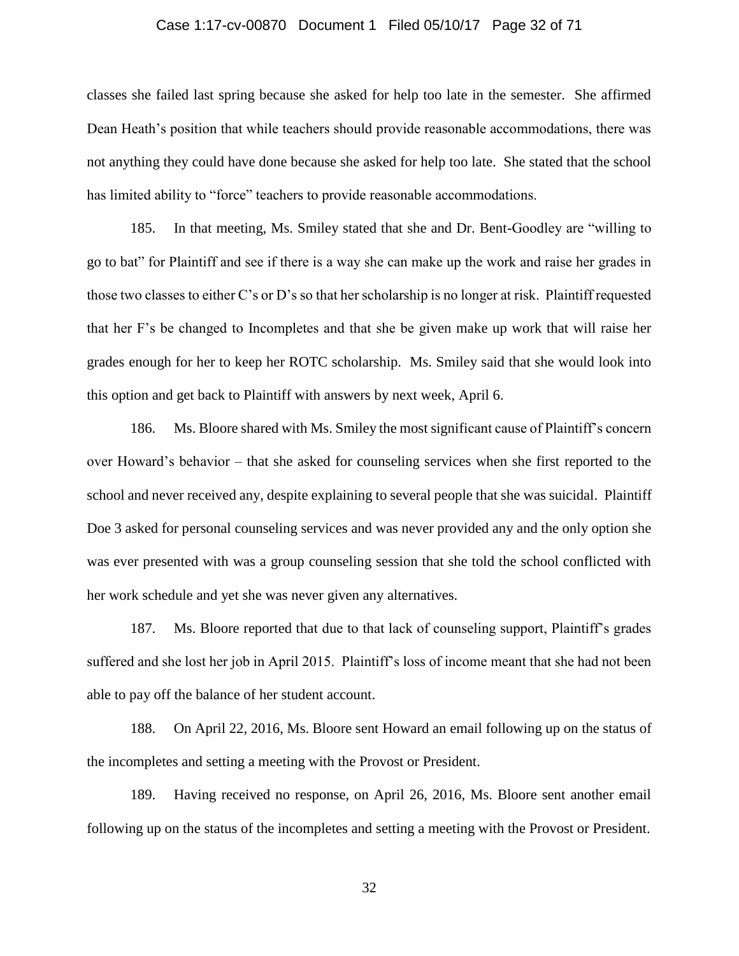#### Case 1:17-cv-00870 Document 1 Filed 05/10/17 Page 32 of 71

classes she failed last spring because she asked for help too late in the semester. She affirmed Dean Heath's position that while teachers should provide reasonable accommodations, there was not anything they could have done because she asked for help too late. She stated that the school has limited ability to "force" teachers to provide reasonable accommodations.

185. In that meeting, Ms. Smiley stated that she and Dr. Bent-Goodley are "willing to go to bat" for Plaintiff and see if there is a way she can make up the work and raise her grades in those two classes to either C's or D's so that her scholarship is no longer at risk. Plaintiff requested that her F's be changed to Incompletes and that she be given make up work that will raise her grades enough for her to keep her ROTC scholarship. Ms. Smiley said that she would look into this option and get back to Plaintiff with answers by next week, April 6.

186. Ms. Bloore shared with Ms. Smiley the most significant cause of Plaintiff's concern over Howard's behavior – that she asked for counseling services when she first reported to the school and never received any, despite explaining to several people that she was suicidal. Plaintiff Doe 3 asked for personal counseling services and was never provided any and the only option she was ever presented with was a group counseling session that she told the school conflicted with her work schedule and yet she was never given any alternatives.

187. Ms. Bloore reported that due to that lack of counseling support, Plaintiff's grades suffered and she lost her job in April 2015. Plaintiff's loss of income meant that she had not been able to pay off the balance of her student account.

188. On April 22, 2016, Ms. Bloore sent Howard an email following up on the status of the incompletes and setting a meeting with the Provost or President.

189. Having received no response, on April 26, 2016, Ms. Bloore sent another email following up on the status of the incompletes and setting a meeting with the Provost or President.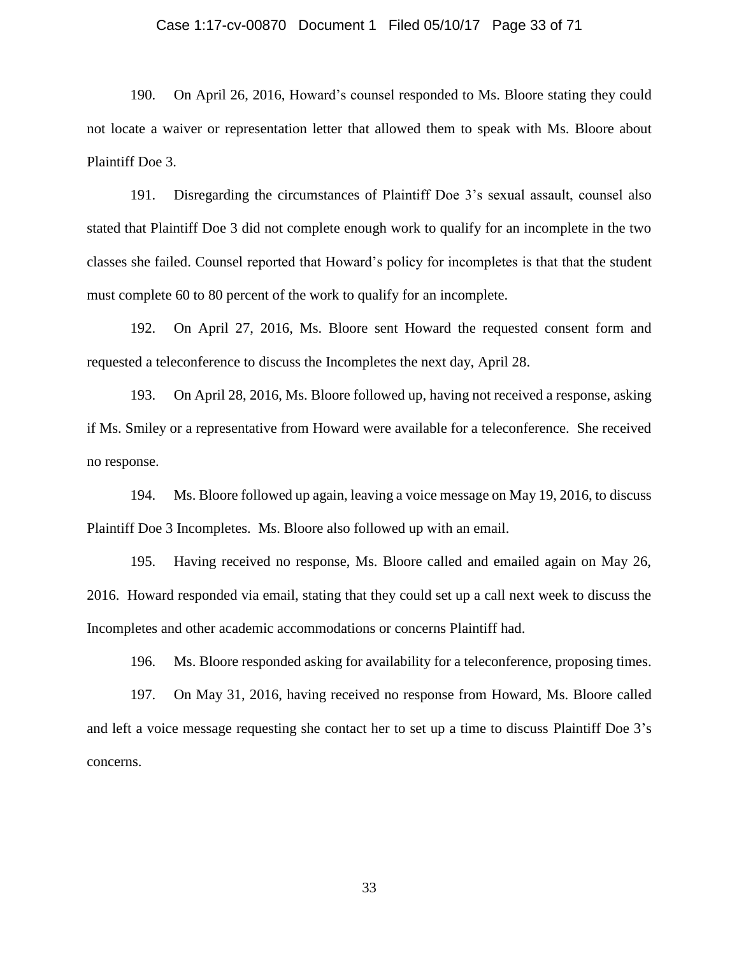#### Case 1:17-cv-00870 Document 1 Filed 05/10/17 Page 33 of 71

190. On April 26, 2016, Howard's counsel responded to Ms. Bloore stating they could not locate a waiver or representation letter that allowed them to speak with Ms. Bloore about Plaintiff Doe 3.

191. Disregarding the circumstances of Plaintiff Doe 3's sexual assault, counsel also stated that Plaintiff Doe 3 did not complete enough work to qualify for an incomplete in the two classes she failed. Counsel reported that Howard's policy for incompletes is that that the student must complete 60 to 80 percent of the work to qualify for an incomplete.

192. On April 27, 2016, Ms. Bloore sent Howard the requested consent form and requested a teleconference to discuss the Incompletes the next day, April 28.

193. On April 28, 2016, Ms. Bloore followed up, having not received a response, asking if Ms. Smiley or a representative from Howard were available for a teleconference. She received no response.

194. Ms. Bloore followed up again, leaving a voice message on May 19, 2016, to discuss Plaintiff Doe 3 Incompletes. Ms. Bloore also followed up with an email.

195. Having received no response, Ms. Bloore called and emailed again on May 26, 2016. Howard responded via email, stating that they could set up a call next week to discuss the Incompletes and other academic accommodations or concerns Plaintiff had.

196. Ms. Bloore responded asking for availability for a teleconference, proposing times.

197. On May 31, 2016, having received no response from Howard, Ms. Bloore called and left a voice message requesting she contact her to set up a time to discuss Plaintiff Doe 3's concerns.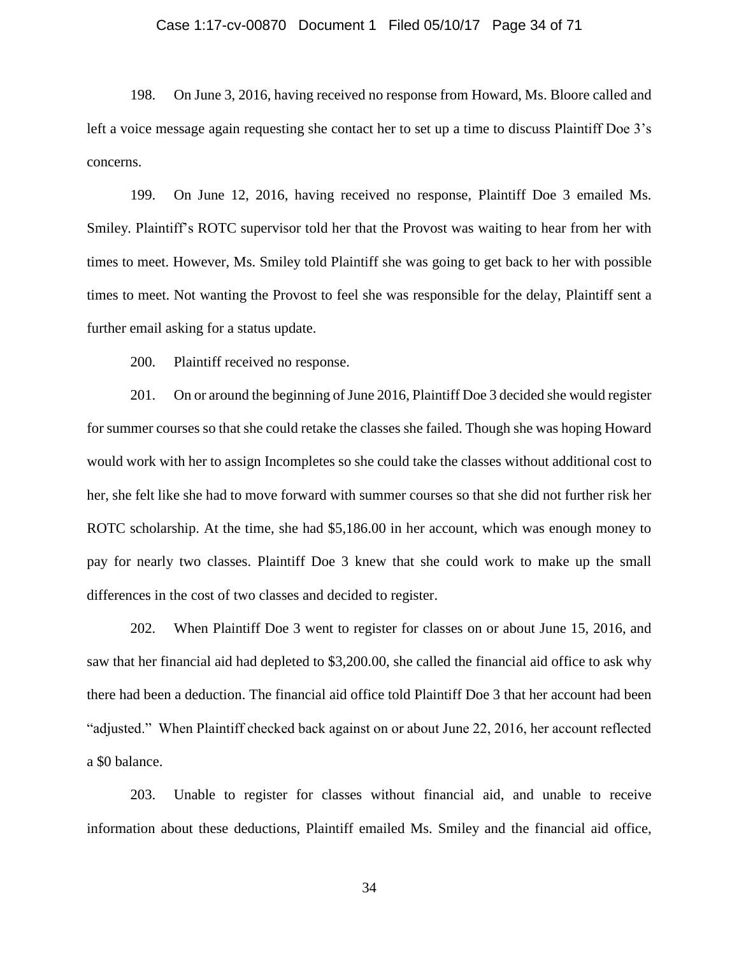#### Case 1:17-cv-00870 Document 1 Filed 05/10/17 Page 34 of 71

198. On June 3, 2016, having received no response from Howard, Ms. Bloore called and left a voice message again requesting she contact her to set up a time to discuss Plaintiff Doe 3's concerns.

199. On June 12, 2016, having received no response, Plaintiff Doe 3 emailed Ms. Smiley. Plaintiff's ROTC supervisor told her that the Provost was waiting to hear from her with times to meet. However, Ms. Smiley told Plaintiff she was going to get back to her with possible times to meet. Not wanting the Provost to feel she was responsible for the delay, Plaintiff sent a further email asking for a status update.

200. Plaintiff received no response.

201. On or around the beginning of June 2016, Plaintiff Doe 3 decided she would register for summer courses so that she could retake the classes she failed. Though she was hoping Howard would work with her to assign Incompletes so she could take the classes without additional cost to her, she felt like she had to move forward with summer courses so that she did not further risk her ROTC scholarship. At the time, she had \$5,186.00 in her account, which was enough money to pay for nearly two classes. Plaintiff Doe 3 knew that she could work to make up the small differences in the cost of two classes and decided to register.

202. When Plaintiff Doe 3 went to register for classes on or about June 15, 2016, and saw that her financial aid had depleted to \$3,200.00, she called the financial aid office to ask why there had been a deduction. The financial aid office told Plaintiff Doe 3 that her account had been "adjusted." When Plaintiff checked back against on or about June 22, 2016, her account reflected a \$0 balance.

203. Unable to register for classes without financial aid, and unable to receive information about these deductions, Plaintiff emailed Ms. Smiley and the financial aid office,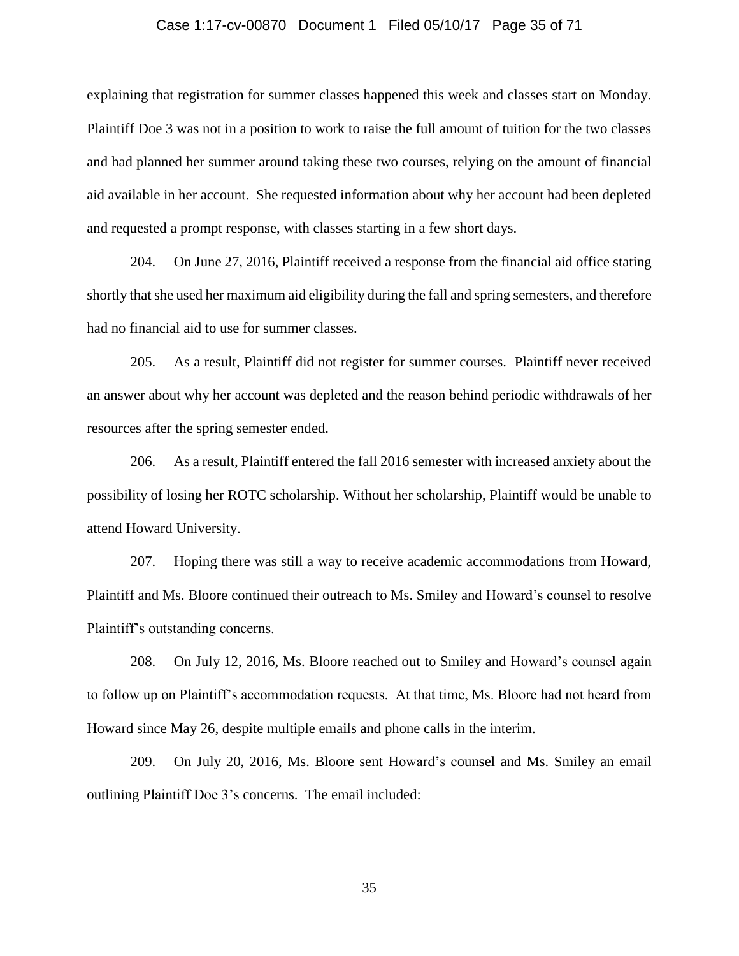#### Case 1:17-cv-00870 Document 1 Filed 05/10/17 Page 35 of 71

explaining that registration for summer classes happened this week and classes start on Monday. Plaintiff Doe 3 was not in a position to work to raise the full amount of tuition for the two classes and had planned her summer around taking these two courses, relying on the amount of financial aid available in her account. She requested information about why her account had been depleted and requested a prompt response, with classes starting in a few short days.

204. On June 27, 2016, Plaintiff received a response from the financial aid office stating shortly that she used her maximum aid eligibility during the fall and spring semesters, and therefore had no financial aid to use for summer classes.

205. As a result, Plaintiff did not register for summer courses. Plaintiff never received an answer about why her account was depleted and the reason behind periodic withdrawals of her resources after the spring semester ended.

206. As a result, Plaintiff entered the fall 2016 semester with increased anxiety about the possibility of losing her ROTC scholarship. Without her scholarship, Plaintiff would be unable to attend Howard University.

207. Hoping there was still a way to receive academic accommodations from Howard, Plaintiff and Ms. Bloore continued their outreach to Ms. Smiley and Howard's counsel to resolve Plaintiff's outstanding concerns.

208. On July 12, 2016, Ms. Bloore reached out to Smiley and Howard's counsel again to follow up on Plaintiff's accommodation requests. At that time, Ms. Bloore had not heard from Howard since May 26, despite multiple emails and phone calls in the interim.

209. On July 20, 2016, Ms. Bloore sent Howard's counsel and Ms. Smiley an email outlining Plaintiff Doe 3's concerns. The email included: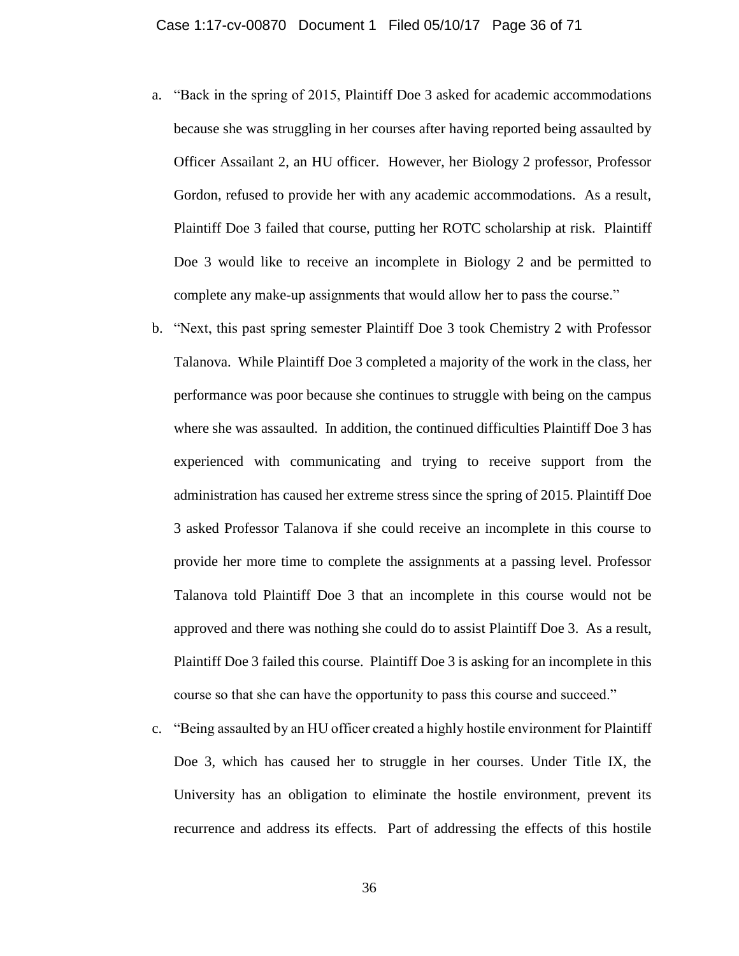- a. "Back in the spring of 2015, Plaintiff Doe 3 asked for academic accommodations because she was struggling in her courses after having reported being assaulted by Officer Assailant 2, an HU officer. However, her Biology 2 professor, Professor Gordon, refused to provide her with any academic accommodations. As a result, Plaintiff Doe 3 failed that course, putting her ROTC scholarship at risk. Plaintiff Doe 3 would like to receive an incomplete in Biology 2 and be permitted to complete any make-up assignments that would allow her to pass the course."
- b. "Next, this past spring semester Plaintiff Doe 3 took Chemistry 2 with Professor Talanova. While Plaintiff Doe 3 completed a majority of the work in the class, her performance was poor because she continues to struggle with being on the campus where she was assaulted. In addition, the continued difficulties Plaintiff Doe 3 has experienced with communicating and trying to receive support from the administration has caused her extreme stress since the spring of 2015. Plaintiff Doe 3 asked Professor Talanova if she could receive an incomplete in this course to provide her more time to complete the assignments at a passing level. Professor Talanova told Plaintiff Doe 3 that an incomplete in this course would not be approved and there was nothing she could do to assist Plaintiff Doe 3. As a result, Plaintiff Doe 3 failed this course. Plaintiff Doe 3 is asking for an incomplete in this course so that she can have the opportunity to pass this course and succeed."
- c. "Being assaulted by an HU officer created a highly hostile environment for Plaintiff Doe 3, which has caused her to struggle in her courses. Under Title IX, the University has an obligation to eliminate the hostile environment, prevent its recurrence and address its effects. Part of addressing the effects of this hostile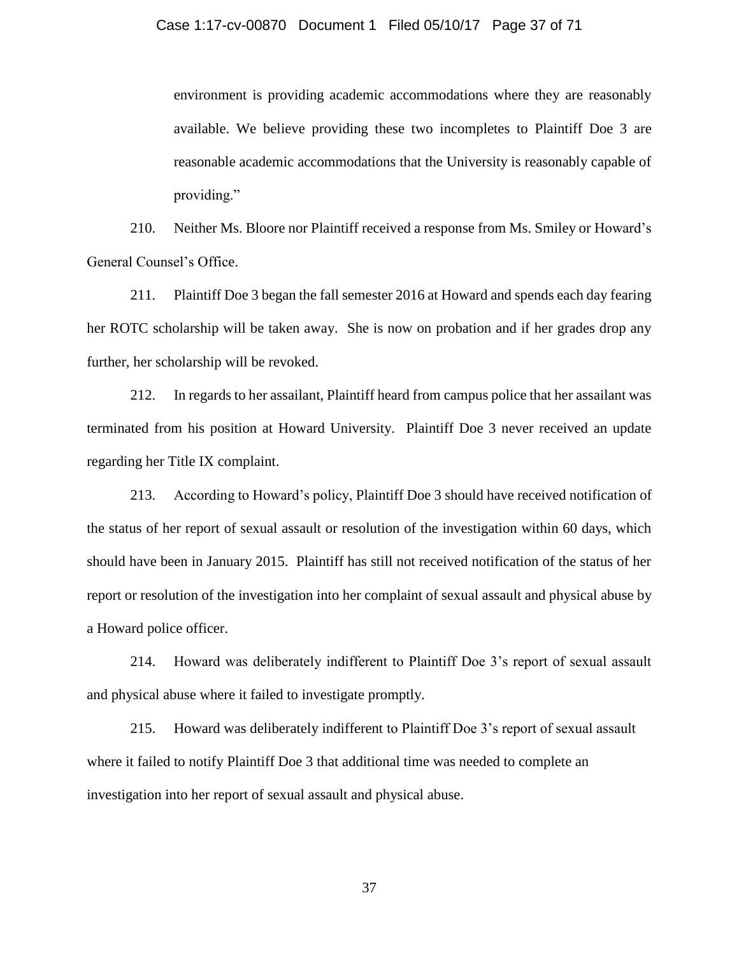environment is providing academic accommodations where they are reasonably available. We believe providing these two incompletes to Plaintiff Doe 3 are reasonable academic accommodations that the University is reasonably capable of providing."

210. Neither Ms. Bloore nor Plaintiff received a response from Ms. Smiley or Howard's General Counsel's Office.

211. Plaintiff Doe 3 began the fall semester 2016 at Howard and spends each day fearing her ROTC scholarship will be taken away. She is now on probation and if her grades drop any further, her scholarship will be revoked.

212. In regards to her assailant, Plaintiff heard from campus police that her assailant was terminated from his position at Howard University. Plaintiff Doe 3 never received an update regarding her Title IX complaint.

213. According to Howard's policy, Plaintiff Doe 3 should have received notification of the status of her report of sexual assault or resolution of the investigation within 60 days, which should have been in January 2015. Plaintiff has still not received notification of the status of her report or resolution of the investigation into her complaint of sexual assault and physical abuse by a Howard police officer.

214. Howard was deliberately indifferent to Plaintiff Doe 3's report of sexual assault and physical abuse where it failed to investigate promptly.

215. Howard was deliberately indifferent to Plaintiff Doe 3's report of sexual assault where it failed to notify Plaintiff Doe 3 that additional time was needed to complete an investigation into her report of sexual assault and physical abuse.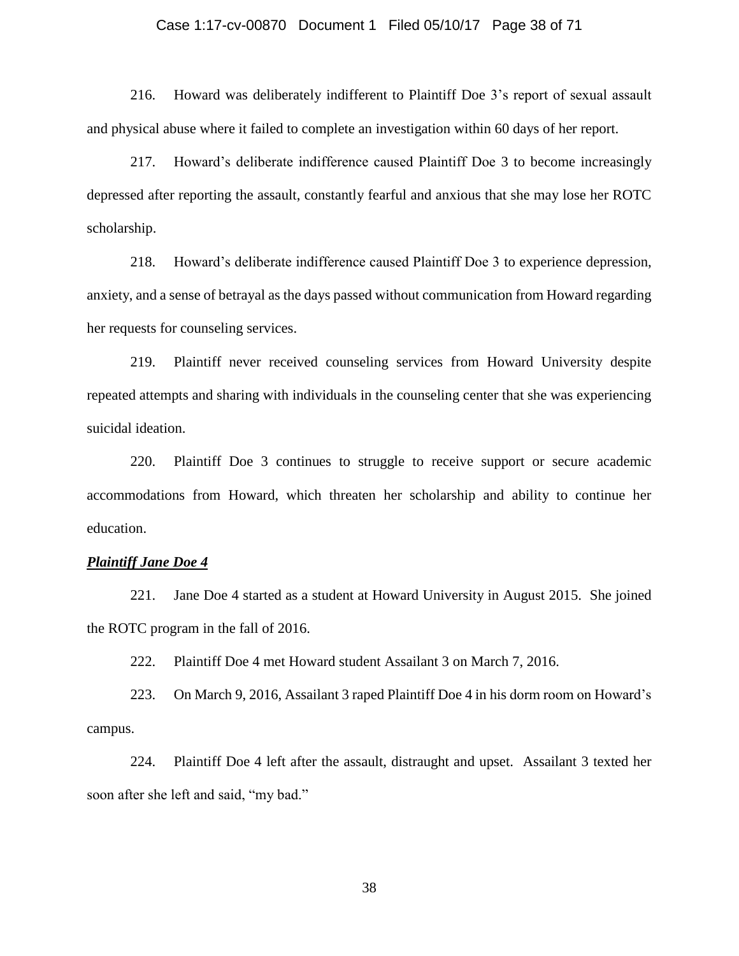#### Case 1:17-cv-00870 Document 1 Filed 05/10/17 Page 38 of 71

216. Howard was deliberately indifferent to Plaintiff Doe 3's report of sexual assault and physical abuse where it failed to complete an investigation within 60 days of her report.

217. Howard's deliberate indifference caused Plaintiff Doe 3 to become increasingly depressed after reporting the assault, constantly fearful and anxious that she may lose her ROTC scholarship.

218. Howard's deliberate indifference caused Plaintiff Doe 3 to experience depression, anxiety, and a sense of betrayal as the days passed without communication from Howard regarding her requests for counseling services.

219. Plaintiff never received counseling services from Howard University despite repeated attempts and sharing with individuals in the counseling center that she was experiencing suicidal ideation.

220. Plaintiff Doe 3 continues to struggle to receive support or secure academic accommodations from Howard, which threaten her scholarship and ability to continue her education.

### *Plaintiff Jane Doe 4*

221. Jane Doe 4 started as a student at Howard University in August 2015. She joined the ROTC program in the fall of 2016.

222. Plaintiff Doe 4 met Howard student Assailant 3 on March 7, 2016.

223. On March 9, 2016, Assailant 3 raped Plaintiff Doe 4 in his dorm room on Howard's campus.

224. Plaintiff Doe 4 left after the assault, distraught and upset. Assailant 3 texted her soon after she left and said, "my bad."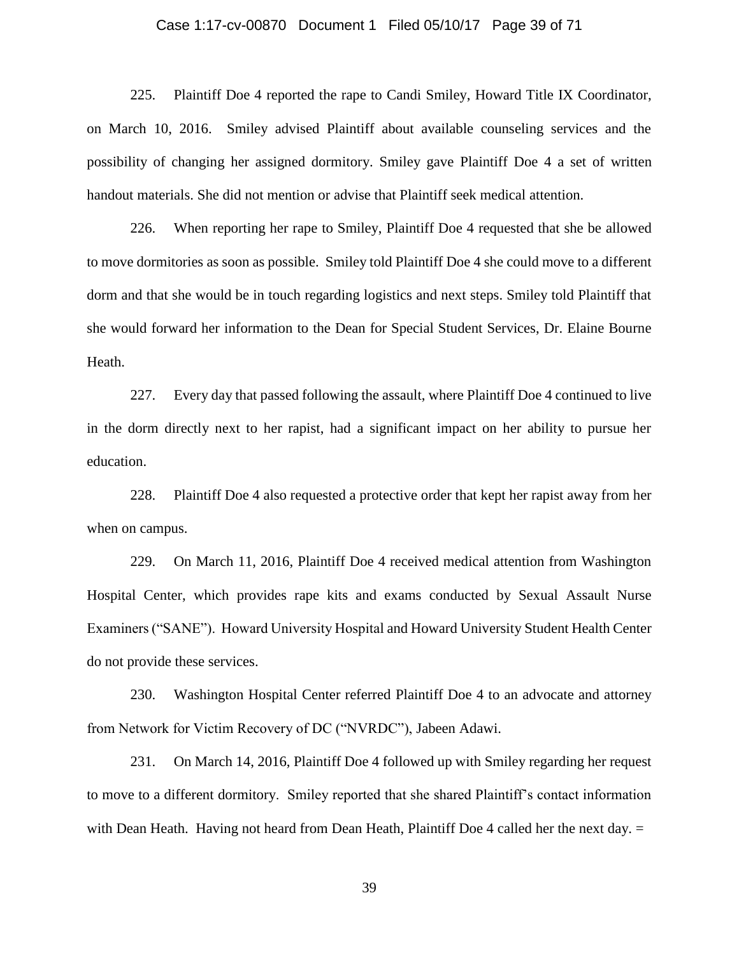#### Case 1:17-cv-00870 Document 1 Filed 05/10/17 Page 39 of 71

225. Plaintiff Doe 4 reported the rape to Candi Smiley, Howard Title IX Coordinator, on March 10, 2016. Smiley advised Plaintiff about available counseling services and the possibility of changing her assigned dormitory. Smiley gave Plaintiff Doe 4 a set of written handout materials. She did not mention or advise that Plaintiff seek medical attention.

226. When reporting her rape to Smiley, Plaintiff Doe 4 requested that she be allowed to move dormitories as soon as possible. Smiley told Plaintiff Doe 4 she could move to a different dorm and that she would be in touch regarding logistics and next steps. Smiley told Plaintiff that she would forward her information to the Dean for Special Student Services, Dr. Elaine Bourne Heath.

227. Every day that passed following the assault, where Plaintiff Doe 4 continued to live in the dorm directly next to her rapist, had a significant impact on her ability to pursue her education.

228. Plaintiff Doe 4 also requested a protective order that kept her rapist away from her when on campus.

229. On March 11, 2016, Plaintiff Doe 4 received medical attention from Washington Hospital Center, which provides rape kits and exams conducted by Sexual Assault Nurse Examiners ("SANE"). Howard University Hospital and Howard University Student Health Center do not provide these services.

230. Washington Hospital Center referred Plaintiff Doe 4 to an advocate and attorney from Network for Victim Recovery of DC ("NVRDC"), Jabeen Adawi.

231. On March 14, 2016, Plaintiff Doe 4 followed up with Smiley regarding her request to move to a different dormitory. Smiley reported that she shared Plaintiff's contact information with Dean Heath. Having not heard from Dean Heath, Plaintiff Doe 4 called her the next day. =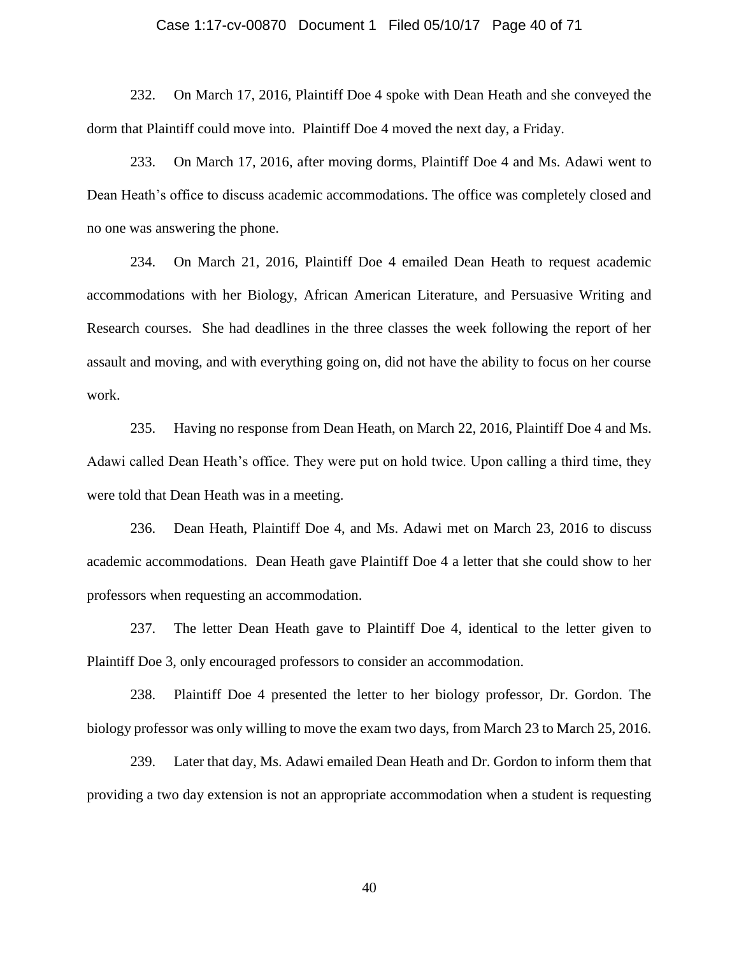#### Case 1:17-cv-00870 Document 1 Filed 05/10/17 Page 40 of 71

232. On March 17, 2016, Plaintiff Doe 4 spoke with Dean Heath and she conveyed the dorm that Plaintiff could move into. Plaintiff Doe 4 moved the next day, a Friday.

233. On March 17, 2016, after moving dorms, Plaintiff Doe 4 and Ms. Adawi went to Dean Heath's office to discuss academic accommodations. The office was completely closed and no one was answering the phone.

234. On March 21, 2016, Plaintiff Doe 4 emailed Dean Heath to request academic accommodations with her Biology, African American Literature, and Persuasive Writing and Research courses. She had deadlines in the three classes the week following the report of her assault and moving, and with everything going on, did not have the ability to focus on her course work.

235. Having no response from Dean Heath, on March 22, 2016, Plaintiff Doe 4 and Ms. Adawi called Dean Heath's office. They were put on hold twice. Upon calling a third time, they were told that Dean Heath was in a meeting.

236. Dean Heath, Plaintiff Doe 4, and Ms. Adawi met on March 23, 2016 to discuss academic accommodations. Dean Heath gave Plaintiff Doe 4 a letter that she could show to her professors when requesting an accommodation.

237. The letter Dean Heath gave to Plaintiff Doe 4, identical to the letter given to Plaintiff Doe 3, only encouraged professors to consider an accommodation.

238. Plaintiff Doe 4 presented the letter to her biology professor, Dr. Gordon. The biology professor was only willing to move the exam two days, from March 23 to March 25, 2016.

239. Later that day, Ms. Adawi emailed Dean Heath and Dr. Gordon to inform them that providing a two day extension is not an appropriate accommodation when a student is requesting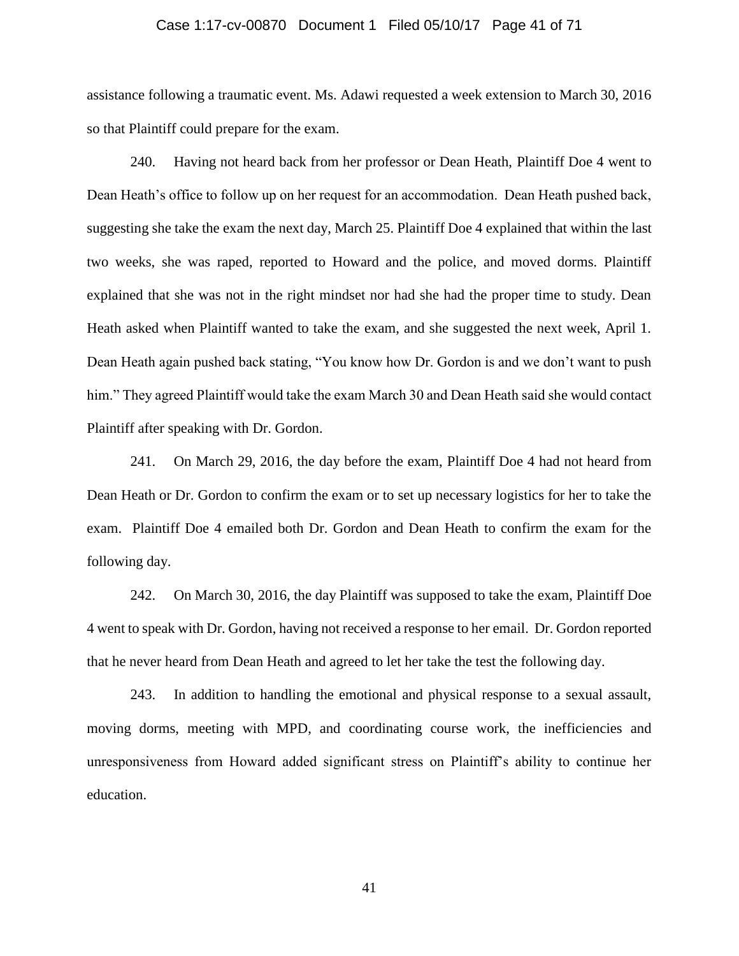#### Case 1:17-cv-00870 Document 1 Filed 05/10/17 Page 41 of 71

assistance following a traumatic event. Ms. Adawi requested a week extension to March 30, 2016 so that Plaintiff could prepare for the exam.

240. Having not heard back from her professor or Dean Heath, Plaintiff Doe 4 went to Dean Heath's office to follow up on her request for an accommodation. Dean Heath pushed back, suggesting she take the exam the next day, March 25. Plaintiff Doe 4 explained that within the last two weeks, she was raped, reported to Howard and the police, and moved dorms. Plaintiff explained that she was not in the right mindset nor had she had the proper time to study. Dean Heath asked when Plaintiff wanted to take the exam, and she suggested the next week, April 1. Dean Heath again pushed back stating, "You know how Dr. Gordon is and we don't want to push him." They agreed Plaintiff would take the exam March 30 and Dean Heath said she would contact Plaintiff after speaking with Dr. Gordon.

241. On March 29, 2016, the day before the exam, Plaintiff Doe 4 had not heard from Dean Heath or Dr. Gordon to confirm the exam or to set up necessary logistics for her to take the exam. Plaintiff Doe 4 emailed both Dr. Gordon and Dean Heath to confirm the exam for the following day.

242. On March 30, 2016, the day Plaintiff was supposed to take the exam, Plaintiff Doe 4 went to speak with Dr. Gordon, having not received a response to her email. Dr. Gordon reported that he never heard from Dean Heath and agreed to let her take the test the following day.

243. In addition to handling the emotional and physical response to a sexual assault, moving dorms, meeting with MPD, and coordinating course work, the inefficiencies and unresponsiveness from Howard added significant stress on Plaintiff's ability to continue her education.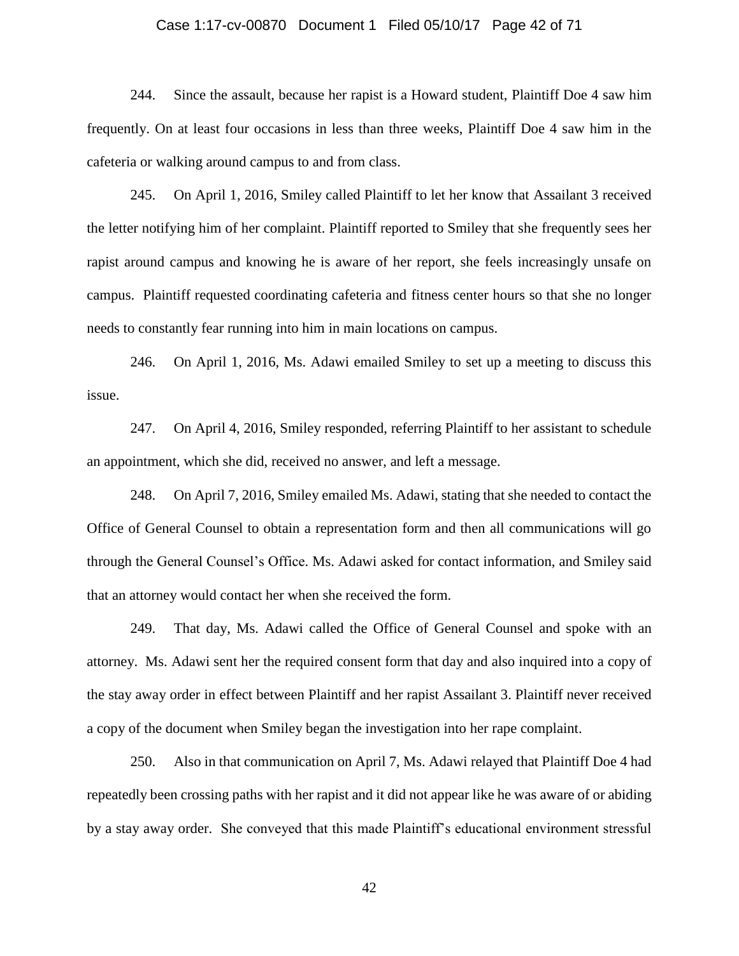#### Case 1:17-cv-00870 Document 1 Filed 05/10/17 Page 42 of 71

244. Since the assault, because her rapist is a Howard student, Plaintiff Doe 4 saw him frequently. On at least four occasions in less than three weeks, Plaintiff Doe 4 saw him in the cafeteria or walking around campus to and from class.

245. On April 1, 2016, Smiley called Plaintiff to let her know that Assailant 3 received the letter notifying him of her complaint. Plaintiff reported to Smiley that she frequently sees her rapist around campus and knowing he is aware of her report, she feels increasingly unsafe on campus. Plaintiff requested coordinating cafeteria and fitness center hours so that she no longer needs to constantly fear running into him in main locations on campus.

246. On April 1, 2016, Ms. Adawi emailed Smiley to set up a meeting to discuss this issue.

247. On April 4, 2016, Smiley responded, referring Plaintiff to her assistant to schedule an appointment, which she did, received no answer, and left a message.

248. On April 7, 2016, Smiley emailed Ms. Adawi, stating that she needed to contact the Office of General Counsel to obtain a representation form and then all communications will go through the General Counsel's Office. Ms. Adawi asked for contact information, and Smiley said that an attorney would contact her when she received the form.

249. That day, Ms. Adawi called the Office of General Counsel and spoke with an attorney. Ms. Adawi sent her the required consent form that day and also inquired into a copy of the stay away order in effect between Plaintiff and her rapist Assailant 3. Plaintiff never received a copy of the document when Smiley began the investigation into her rape complaint.

250. Also in that communication on April 7, Ms. Adawi relayed that Plaintiff Doe 4 had repeatedly been crossing paths with her rapist and it did not appear like he was aware of or abiding by a stay away order. She conveyed that this made Plaintiff's educational environment stressful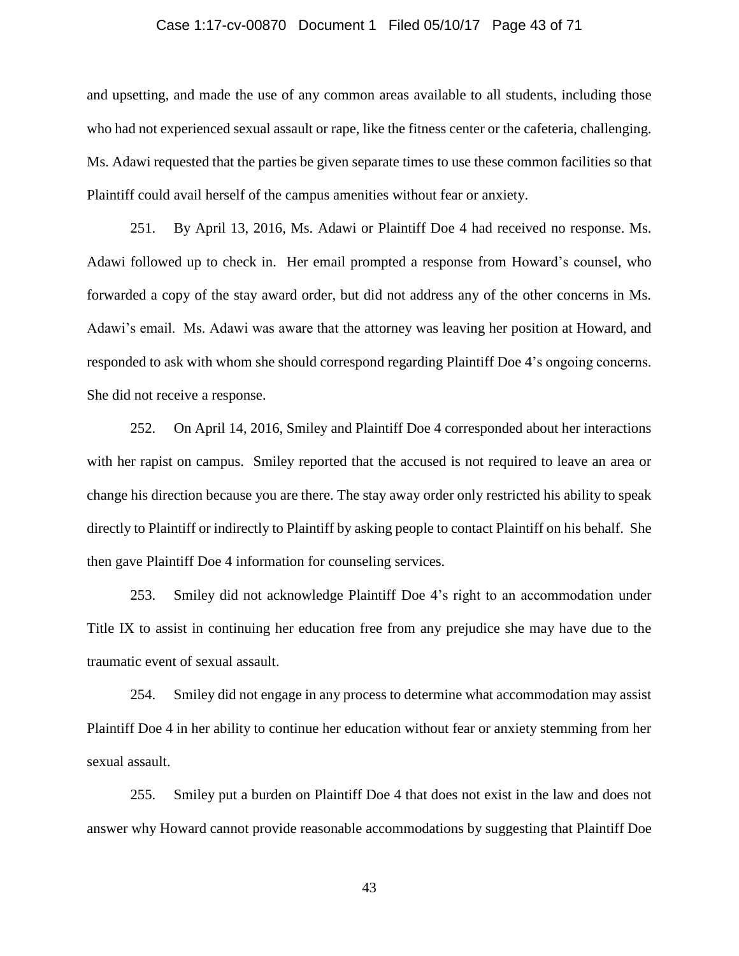#### Case 1:17-cv-00870 Document 1 Filed 05/10/17 Page 43 of 71

and upsetting, and made the use of any common areas available to all students, including those who had not experienced sexual assault or rape, like the fitness center or the cafeteria, challenging. Ms. Adawi requested that the parties be given separate times to use these common facilities so that Plaintiff could avail herself of the campus amenities without fear or anxiety.

251. By April 13, 2016, Ms. Adawi or Plaintiff Doe 4 had received no response. Ms. Adawi followed up to check in. Her email prompted a response from Howard's counsel, who forwarded a copy of the stay award order, but did not address any of the other concerns in Ms. Adawi's email. Ms. Adawi was aware that the attorney was leaving her position at Howard, and responded to ask with whom she should correspond regarding Plaintiff Doe 4's ongoing concerns. She did not receive a response.

252. On April 14, 2016, Smiley and Plaintiff Doe 4 corresponded about her interactions with her rapist on campus. Smiley reported that the accused is not required to leave an area or change his direction because you are there. The stay away order only restricted his ability to speak directly to Plaintiff or indirectly to Plaintiff by asking people to contact Plaintiff on his behalf. She then gave Plaintiff Doe 4 information for counseling services.

253. Smiley did not acknowledge Plaintiff Doe 4's right to an accommodation under Title IX to assist in continuing her education free from any prejudice she may have due to the traumatic event of sexual assault.

254. Smiley did not engage in any process to determine what accommodation may assist Plaintiff Doe 4 in her ability to continue her education without fear or anxiety stemming from her sexual assault.

255. Smiley put a burden on Plaintiff Doe 4 that does not exist in the law and does not answer why Howard cannot provide reasonable accommodations by suggesting that Plaintiff Doe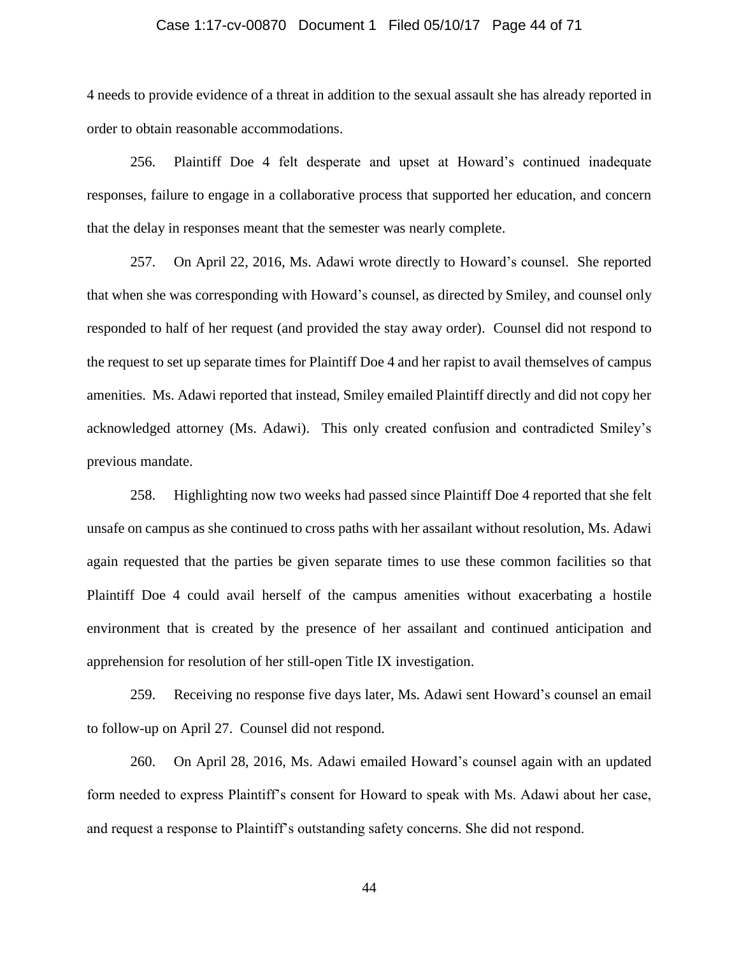#### Case 1:17-cv-00870 Document 1 Filed 05/10/17 Page 44 of 71

4 needs to provide evidence of a threat in addition to the sexual assault she has already reported in order to obtain reasonable accommodations.

256. Plaintiff Doe 4 felt desperate and upset at Howard's continued inadequate responses, failure to engage in a collaborative process that supported her education, and concern that the delay in responses meant that the semester was nearly complete.

257. On April 22, 2016, Ms. Adawi wrote directly to Howard's counsel. She reported that when she was corresponding with Howard's counsel, as directed by Smiley, and counsel only responded to half of her request (and provided the stay away order). Counsel did not respond to the request to set up separate times for Plaintiff Doe 4 and her rapist to avail themselves of campus amenities. Ms. Adawi reported that instead, Smiley emailed Plaintiff directly and did not copy her acknowledged attorney (Ms. Adawi). This only created confusion and contradicted Smiley's previous mandate.

258. Highlighting now two weeks had passed since Plaintiff Doe 4 reported that she felt unsafe on campus as she continued to cross paths with her assailant without resolution, Ms. Adawi again requested that the parties be given separate times to use these common facilities so that Plaintiff Doe 4 could avail herself of the campus amenities without exacerbating a hostile environment that is created by the presence of her assailant and continued anticipation and apprehension for resolution of her still-open Title IX investigation.

259. Receiving no response five days later, Ms. Adawi sent Howard's counsel an email to follow-up on April 27. Counsel did not respond.

260. On April 28, 2016, Ms. Adawi emailed Howard's counsel again with an updated form needed to express Plaintiff's consent for Howard to speak with Ms. Adawi about her case, and request a response to Plaintiff's outstanding safety concerns. She did not respond.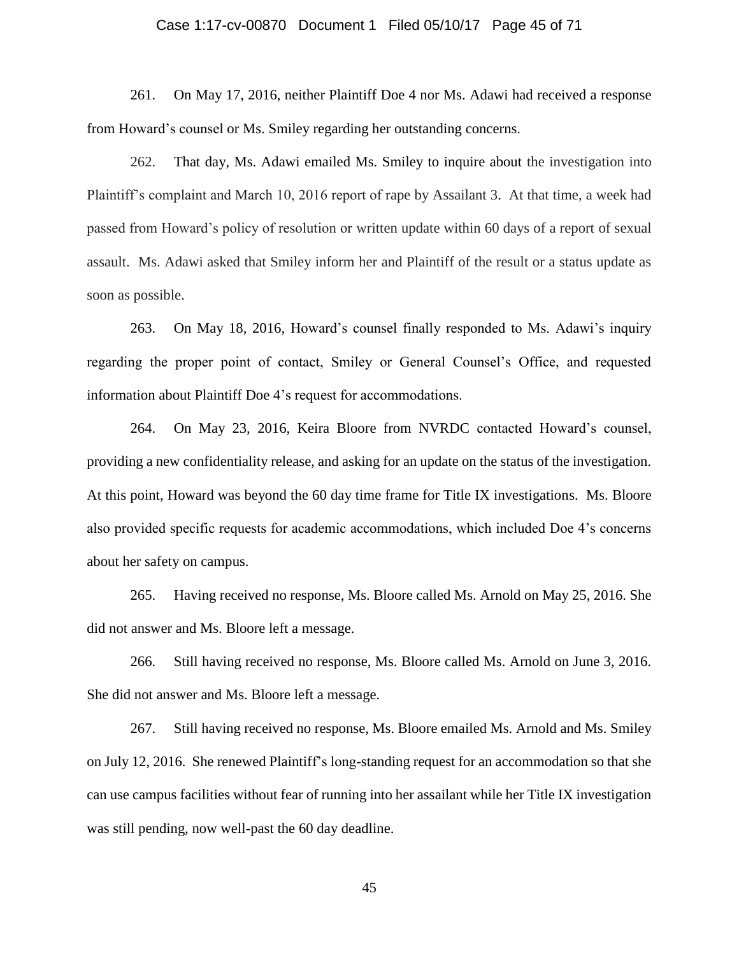#### Case 1:17-cv-00870 Document 1 Filed 05/10/17 Page 45 of 71

261. On May 17, 2016, neither Plaintiff Doe 4 nor Ms. Adawi had received a response from Howard's counsel or Ms. Smiley regarding her outstanding concerns.

262. That day, Ms. Adawi emailed Ms. Smiley to inquire about the investigation into Plaintiff's complaint and March 10, 2016 report of rape by Assailant 3. At that time, a week had passed from Howard's policy of resolution or written update within 60 days of a report of sexual assault. Ms. Adawi asked that Smiley inform her and Plaintiff of the result or a status update as soon as possible.

263. On May 18, 2016, Howard's counsel finally responded to Ms. Adawi's inquiry regarding the proper point of contact, Smiley or General Counsel's Office, and requested information about Plaintiff Doe 4's request for accommodations.

264. On May 23, 2016, Keira Bloore from NVRDC contacted Howard's counsel, providing a new confidentiality release, and asking for an update on the status of the investigation. At this point, Howard was beyond the 60 day time frame for Title IX investigations. Ms. Bloore also provided specific requests for academic accommodations, which included Doe 4's concerns about her safety on campus.

265. Having received no response, Ms. Bloore called Ms. Arnold on May 25, 2016. She did not answer and Ms. Bloore left a message.

266. Still having received no response, Ms. Bloore called Ms. Arnold on June 3, 2016. She did not answer and Ms. Bloore left a message.

267. Still having received no response, Ms. Bloore emailed Ms. Arnold and Ms. Smiley on July 12, 2016. She renewed Plaintiff's long-standing request for an accommodation so that she can use campus facilities without fear of running into her assailant while her Title IX investigation was still pending, now well-past the 60 day deadline.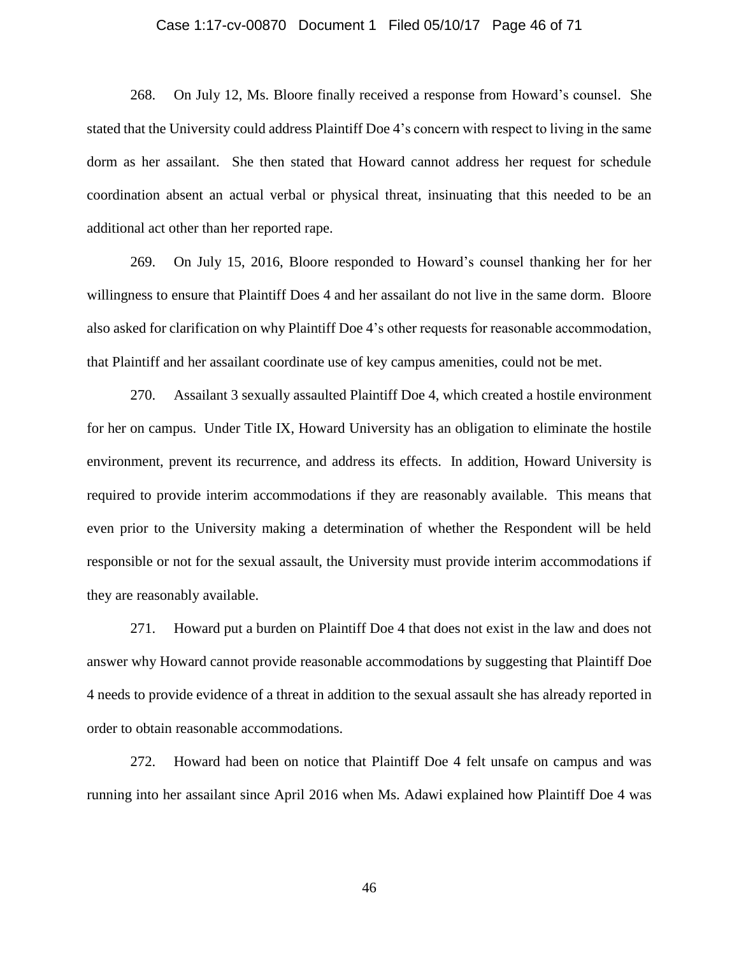#### Case 1:17-cv-00870 Document 1 Filed 05/10/17 Page 46 of 71

268. On July 12, Ms. Bloore finally received a response from Howard's counsel. She stated that the University could address Plaintiff Doe 4's concern with respect to living in the same dorm as her assailant. She then stated that Howard cannot address her request for schedule coordination absent an actual verbal or physical threat, insinuating that this needed to be an additional act other than her reported rape.

269. On July 15, 2016, Bloore responded to Howard's counsel thanking her for her willingness to ensure that Plaintiff Does 4 and her assailant do not live in the same dorm. Bloore also asked for clarification on why Plaintiff Doe 4's other requests for reasonable accommodation, that Plaintiff and her assailant coordinate use of key campus amenities, could not be met.

270. Assailant 3 sexually assaulted Plaintiff Doe 4, which created a hostile environment for her on campus. Under Title IX, Howard University has an obligation to eliminate the hostile environment, prevent its recurrence, and address its effects. In addition, Howard University is required to provide interim accommodations if they are reasonably available. This means that even prior to the University making a determination of whether the Respondent will be held responsible or not for the sexual assault, the University must provide interim accommodations if they are reasonably available.

271. Howard put a burden on Plaintiff Doe 4 that does not exist in the law and does not answer why Howard cannot provide reasonable accommodations by suggesting that Plaintiff Doe 4 needs to provide evidence of a threat in addition to the sexual assault she has already reported in order to obtain reasonable accommodations.

272. Howard had been on notice that Plaintiff Doe 4 felt unsafe on campus and was running into her assailant since April 2016 when Ms. Adawi explained how Plaintiff Doe 4 was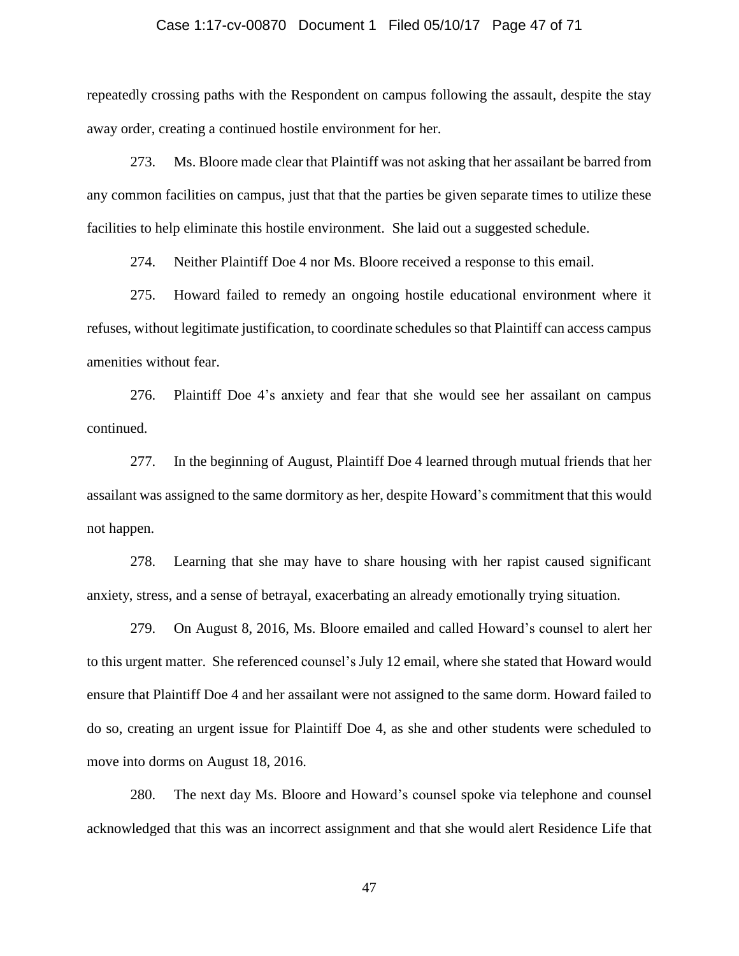#### Case 1:17-cv-00870 Document 1 Filed 05/10/17 Page 47 of 71

repeatedly crossing paths with the Respondent on campus following the assault, despite the stay away order, creating a continued hostile environment for her.

273. Ms. Bloore made clear that Plaintiff was not asking that her assailant be barred from any common facilities on campus, just that that the parties be given separate times to utilize these facilities to help eliminate this hostile environment. She laid out a suggested schedule.

274. Neither Plaintiff Doe 4 nor Ms. Bloore received a response to this email.

275. Howard failed to remedy an ongoing hostile educational environment where it refuses, without legitimate justification, to coordinate schedules so that Plaintiff can access campus amenities without fear.

276. Plaintiff Doe 4's anxiety and fear that she would see her assailant on campus continued.

277. In the beginning of August, Plaintiff Doe 4 learned through mutual friends that her assailant was assigned to the same dormitory as her, despite Howard's commitment that this would not happen.

278. Learning that she may have to share housing with her rapist caused significant anxiety, stress, and a sense of betrayal, exacerbating an already emotionally trying situation.

279. On August 8, 2016, Ms. Bloore emailed and called Howard's counsel to alert her to this urgent matter. She referenced counsel's July 12 email, where she stated that Howard would ensure that Plaintiff Doe 4 and her assailant were not assigned to the same dorm. Howard failed to do so, creating an urgent issue for Plaintiff Doe 4, as she and other students were scheduled to move into dorms on August 18, 2016.

280. The next day Ms. Bloore and Howard's counsel spoke via telephone and counsel acknowledged that this was an incorrect assignment and that she would alert Residence Life that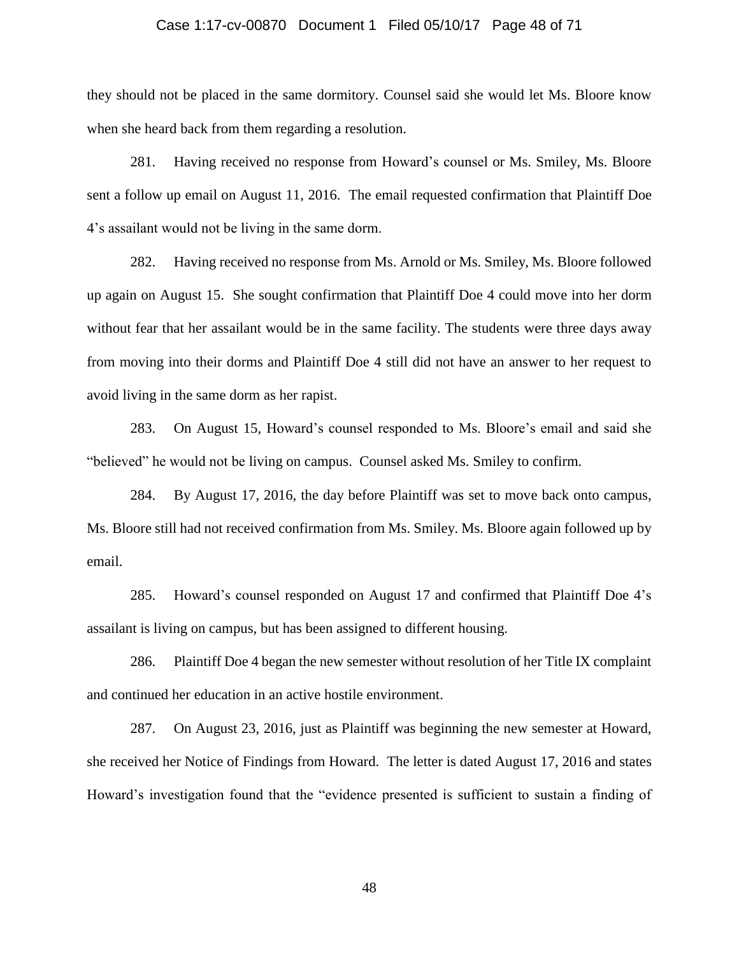#### Case 1:17-cv-00870 Document 1 Filed 05/10/17 Page 48 of 71

they should not be placed in the same dormitory. Counsel said she would let Ms. Bloore know when she heard back from them regarding a resolution.

281. Having received no response from Howard's counsel or Ms. Smiley, Ms. Bloore sent a follow up email on August 11, 2016. The email requested confirmation that Plaintiff Doe 4's assailant would not be living in the same dorm.

282. Having received no response from Ms. Arnold or Ms. Smiley, Ms. Bloore followed up again on August 15. She sought confirmation that Plaintiff Doe 4 could move into her dorm without fear that her assailant would be in the same facility. The students were three days away from moving into their dorms and Plaintiff Doe 4 still did not have an answer to her request to avoid living in the same dorm as her rapist.

283. On August 15, Howard's counsel responded to Ms. Bloore's email and said she "believed" he would not be living on campus. Counsel asked Ms. Smiley to confirm.

284. By August 17, 2016, the day before Plaintiff was set to move back onto campus, Ms. Bloore still had not received confirmation from Ms. Smiley. Ms. Bloore again followed up by email.

285. Howard's counsel responded on August 17 and confirmed that Plaintiff Doe 4's assailant is living on campus, but has been assigned to different housing.

286. Plaintiff Doe 4 began the new semester without resolution of her Title IX complaint and continued her education in an active hostile environment.

287. On August 23, 2016, just as Plaintiff was beginning the new semester at Howard, she received her Notice of Findings from Howard. The letter is dated August 17, 2016 and states Howard's investigation found that the "evidence presented is sufficient to sustain a finding of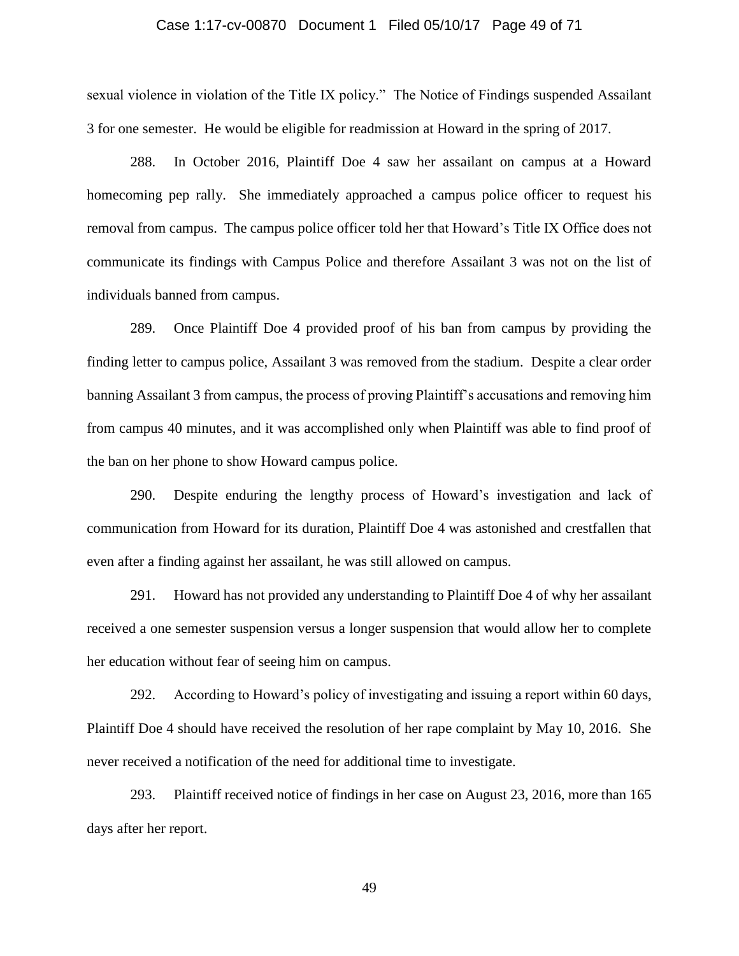#### Case 1:17-cv-00870 Document 1 Filed 05/10/17 Page 49 of 71

sexual violence in violation of the Title IX policy." The Notice of Findings suspended Assailant 3 for one semester. He would be eligible for readmission at Howard in the spring of 2017.

288. In October 2016, Plaintiff Doe 4 saw her assailant on campus at a Howard homecoming pep rally. She immediately approached a campus police officer to request his removal from campus. The campus police officer told her that Howard's Title IX Office does not communicate its findings with Campus Police and therefore Assailant 3 was not on the list of individuals banned from campus.

289. Once Plaintiff Doe 4 provided proof of his ban from campus by providing the finding letter to campus police, Assailant 3 was removed from the stadium. Despite a clear order banning Assailant 3 from campus, the process of proving Plaintiff's accusations and removing him from campus 40 minutes, and it was accomplished only when Plaintiff was able to find proof of the ban on her phone to show Howard campus police.

290. Despite enduring the lengthy process of Howard's investigation and lack of communication from Howard for its duration, Plaintiff Doe 4 was astonished and crestfallen that even after a finding against her assailant, he was still allowed on campus.

291. Howard has not provided any understanding to Plaintiff Doe 4 of why her assailant received a one semester suspension versus a longer suspension that would allow her to complete her education without fear of seeing him on campus.

292. According to Howard's policy of investigating and issuing a report within 60 days, Plaintiff Doe 4 should have received the resolution of her rape complaint by May 10, 2016. She never received a notification of the need for additional time to investigate.

293. Plaintiff received notice of findings in her case on August 23, 2016, more than 165 days after her report.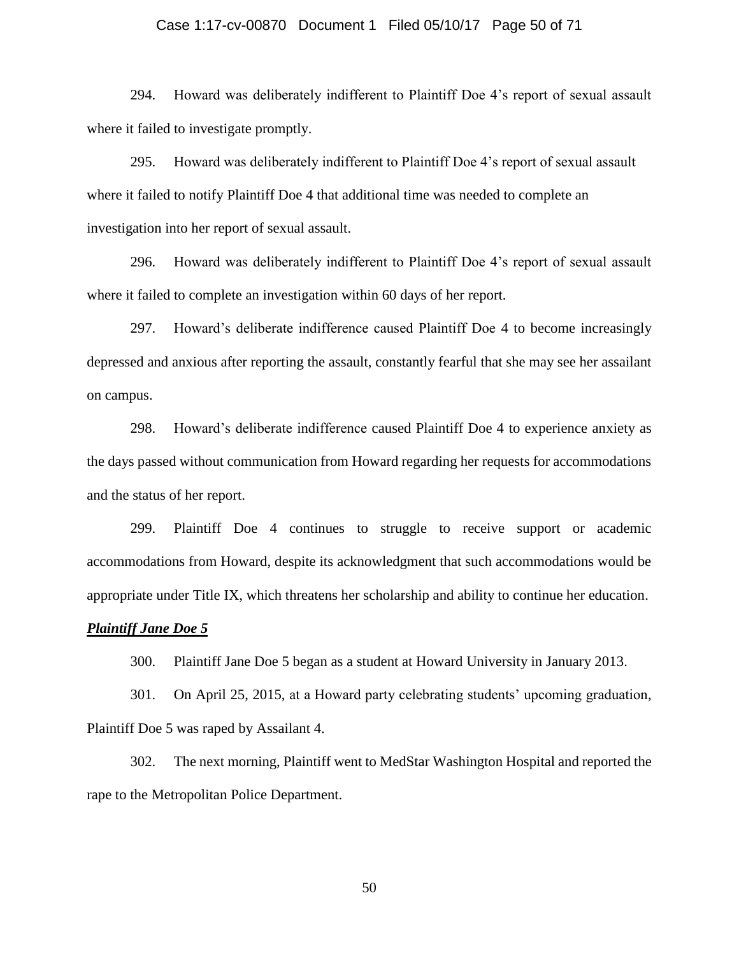#### Case 1:17-cv-00870 Document 1 Filed 05/10/17 Page 50 of 71

294. Howard was deliberately indifferent to Plaintiff Doe 4's report of sexual assault where it failed to investigate promptly.

295. Howard was deliberately indifferent to Plaintiff Doe 4's report of sexual assault where it failed to notify Plaintiff Doe 4 that additional time was needed to complete an investigation into her report of sexual assault.

296. Howard was deliberately indifferent to Plaintiff Doe 4's report of sexual assault where it failed to complete an investigation within 60 days of her report.

297. Howard's deliberate indifference caused Plaintiff Doe 4 to become increasingly depressed and anxious after reporting the assault, constantly fearful that she may see her assailant on campus.

298. Howard's deliberate indifference caused Plaintiff Doe 4 to experience anxiety as the days passed without communication from Howard regarding her requests for accommodations and the status of her report.

299. Plaintiff Doe 4 continues to struggle to receive support or academic accommodations from Howard, despite its acknowledgment that such accommodations would be appropriate under Title IX, which threatens her scholarship and ability to continue her education.

#### *Plaintiff Jane Doe 5*

300. Plaintiff Jane Doe 5 began as a student at Howard University in January 2013.

301. On April 25, 2015, at a Howard party celebrating students' upcoming graduation, Plaintiff Doe 5 was raped by Assailant 4.

302. The next morning, Plaintiff went to MedStar Washington Hospital and reported the rape to the Metropolitan Police Department.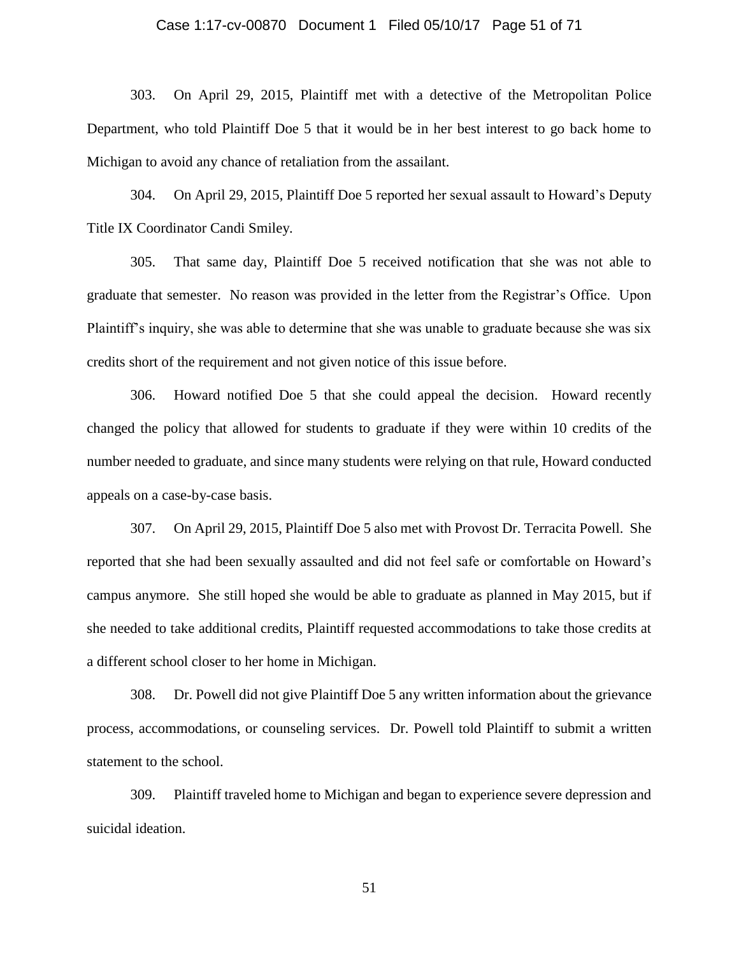#### Case 1:17-cv-00870 Document 1 Filed 05/10/17 Page 51 of 71

303. On April 29, 2015, Plaintiff met with a detective of the Metropolitan Police Department, who told Plaintiff Doe 5 that it would be in her best interest to go back home to Michigan to avoid any chance of retaliation from the assailant.

304. On April 29, 2015, Plaintiff Doe 5 reported her sexual assault to Howard's Deputy Title IX Coordinator Candi Smiley.

305. That same day, Plaintiff Doe 5 received notification that she was not able to graduate that semester. No reason was provided in the letter from the Registrar's Office. Upon Plaintiff's inquiry, she was able to determine that she was unable to graduate because she was six credits short of the requirement and not given notice of this issue before.

306. Howard notified Doe 5 that she could appeal the decision. Howard recently changed the policy that allowed for students to graduate if they were within 10 credits of the number needed to graduate, and since many students were relying on that rule, Howard conducted appeals on a case-by-case basis.

307. On April 29, 2015, Plaintiff Doe 5 also met with Provost Dr. Terracita Powell. She reported that she had been sexually assaulted and did not feel safe or comfortable on Howard's campus anymore. She still hoped she would be able to graduate as planned in May 2015, but if she needed to take additional credits, Plaintiff requested accommodations to take those credits at a different school closer to her home in Michigan.

308. Dr. Powell did not give Plaintiff Doe 5 any written information about the grievance process, accommodations, or counseling services. Dr. Powell told Plaintiff to submit a written statement to the school.

309. Plaintiff traveled home to Michigan and began to experience severe depression and suicidal ideation.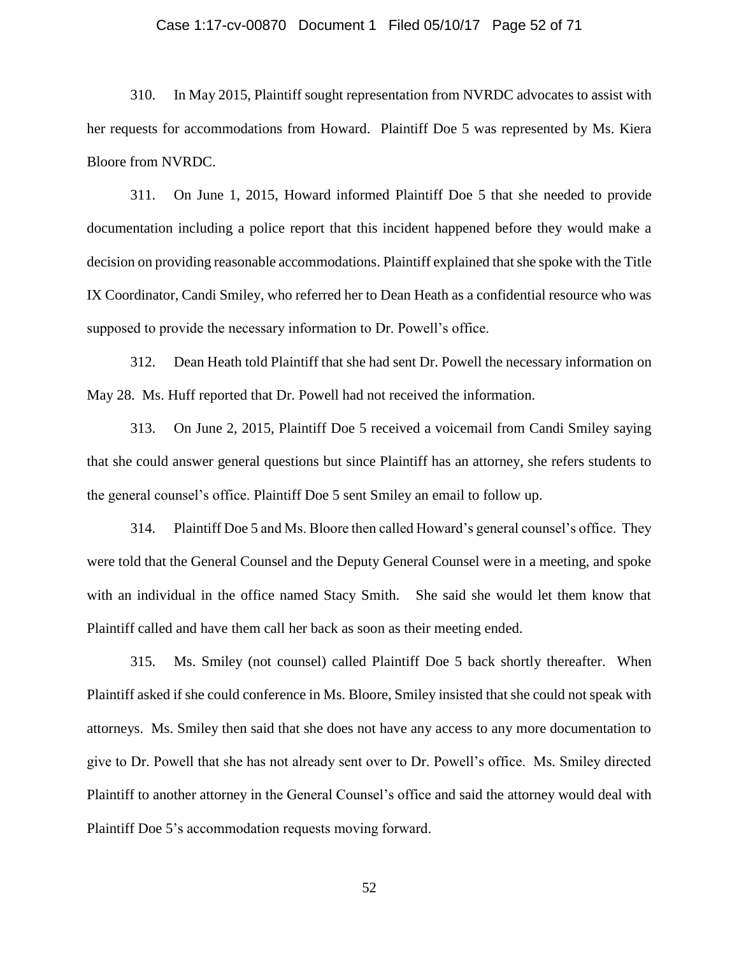#### Case 1:17-cv-00870 Document 1 Filed 05/10/17 Page 52 of 71

310. In May 2015, Plaintiff sought representation from NVRDC advocates to assist with her requests for accommodations from Howard. Plaintiff Doe 5 was represented by Ms. Kiera Bloore from NVRDC.

311. On June 1, 2015, Howard informed Plaintiff Doe 5 that she needed to provide documentation including a police report that this incident happened before they would make a decision on providing reasonable accommodations. Plaintiff explained that she spoke with the Title IX Coordinator, Candi Smiley, who referred her to Dean Heath as a confidential resource who was supposed to provide the necessary information to Dr. Powell's office.

312. Dean Heath told Plaintiff that she had sent Dr. Powell the necessary information on May 28. Ms. Huff reported that Dr. Powell had not received the information.

313. On June 2, 2015, Plaintiff Doe 5 received a voicemail from Candi Smiley saying that she could answer general questions but since Plaintiff has an attorney, she refers students to the general counsel's office. Plaintiff Doe 5 sent Smiley an email to follow up.

314. Plaintiff Doe 5 and Ms. Bloore then called Howard's general counsel's office. They were told that the General Counsel and the Deputy General Counsel were in a meeting, and spoke with an individual in the office named Stacy Smith. She said she would let them know that Plaintiff called and have them call her back as soon as their meeting ended.

315. Ms. Smiley (not counsel) called Plaintiff Doe 5 back shortly thereafter. When Plaintiff asked if she could conference in Ms. Bloore, Smiley insisted that she could not speak with attorneys. Ms. Smiley then said that she does not have any access to any more documentation to give to Dr. Powell that she has not already sent over to Dr. Powell's office. Ms. Smiley directed Plaintiff to another attorney in the General Counsel's office and said the attorney would deal with Plaintiff Doe 5's accommodation requests moving forward.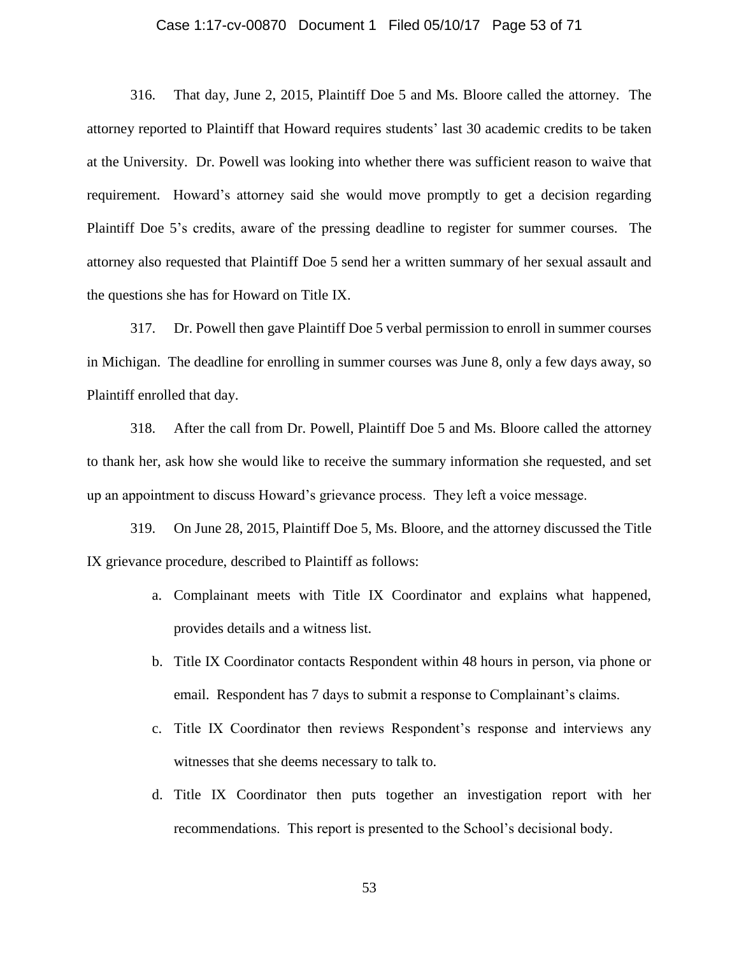#### Case 1:17-cv-00870 Document 1 Filed 05/10/17 Page 53 of 71

316. That day, June 2, 2015, Plaintiff Doe 5 and Ms. Bloore called the attorney. The attorney reported to Plaintiff that Howard requires students' last 30 academic credits to be taken at the University. Dr. Powell was looking into whether there was sufficient reason to waive that requirement. Howard's attorney said she would move promptly to get a decision regarding Plaintiff Doe 5's credits, aware of the pressing deadline to register for summer courses. The attorney also requested that Plaintiff Doe 5 send her a written summary of her sexual assault and the questions she has for Howard on Title IX.

317. Dr. Powell then gave Plaintiff Doe 5 verbal permission to enroll in summer courses in Michigan. The deadline for enrolling in summer courses was June 8, only a few days away, so Plaintiff enrolled that day.

318. After the call from Dr. Powell, Plaintiff Doe 5 and Ms. Bloore called the attorney to thank her, ask how she would like to receive the summary information she requested, and set up an appointment to discuss Howard's grievance process. They left a voice message.

319. On June 28, 2015, Plaintiff Doe 5, Ms. Bloore, and the attorney discussed the Title IX grievance procedure, described to Plaintiff as follows:

- a. Complainant meets with Title IX Coordinator and explains what happened, provides details and a witness list.
- b. Title IX Coordinator contacts Respondent within 48 hours in person, via phone or email. Respondent has 7 days to submit a response to Complainant's claims.
- c. Title IX Coordinator then reviews Respondent's response and interviews any witnesses that she deems necessary to talk to.
- d. Title IX Coordinator then puts together an investigation report with her recommendations. This report is presented to the School's decisional body.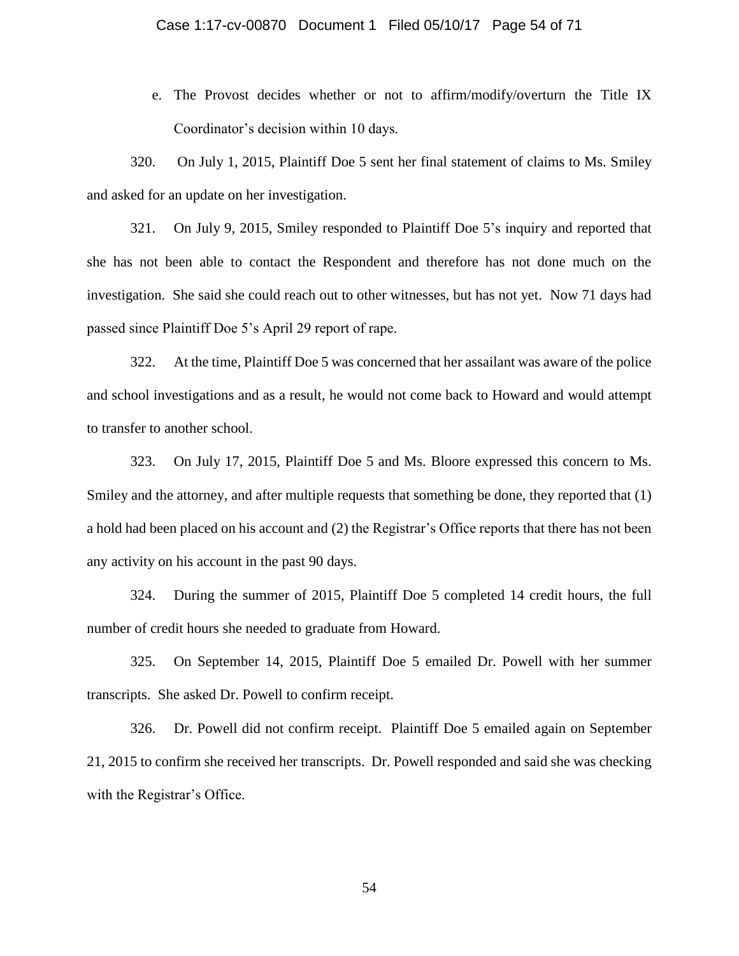e. The Provost decides whether or not to affirm/modify/overturn the Title IX Coordinator's decision within 10 days.

320. On July 1, 2015, Plaintiff Doe 5 sent her final statement of claims to Ms. Smiley and asked for an update on her investigation.

321. On July 9, 2015, Smiley responded to Plaintiff Doe 5's inquiry and reported that she has not been able to contact the Respondent and therefore has not done much on the investigation. She said she could reach out to other witnesses, but has not yet. Now 71 days had passed since Plaintiff Doe 5's April 29 report of rape.

322. At the time, Plaintiff Doe 5 was concerned that her assailant was aware of the police and school investigations and as a result, he would not come back to Howard and would attempt to transfer to another school.

323. On July 17, 2015, Plaintiff Doe 5 and Ms. Bloore expressed this concern to Ms. Smiley and the attorney, and after multiple requests that something be done, they reported that (1) a hold had been placed on his account and (2) the Registrar's Office reports that there has not been any activity on his account in the past 90 days.

324. During the summer of 2015, Plaintiff Doe 5 completed 14 credit hours, the full number of credit hours she needed to graduate from Howard.

325. On September 14, 2015, Plaintiff Doe 5 emailed Dr. Powell with her summer transcripts. She asked Dr. Powell to confirm receipt.

326. Dr. Powell did not confirm receipt. Plaintiff Doe 5 emailed again on September 21, 2015 to confirm she received her transcripts. Dr. Powell responded and said she was checking with the Registrar's Office.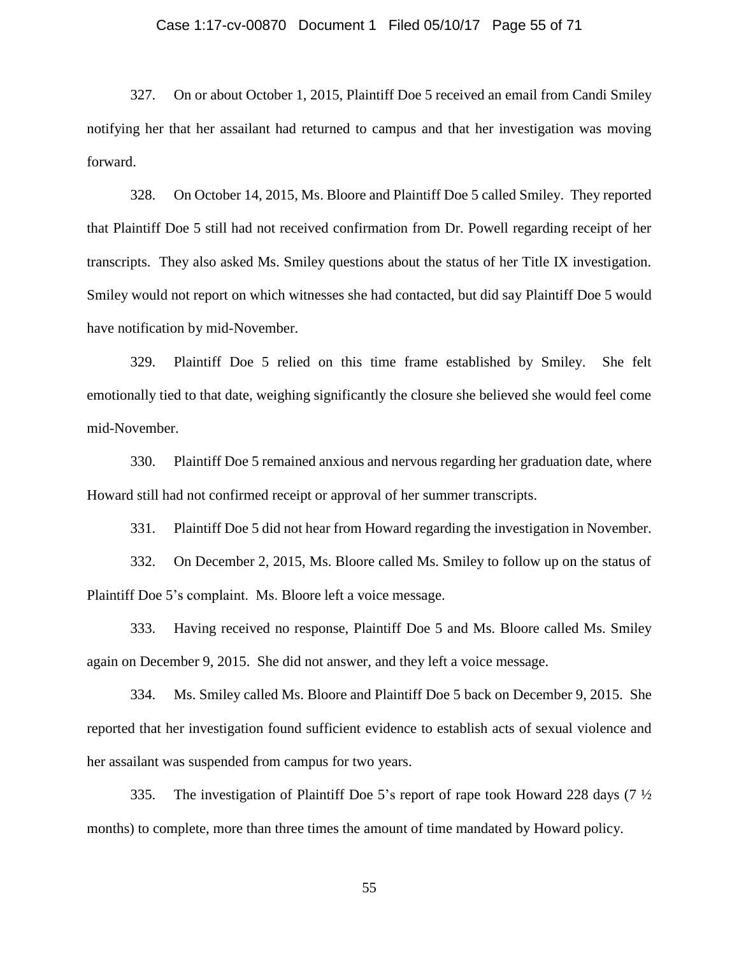#### Case 1:17-cv-00870 Document 1 Filed 05/10/17 Page 55 of 71

327. On or about October 1, 2015, Plaintiff Doe 5 received an email from Candi Smiley notifying her that her assailant had returned to campus and that her investigation was moving forward.

328. On October 14, 2015, Ms. Bloore and Plaintiff Doe 5 called Smiley. They reported that Plaintiff Doe 5 still had not received confirmation from Dr. Powell regarding receipt of her transcripts. They also asked Ms. Smiley questions about the status of her Title IX investigation. Smiley would not report on which witnesses she had contacted, but did say Plaintiff Doe 5 would have notification by mid-November.

329. Plaintiff Doe 5 relied on this time frame established by Smiley. She felt emotionally tied to that date, weighing significantly the closure she believed she would feel come mid-November.

330. Plaintiff Doe 5 remained anxious and nervous regarding her graduation date, where Howard still had not confirmed receipt or approval of her summer transcripts.

331. Plaintiff Doe 5 did not hear from Howard regarding the investigation in November.

332. On December 2, 2015, Ms. Bloore called Ms. Smiley to follow up on the status of Plaintiff Doe 5's complaint. Ms. Bloore left a voice message.

333. Having received no response, Plaintiff Doe 5 and Ms. Bloore called Ms. Smiley again on December 9, 2015. She did not answer, and they left a voice message.

334. Ms. Smiley called Ms. Bloore and Plaintiff Doe 5 back on December 9, 2015. She reported that her investigation found sufficient evidence to establish acts of sexual violence and her assailant was suspended from campus for two years.

335. The investigation of Plaintiff Doe 5's report of rape took Howard 228 days (7 ½ months) to complete, more than three times the amount of time mandated by Howard policy.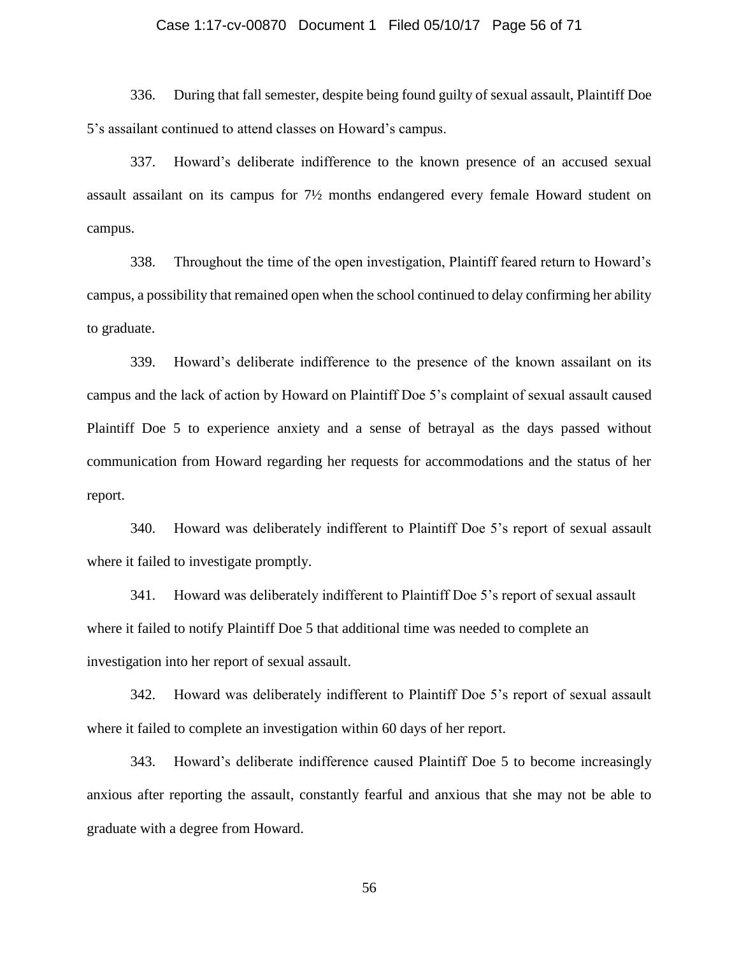#### Case 1:17-cv-00870 Document 1 Filed 05/10/17 Page 56 of 71

336. During that fall semester, despite being found guilty of sexual assault, Plaintiff Doe 5's assailant continued to attend classes on Howard's campus.

337. Howard's deliberate indifference to the known presence of an accused sexual assault assailant on its campus for 7½ months endangered every female Howard student on campus.

338. Throughout the time of the open investigation, Plaintiff feared return to Howard's campus, a possibility that remained open when the school continued to delay confirming her ability to graduate.

339. Howard's deliberate indifference to the presence of the known assailant on its campus and the lack of action by Howard on Plaintiff Doe 5's complaint of sexual assault caused Plaintiff Doe 5 to experience anxiety and a sense of betrayal as the days passed without communication from Howard regarding her requests for accommodations and the status of her report.

340. Howard was deliberately indifferent to Plaintiff Doe 5's report of sexual assault where it failed to investigate promptly.

341. Howard was deliberately indifferent to Plaintiff Doe 5's report of sexual assault where it failed to notify Plaintiff Doe 5 that additional time was needed to complete an investigation into her report of sexual assault.

342. Howard was deliberately indifferent to Plaintiff Doe 5's report of sexual assault where it failed to complete an investigation within 60 days of her report.

343. Howard's deliberate indifference caused Plaintiff Doe 5 to become increasingly anxious after reporting the assault, constantly fearful and anxious that she may not be able to graduate with a degree from Howard.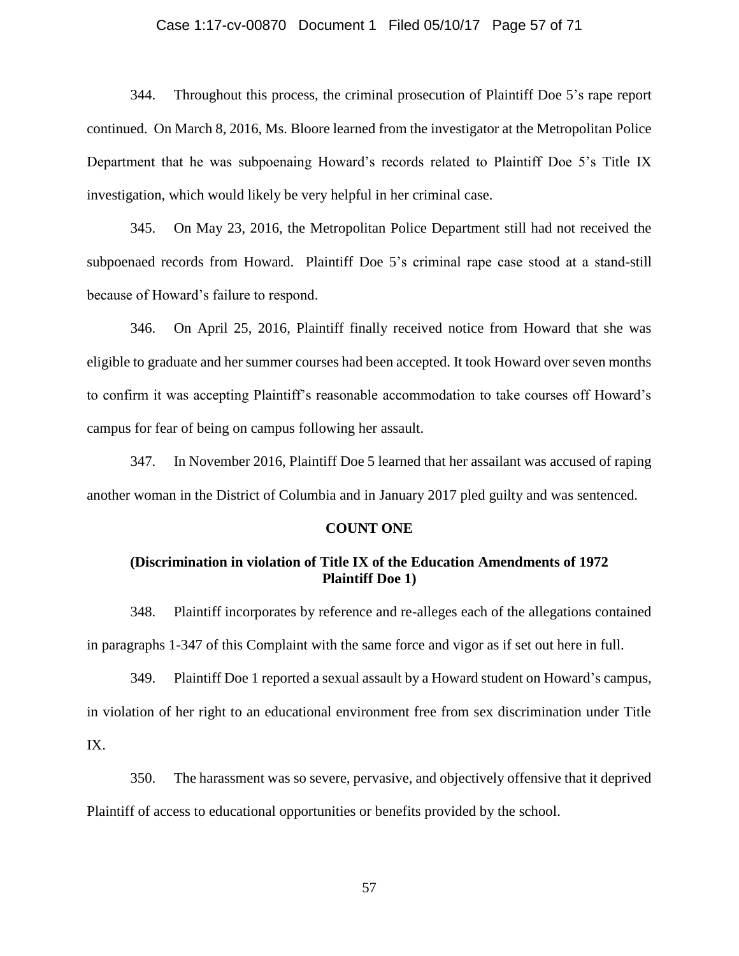#### Case 1:17-cv-00870 Document 1 Filed 05/10/17 Page 57 of 71

344. Throughout this process, the criminal prosecution of Plaintiff Doe 5's rape report continued. On March 8, 2016, Ms. Bloore learned from the investigator at the Metropolitan Police Department that he was subpoenaing Howard's records related to Plaintiff Doe 5's Title IX investigation, which would likely be very helpful in her criminal case.

345. On May 23, 2016, the Metropolitan Police Department still had not received the subpoenaed records from Howard. Plaintiff Doe 5's criminal rape case stood at a stand-still because of Howard's failure to respond.

346. On April 25, 2016, Plaintiff finally received notice from Howard that she was eligible to graduate and her summer courses had been accepted. It took Howard over seven months to confirm it was accepting Plaintiff's reasonable accommodation to take courses off Howard's campus for fear of being on campus following her assault.

347. In November 2016, Plaintiff Doe 5 learned that her assailant was accused of raping another woman in the District of Columbia and in January 2017 pled guilty and was sentenced.

#### **COUNT ONE**

### **(Discrimination in violation of Title IX of the Education Amendments of 1972 Plaintiff Doe 1)**

348. Plaintiff incorporates by reference and re-alleges each of the allegations contained in paragraphs 1-347 of this Complaint with the same force and vigor as if set out here in full.

349. Plaintiff Doe 1 reported a sexual assault by a Howard student on Howard's campus, in violation of her right to an educational environment free from sex discrimination under Title IX.

350. The harassment was so severe, pervasive, and objectively offensive that it deprived Plaintiff of access to educational opportunities or benefits provided by the school.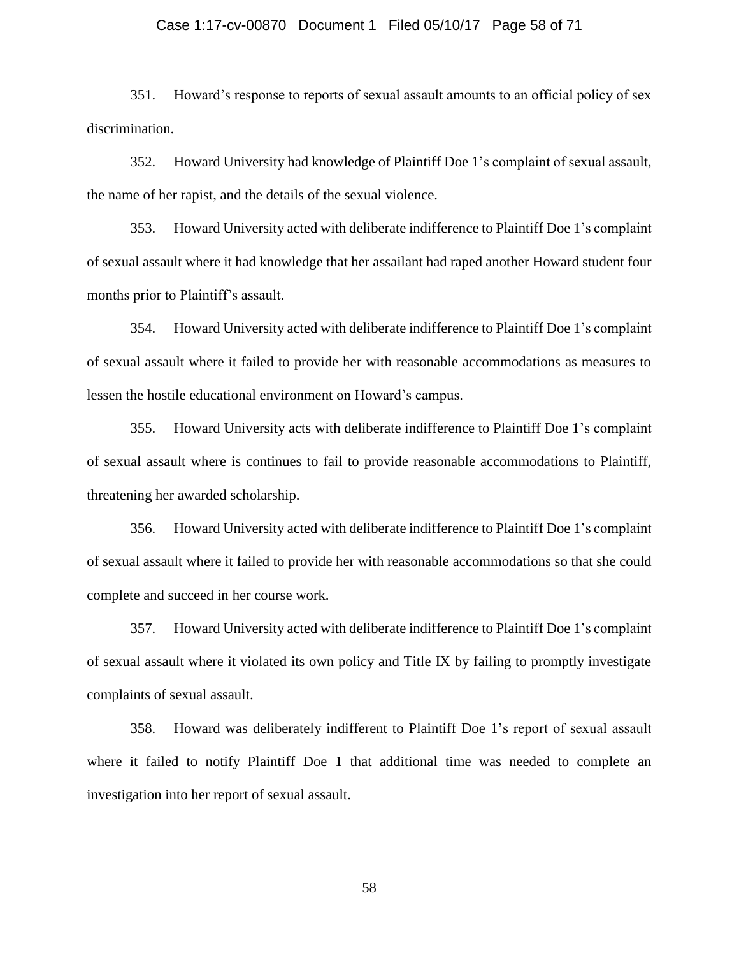#### Case 1:17-cv-00870 Document 1 Filed 05/10/17 Page 58 of 71

351. Howard's response to reports of sexual assault amounts to an official policy of sex discrimination.

352. Howard University had knowledge of Plaintiff Doe 1's complaint of sexual assault, the name of her rapist, and the details of the sexual violence.

353. Howard University acted with deliberate indifference to Plaintiff Doe 1's complaint of sexual assault where it had knowledge that her assailant had raped another Howard student four months prior to Plaintiff's assault.

354. Howard University acted with deliberate indifference to Plaintiff Doe 1's complaint of sexual assault where it failed to provide her with reasonable accommodations as measures to lessen the hostile educational environment on Howard's campus.

355. Howard University acts with deliberate indifference to Plaintiff Doe 1's complaint of sexual assault where is continues to fail to provide reasonable accommodations to Plaintiff, threatening her awarded scholarship.

356. Howard University acted with deliberate indifference to Plaintiff Doe 1's complaint of sexual assault where it failed to provide her with reasonable accommodations so that she could complete and succeed in her course work.

357. Howard University acted with deliberate indifference to Plaintiff Doe 1's complaint of sexual assault where it violated its own policy and Title IX by failing to promptly investigate complaints of sexual assault.

358. Howard was deliberately indifferent to Plaintiff Doe 1's report of sexual assault where it failed to notify Plaintiff Doe 1 that additional time was needed to complete an investigation into her report of sexual assault.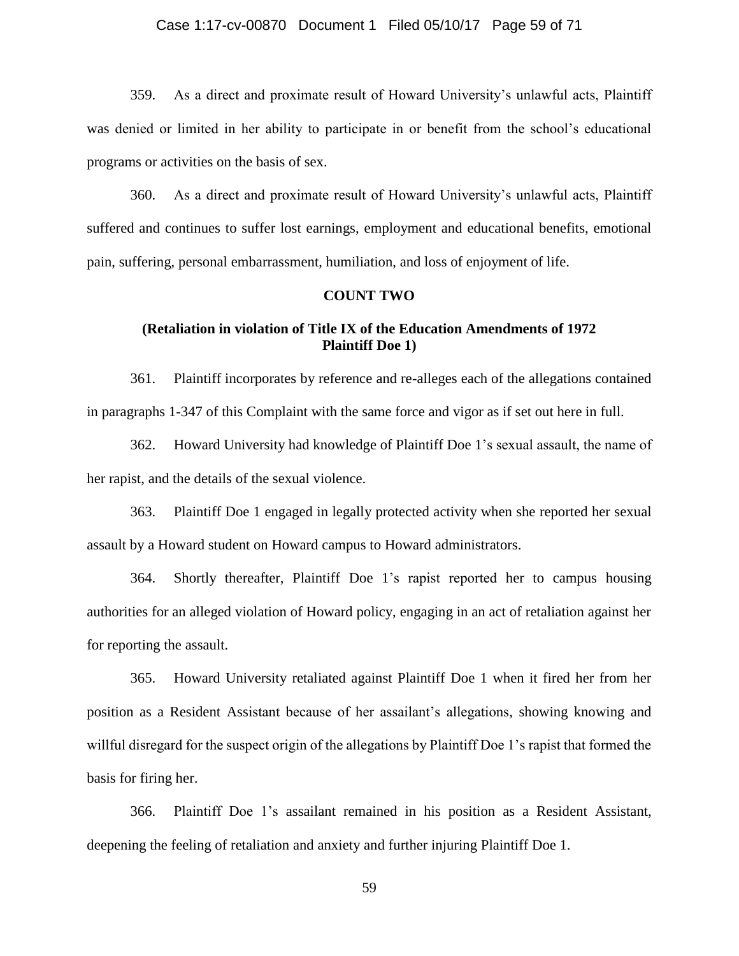#### Case 1:17-cv-00870 Document 1 Filed 05/10/17 Page 59 of 71

359. As a direct and proximate result of Howard University's unlawful acts, Plaintiff was denied or limited in her ability to participate in or benefit from the school's educational programs or activities on the basis of sex.

360. As a direct and proximate result of Howard University's unlawful acts, Plaintiff suffered and continues to suffer lost earnings, employment and educational benefits, emotional pain, suffering, personal embarrassment, humiliation, and loss of enjoyment of life.

#### **COUNT TWO**

### **(Retaliation in violation of Title IX of the Education Amendments of 1972 Plaintiff Doe 1)**

361. Plaintiff incorporates by reference and re-alleges each of the allegations contained in paragraphs 1-347 of this Complaint with the same force and vigor as if set out here in full.

362. Howard University had knowledge of Plaintiff Doe 1's sexual assault, the name of her rapist, and the details of the sexual violence.

363. Plaintiff Doe 1 engaged in legally protected activity when she reported her sexual assault by a Howard student on Howard campus to Howard administrators.

364. Shortly thereafter, Plaintiff Doe 1's rapist reported her to campus housing authorities for an alleged violation of Howard policy, engaging in an act of retaliation against her for reporting the assault.

365. Howard University retaliated against Plaintiff Doe 1 when it fired her from her position as a Resident Assistant because of her assailant's allegations, showing knowing and willful disregard for the suspect origin of the allegations by Plaintiff Doe 1's rapist that formed the basis for firing her.

366. Plaintiff Doe 1's assailant remained in his position as a Resident Assistant, deepening the feeling of retaliation and anxiety and further injuring Plaintiff Doe 1.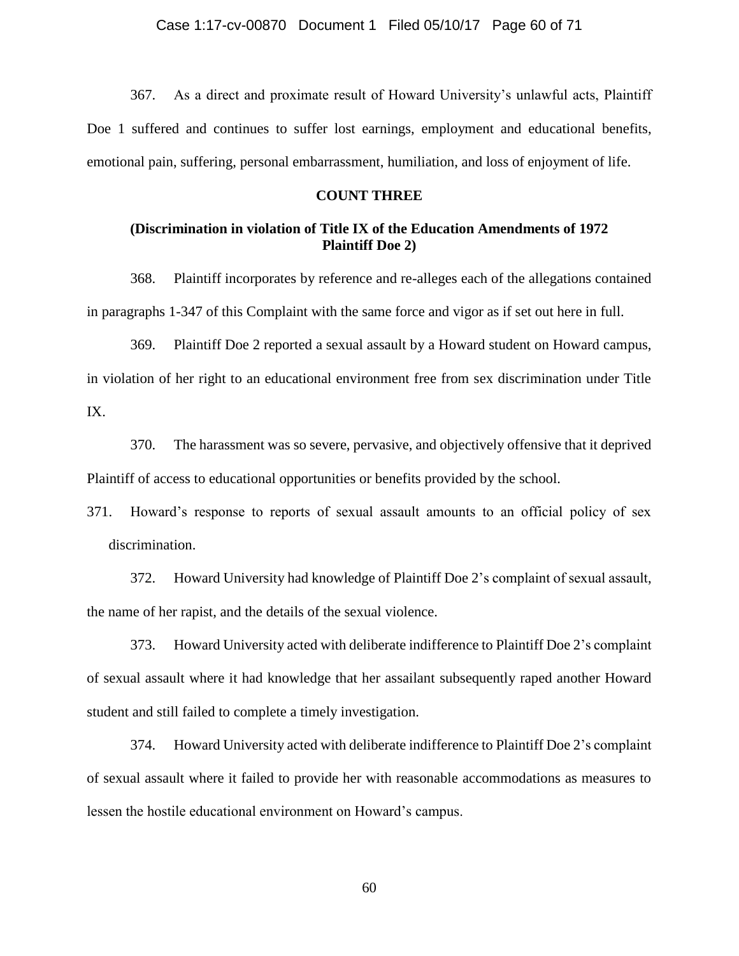367. As a direct and proximate result of Howard University's unlawful acts, Plaintiff Doe 1 suffered and continues to suffer lost earnings, employment and educational benefits, emotional pain, suffering, personal embarrassment, humiliation, and loss of enjoyment of life.

#### **COUNT THREE**

### **(Discrimination in violation of Title IX of the Education Amendments of 1972 Plaintiff Doe 2)**

368. Plaintiff incorporates by reference and re-alleges each of the allegations contained in paragraphs 1-347 of this Complaint with the same force and vigor as if set out here in full.

369. Plaintiff Doe 2 reported a sexual assault by a Howard student on Howard campus, in violation of her right to an educational environment free from sex discrimination under Title IX.

370. The harassment was so severe, pervasive, and objectively offensive that it deprived Plaintiff of access to educational opportunities or benefits provided by the school.

371. Howard's response to reports of sexual assault amounts to an official policy of sex discrimination.

372. Howard University had knowledge of Plaintiff Doe 2's complaint of sexual assault, the name of her rapist, and the details of the sexual violence.

373. Howard University acted with deliberate indifference to Plaintiff Doe 2's complaint of sexual assault where it had knowledge that her assailant subsequently raped another Howard student and still failed to complete a timely investigation.

374. Howard University acted with deliberate indifference to Plaintiff Doe 2's complaint of sexual assault where it failed to provide her with reasonable accommodations as measures to lessen the hostile educational environment on Howard's campus.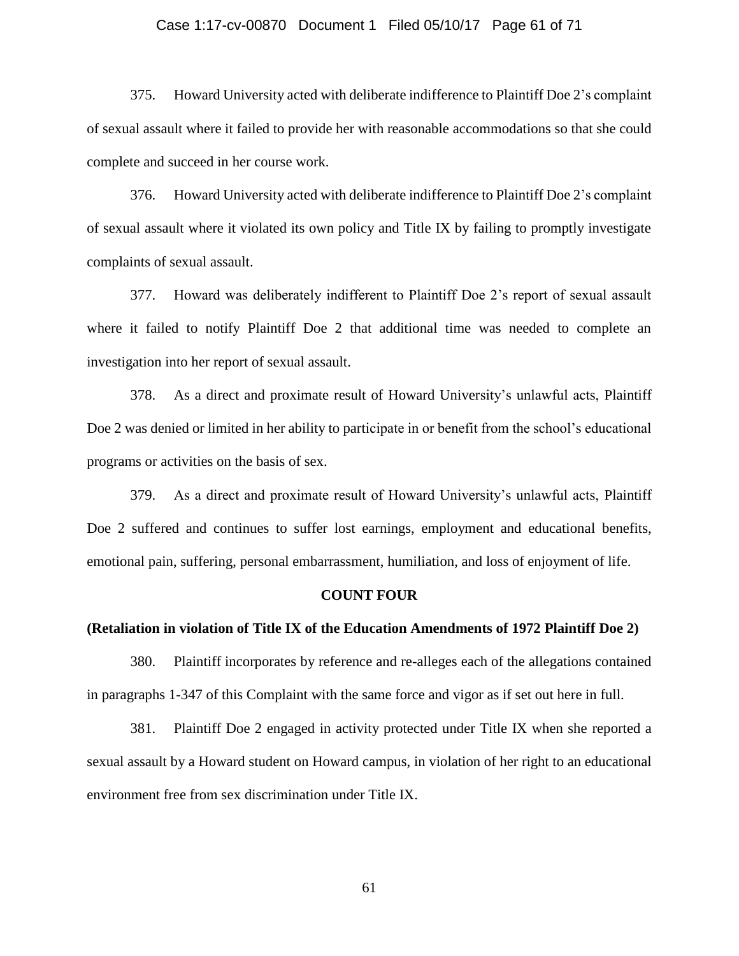#### Case 1:17-cv-00870 Document 1 Filed 05/10/17 Page 61 of 71

375. Howard University acted with deliberate indifference to Plaintiff Doe 2's complaint of sexual assault where it failed to provide her with reasonable accommodations so that she could complete and succeed in her course work.

376. Howard University acted with deliberate indifference to Plaintiff Doe 2's complaint of sexual assault where it violated its own policy and Title IX by failing to promptly investigate complaints of sexual assault.

377. Howard was deliberately indifferent to Plaintiff Doe 2's report of sexual assault where it failed to notify Plaintiff Doe 2 that additional time was needed to complete an investigation into her report of sexual assault.

378. As a direct and proximate result of Howard University's unlawful acts, Plaintiff Doe 2 was denied or limited in her ability to participate in or benefit from the school's educational programs or activities on the basis of sex.

379. As a direct and proximate result of Howard University's unlawful acts, Plaintiff Doe 2 suffered and continues to suffer lost earnings, employment and educational benefits, emotional pain, suffering, personal embarrassment, humiliation, and loss of enjoyment of life.

#### **COUNT FOUR**

#### **(Retaliation in violation of Title IX of the Education Amendments of 1972 Plaintiff Doe 2)**

380. Plaintiff incorporates by reference and re-alleges each of the allegations contained in paragraphs 1-347 of this Complaint with the same force and vigor as if set out here in full.

381. Plaintiff Doe 2 engaged in activity protected under Title IX when she reported a sexual assault by a Howard student on Howard campus, in violation of her right to an educational environment free from sex discrimination under Title IX.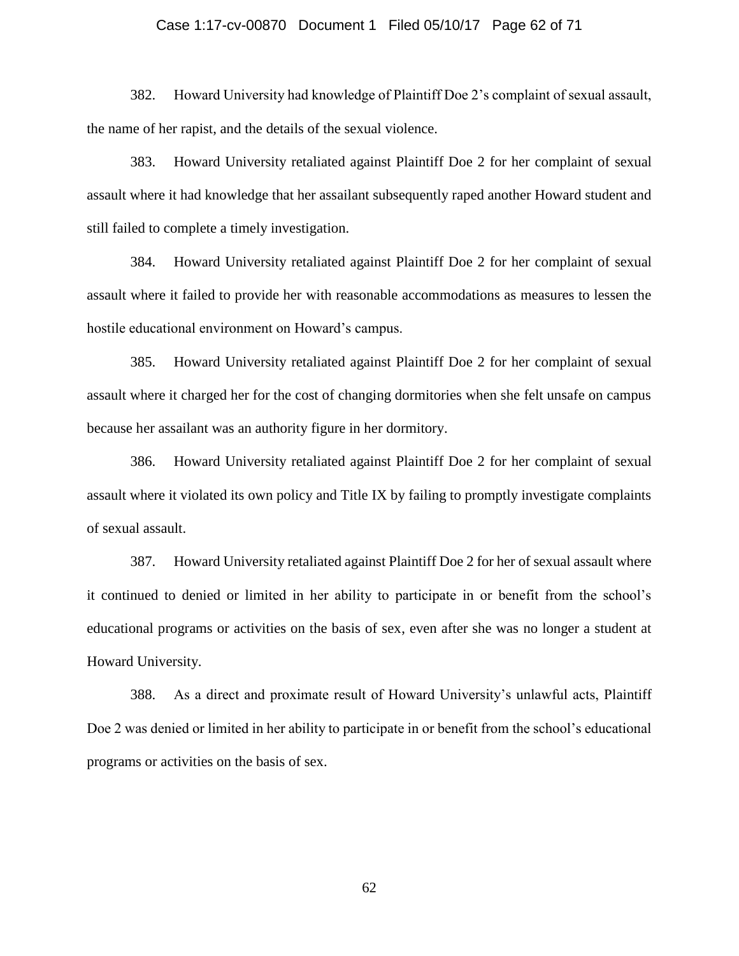#### Case 1:17-cv-00870 Document 1 Filed 05/10/17 Page 62 of 71

382. Howard University had knowledge of Plaintiff Doe 2's complaint of sexual assault, the name of her rapist, and the details of the sexual violence.

383. Howard University retaliated against Plaintiff Doe 2 for her complaint of sexual assault where it had knowledge that her assailant subsequently raped another Howard student and still failed to complete a timely investigation.

384. Howard University retaliated against Plaintiff Doe 2 for her complaint of sexual assault where it failed to provide her with reasonable accommodations as measures to lessen the hostile educational environment on Howard's campus.

385. Howard University retaliated against Plaintiff Doe 2 for her complaint of sexual assault where it charged her for the cost of changing dormitories when she felt unsafe on campus because her assailant was an authority figure in her dormitory.

386. Howard University retaliated against Plaintiff Doe 2 for her complaint of sexual assault where it violated its own policy and Title IX by failing to promptly investigate complaints of sexual assault.

387. Howard University retaliated against Plaintiff Doe 2 for her of sexual assault where it continued to denied or limited in her ability to participate in or benefit from the school's educational programs or activities on the basis of sex, even after she was no longer a student at Howard University.

388. As a direct and proximate result of Howard University's unlawful acts, Plaintiff Doe 2 was denied or limited in her ability to participate in or benefit from the school's educational programs or activities on the basis of sex.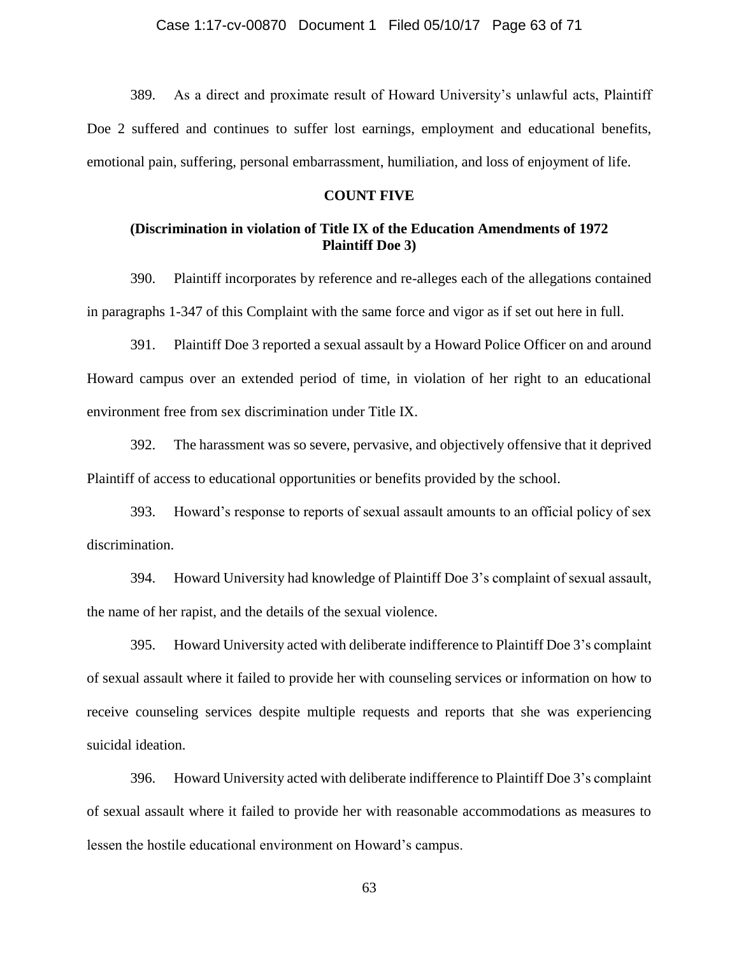389. As a direct and proximate result of Howard University's unlawful acts, Plaintiff Doe 2 suffered and continues to suffer lost earnings, employment and educational benefits, emotional pain, suffering, personal embarrassment, humiliation, and loss of enjoyment of life.

#### **COUNT FIVE**

### **(Discrimination in violation of Title IX of the Education Amendments of 1972 Plaintiff Doe 3)**

390. Plaintiff incorporates by reference and re-alleges each of the allegations contained in paragraphs 1-347 of this Complaint with the same force and vigor as if set out here in full.

391. Plaintiff Doe 3 reported a sexual assault by a Howard Police Officer on and around Howard campus over an extended period of time, in violation of her right to an educational environment free from sex discrimination under Title IX.

392. The harassment was so severe, pervasive, and objectively offensive that it deprived Plaintiff of access to educational opportunities or benefits provided by the school.

393. Howard's response to reports of sexual assault amounts to an official policy of sex discrimination.

394. Howard University had knowledge of Plaintiff Doe 3's complaint of sexual assault, the name of her rapist, and the details of the sexual violence.

395. Howard University acted with deliberate indifference to Plaintiff Doe 3's complaint of sexual assault where it failed to provide her with counseling services or information on how to receive counseling services despite multiple requests and reports that she was experiencing suicidal ideation.

396. Howard University acted with deliberate indifference to Plaintiff Doe 3's complaint of sexual assault where it failed to provide her with reasonable accommodations as measures to lessen the hostile educational environment on Howard's campus.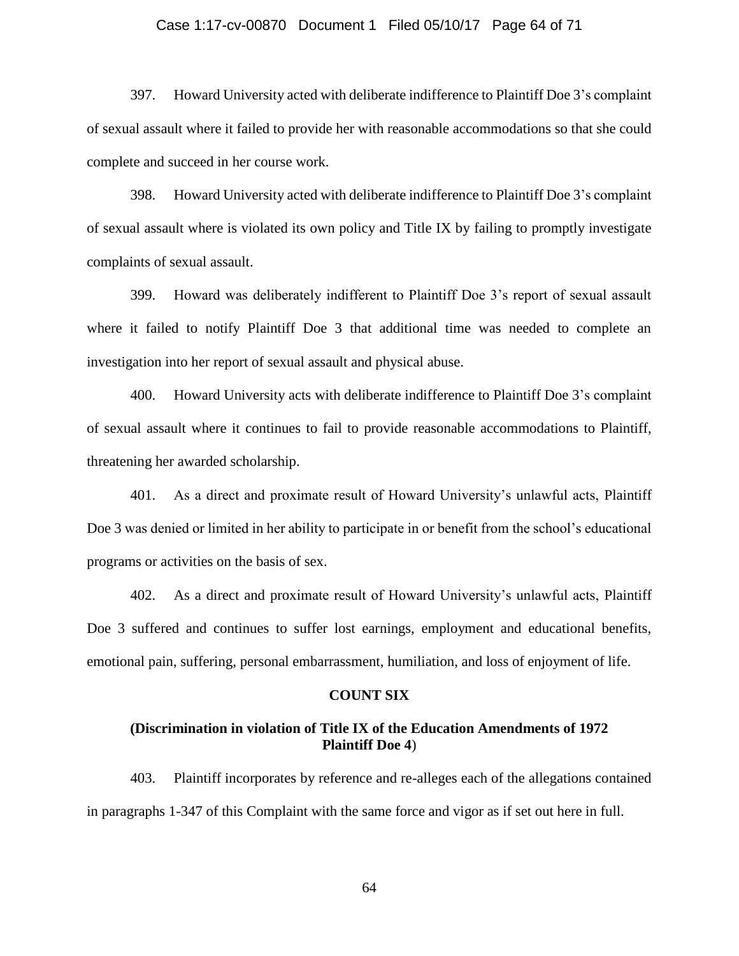#### Case 1:17-cv-00870 Document 1 Filed 05/10/17 Page 64 of 71

397. Howard University acted with deliberate indifference to Plaintiff Doe 3's complaint of sexual assault where it failed to provide her with reasonable accommodations so that she could complete and succeed in her course work.

398. Howard University acted with deliberate indifference to Plaintiff Doe 3's complaint of sexual assault where is violated its own policy and Title IX by failing to promptly investigate complaints of sexual assault.

399. Howard was deliberately indifferent to Plaintiff Doe 3's report of sexual assault where it failed to notify Plaintiff Doe 3 that additional time was needed to complete an investigation into her report of sexual assault and physical abuse.

400. Howard University acts with deliberate indifference to Plaintiff Doe 3's complaint of sexual assault where it continues to fail to provide reasonable accommodations to Plaintiff, threatening her awarded scholarship.

401. As a direct and proximate result of Howard University's unlawful acts, Plaintiff Doe 3 was denied or limited in her ability to participate in or benefit from the school's educational programs or activities on the basis of sex.

402. As a direct and proximate result of Howard University's unlawful acts, Plaintiff Doe 3 suffered and continues to suffer lost earnings, employment and educational benefits, emotional pain, suffering, personal embarrassment, humiliation, and loss of enjoyment of life.

#### **COUNT SIX**

### **(Discrimination in violation of Title IX of the Education Amendments of 1972 Plaintiff Doe 4**)

403. Plaintiff incorporates by reference and re-alleges each of the allegations contained in paragraphs 1-347 of this Complaint with the same force and vigor as if set out here in full.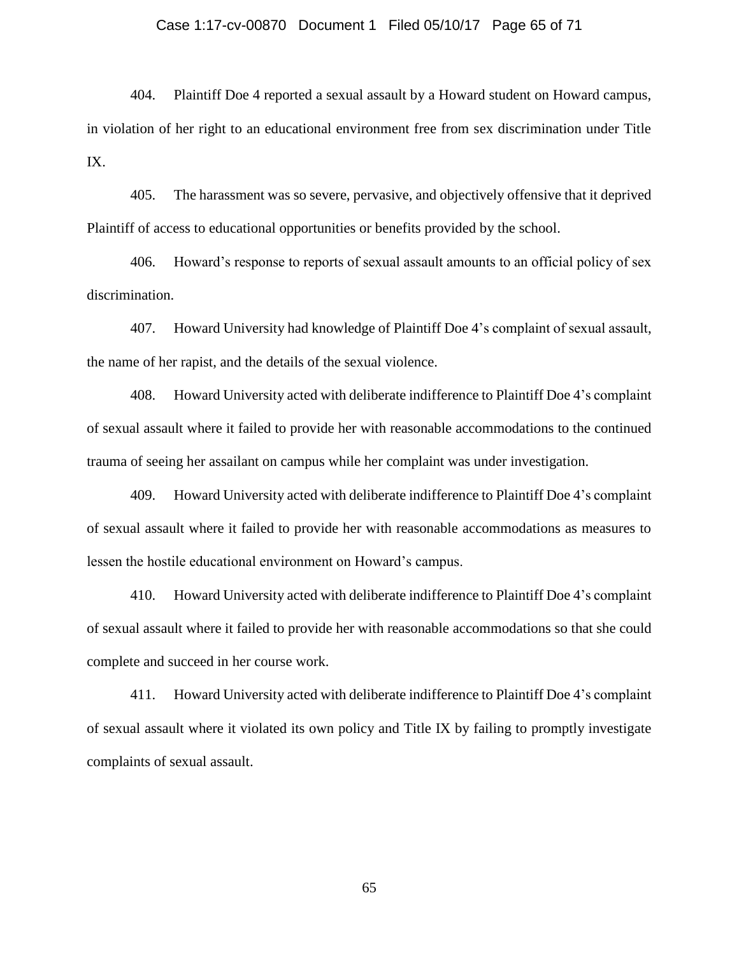#### Case 1:17-cv-00870 Document 1 Filed 05/10/17 Page 65 of 71

404. Plaintiff Doe 4 reported a sexual assault by a Howard student on Howard campus, in violation of her right to an educational environment free from sex discrimination under Title IX.

405. The harassment was so severe, pervasive, and objectively offensive that it deprived Plaintiff of access to educational opportunities or benefits provided by the school.

406. Howard's response to reports of sexual assault amounts to an official policy of sex discrimination.

407. Howard University had knowledge of Plaintiff Doe 4's complaint of sexual assault, the name of her rapist, and the details of the sexual violence.

408. Howard University acted with deliberate indifference to Plaintiff Doe 4's complaint of sexual assault where it failed to provide her with reasonable accommodations to the continued trauma of seeing her assailant on campus while her complaint was under investigation.

409. Howard University acted with deliberate indifference to Plaintiff Doe 4's complaint of sexual assault where it failed to provide her with reasonable accommodations as measures to lessen the hostile educational environment on Howard's campus.

410. Howard University acted with deliberate indifference to Plaintiff Doe 4's complaint of sexual assault where it failed to provide her with reasonable accommodations so that she could complete and succeed in her course work.

411. Howard University acted with deliberate indifference to Plaintiff Doe 4's complaint of sexual assault where it violated its own policy and Title IX by failing to promptly investigate complaints of sexual assault.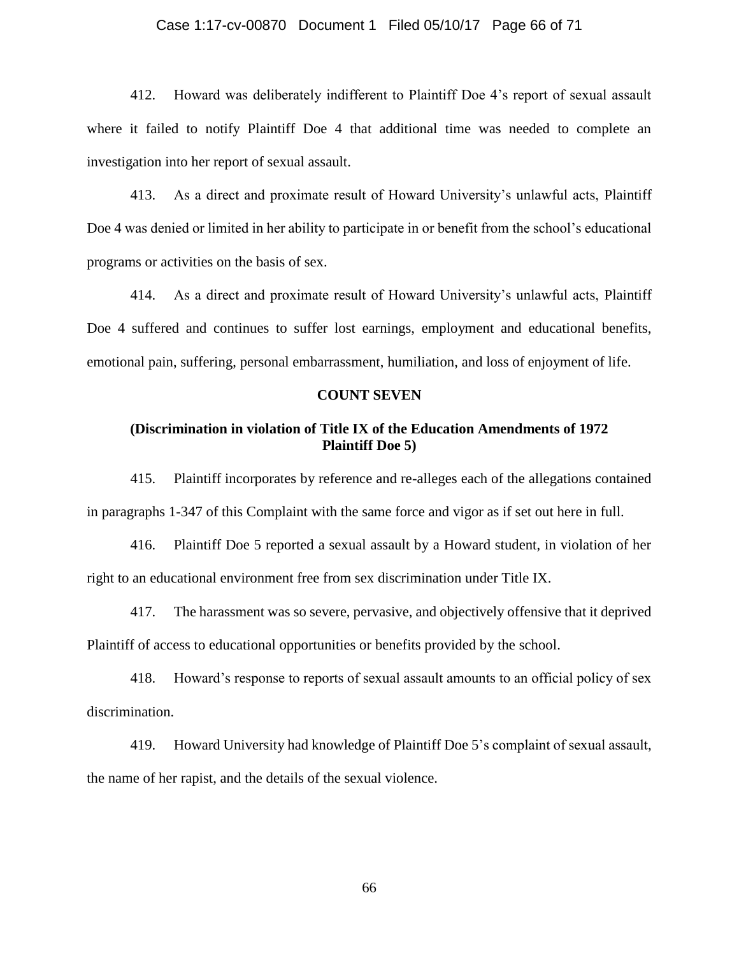#### Case 1:17-cv-00870 Document 1 Filed 05/10/17 Page 66 of 71

412. Howard was deliberately indifferent to Plaintiff Doe 4's report of sexual assault where it failed to notify Plaintiff Doe 4 that additional time was needed to complete an investigation into her report of sexual assault.

413. As a direct and proximate result of Howard University's unlawful acts, Plaintiff Doe 4 was denied or limited in her ability to participate in or benefit from the school's educational programs or activities on the basis of sex.

414. As a direct and proximate result of Howard University's unlawful acts, Plaintiff Doe 4 suffered and continues to suffer lost earnings, employment and educational benefits, emotional pain, suffering, personal embarrassment, humiliation, and loss of enjoyment of life.

#### **COUNT SEVEN**

### **(Discrimination in violation of Title IX of the Education Amendments of 1972 Plaintiff Doe 5)**

415. Plaintiff incorporates by reference and re-alleges each of the allegations contained in paragraphs 1-347 of this Complaint with the same force and vigor as if set out here in full.

416. Plaintiff Doe 5 reported a sexual assault by a Howard student, in violation of her right to an educational environment free from sex discrimination under Title IX.

417. The harassment was so severe, pervasive, and objectively offensive that it deprived Plaintiff of access to educational opportunities or benefits provided by the school.

418. Howard's response to reports of sexual assault amounts to an official policy of sex discrimination.

419. Howard University had knowledge of Plaintiff Doe 5's complaint of sexual assault, the name of her rapist, and the details of the sexual violence.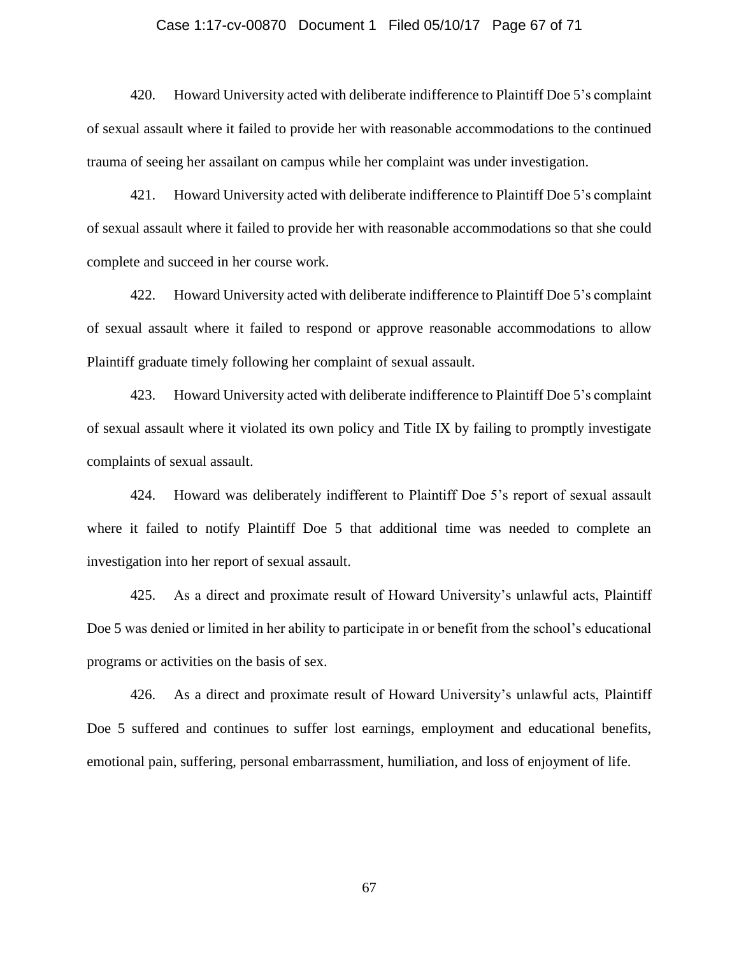#### Case 1:17-cv-00870 Document 1 Filed 05/10/17 Page 67 of 71

420. Howard University acted with deliberate indifference to Plaintiff Doe 5's complaint of sexual assault where it failed to provide her with reasonable accommodations to the continued trauma of seeing her assailant on campus while her complaint was under investigation.

421. Howard University acted with deliberate indifference to Plaintiff Doe 5's complaint of sexual assault where it failed to provide her with reasonable accommodations so that she could complete and succeed in her course work.

422. Howard University acted with deliberate indifference to Plaintiff Doe 5's complaint of sexual assault where it failed to respond or approve reasonable accommodations to allow Plaintiff graduate timely following her complaint of sexual assault.

423. Howard University acted with deliberate indifference to Plaintiff Doe 5's complaint of sexual assault where it violated its own policy and Title IX by failing to promptly investigate complaints of sexual assault.

424. Howard was deliberately indifferent to Plaintiff Doe 5's report of sexual assault where it failed to notify Plaintiff Doe 5 that additional time was needed to complete an investigation into her report of sexual assault.

425. As a direct and proximate result of Howard University's unlawful acts, Plaintiff Doe 5 was denied or limited in her ability to participate in or benefit from the school's educational programs or activities on the basis of sex.

426. As a direct and proximate result of Howard University's unlawful acts, Plaintiff Doe 5 suffered and continues to suffer lost earnings, employment and educational benefits, emotional pain, suffering, personal embarrassment, humiliation, and loss of enjoyment of life.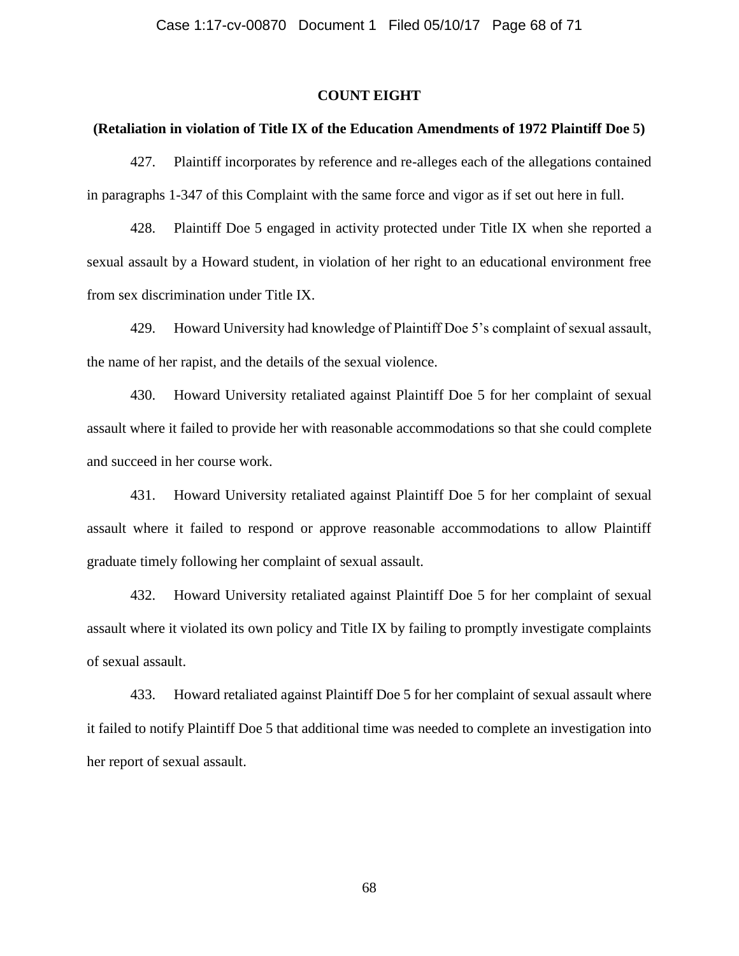#### **COUNT EIGHT**

#### **(Retaliation in violation of Title IX of the Education Amendments of 1972 Plaintiff Doe 5)**

427. Plaintiff incorporates by reference and re-alleges each of the allegations contained in paragraphs 1-347 of this Complaint with the same force and vigor as if set out here in full.

428. Plaintiff Doe 5 engaged in activity protected under Title IX when she reported a sexual assault by a Howard student, in violation of her right to an educational environment free from sex discrimination under Title IX.

429. Howard University had knowledge of Plaintiff Doe 5's complaint of sexual assault, the name of her rapist, and the details of the sexual violence.

430. Howard University retaliated against Plaintiff Doe 5 for her complaint of sexual assault where it failed to provide her with reasonable accommodations so that she could complete and succeed in her course work.

431. Howard University retaliated against Plaintiff Doe 5 for her complaint of sexual assault where it failed to respond or approve reasonable accommodations to allow Plaintiff graduate timely following her complaint of sexual assault.

432. Howard University retaliated against Plaintiff Doe 5 for her complaint of sexual assault where it violated its own policy and Title IX by failing to promptly investigate complaints of sexual assault.

433. Howard retaliated against Plaintiff Doe 5 for her complaint of sexual assault where it failed to notify Plaintiff Doe 5 that additional time was needed to complete an investigation into her report of sexual assault.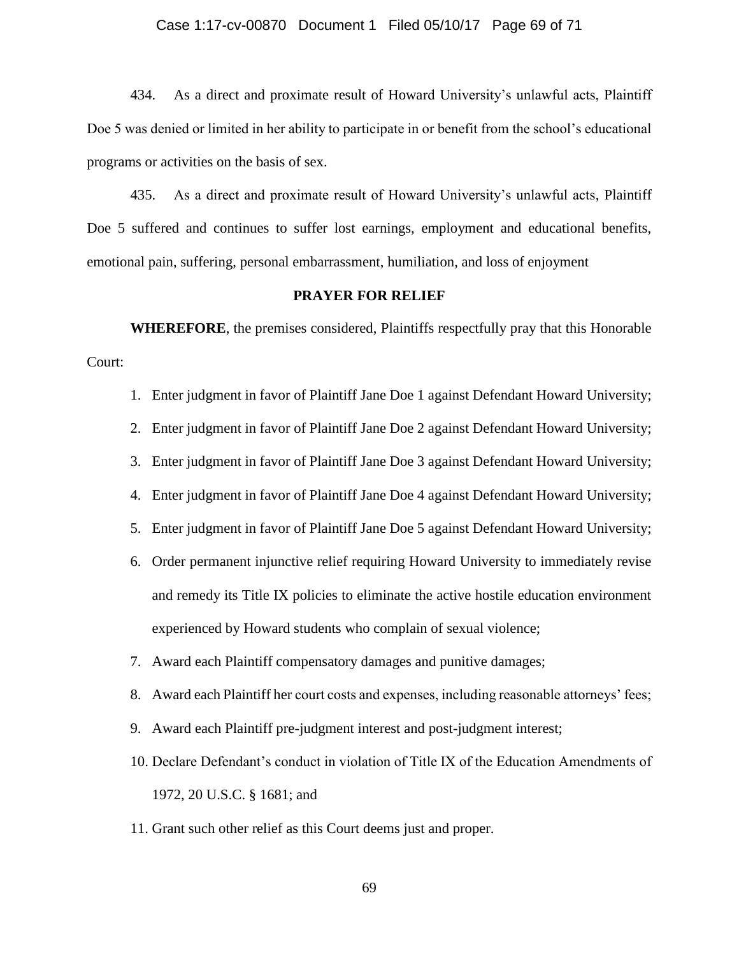#### Case 1:17-cv-00870 Document 1 Filed 05/10/17 Page 69 of 71

434. As a direct and proximate result of Howard University's unlawful acts, Plaintiff Doe 5 was denied or limited in her ability to participate in or benefit from the school's educational programs or activities on the basis of sex.

435. As a direct and proximate result of Howard University's unlawful acts, Plaintiff Doe 5 suffered and continues to suffer lost earnings, employment and educational benefits, emotional pain, suffering, personal embarrassment, humiliation, and loss of enjoyment

### **PRAYER FOR RELIEF**

**WHEREFORE**, the premises considered, Plaintiffs respectfully pray that this Honorable Court:

- 1. Enter judgment in favor of Plaintiff Jane Doe 1 against Defendant Howard University;
- 2. Enter judgment in favor of Plaintiff Jane Doe 2 against Defendant Howard University;
- 3. Enter judgment in favor of Plaintiff Jane Doe 3 against Defendant Howard University;
- 4. Enter judgment in favor of Plaintiff Jane Doe 4 against Defendant Howard University;
- 5. Enter judgment in favor of Plaintiff Jane Doe 5 against Defendant Howard University;
- 6. Order permanent injunctive relief requiring Howard University to immediately revise and remedy its Title IX policies to eliminate the active hostile education environment experienced by Howard students who complain of sexual violence;
- 7. Award each Plaintiff compensatory damages and punitive damages;
- 8. Award each Plaintiff her court costs and expenses, including reasonable attorneys' fees;
- 9. Award each Plaintiff pre-judgment interest and post-judgment interest;
- 10. Declare Defendant's conduct in violation of Title IX of the Education Amendments of 1972, 20 U.S.C. § 1681; and
- 11. Grant such other relief as this Court deems just and proper.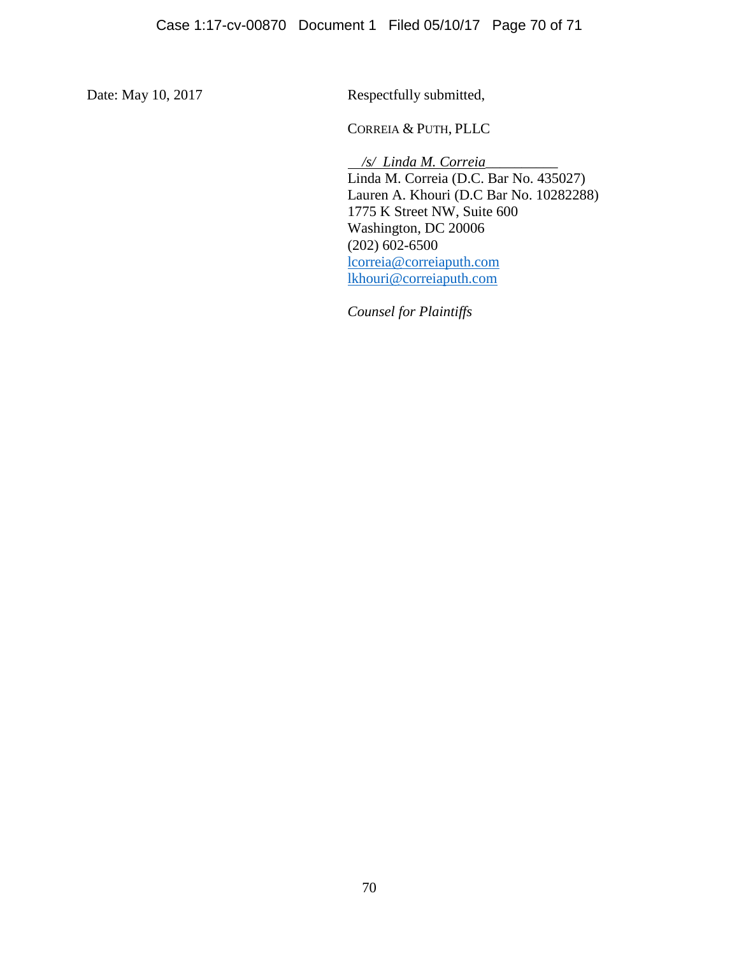Date: May 10, 2017 Respectfully submitted,

CORREIA & PUTH, PLLC

 */s/ Linda M. Correia\_\_\_\_\_\_\_\_\_\_* Linda M. Correia (D.C. Bar No. 435027) Lauren A. Khouri (D.C Bar No. 10282288) 1775 K Street NW, Suite 600 Washington, DC 20006  $(202)$  602-6500 [lcorreia@correiaputh.com](mailto:lcorreia@correiaputh.com) [lkhouri@correiaputh.com](mailto:lkhouri@correiaputh.com)

*Counsel for Plaintiffs*